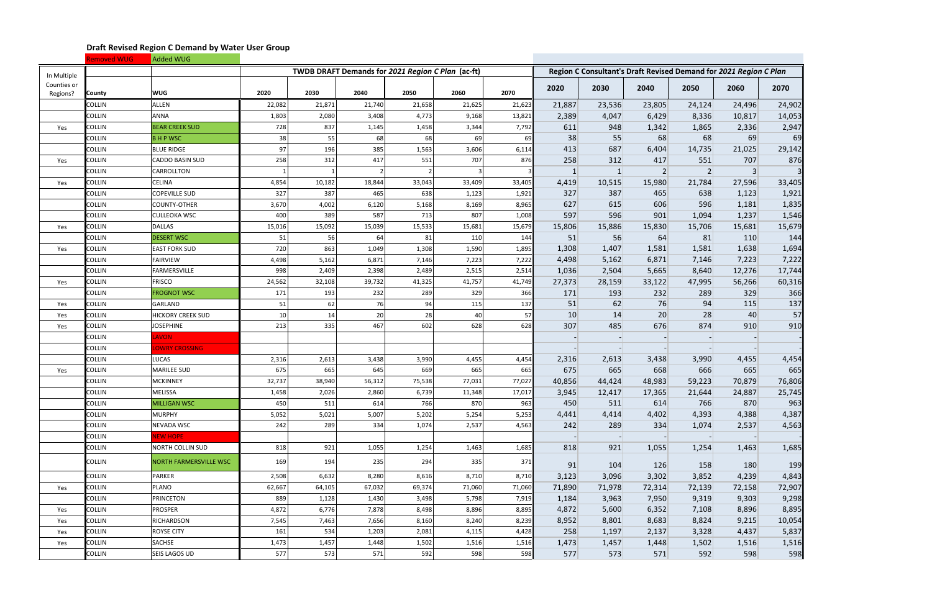|                         | Removed WUG   | Added WUG                |        |        |                                                   |        |        |        |        |        |        |                                                                   |        |        |
|-------------------------|---------------|--------------------------|--------|--------|---------------------------------------------------|--------|--------|--------|--------|--------|--------|-------------------------------------------------------------------|--------|--------|
| In Multiple             |               |                          |        |        | TWDB DRAFT Demands for 2021 Region C Plan (ac-ft) |        |        |        |        |        |        | Region C Consultant's Draft Revised Demand for 2021 Region C Plan |        |        |
| Counties or<br>Regions? | <b>County</b> | <b>WUG</b>               | 2020   | 2030   | 2040                                              | 2050   | 2060   | 2070   | 2020   | 2030   | 2040   | 2050                                                              | 2060   | 2070   |
|                         | <b>COLLIN</b> | <b>ALLEN</b>             | 22,082 | 21,871 | 21,740                                            | 21,658 | 21,625 | 21,623 | 21,887 | 23,536 | 23,805 | 24,124                                                            | 24,496 | 24,902 |
|                         | <b>COLLIN</b> | <b>ANNA</b>              | 1,803  | 2,080  | 3,408                                             | 4,773  | 9,168  | 13,821 | 2,389  | 4,047  | 6,429  | 8,336                                                             | 10,817 | 14,053 |
| Yes                     | <b>COLLIN</b> | <b>BEAR CREEK SUD</b>    | 728    | 837    | 1,145                                             | 1,458  | 3,344  | 7,792  | 611    | 948    | 1,342  | 1,865                                                             | 2,336  | 2,947  |
|                         | <b>COLLIN</b> | <b>BHPWSC</b>            | 38     | 55     | 68                                                | 68     | 69     | 69     | 38     | 55     | 68     | 68                                                                | 69     | 69     |
|                         | COLLIN        | <b>BLUE RIDGE</b>        | 97     | 196    | 385                                               | 1,563  | 3,606  | 6,114  | 413    | 687    | 6,404  | 14,735                                                            | 21,025 | 29,142 |
| Yes                     | <b>COLLIN</b> | CADDO BASIN SUD          | 258    | 312    | 417                                               | 551    | 707    | 876    | 258    | 312    | 417    | 551                                                               | 707    | 876    |
|                         | <b>COLLIN</b> | CARROLLTON               |        |        |                                                   |        |        |        | 1      | -1     |        | $\overline{2}$                                                    |        |        |
| Yes                     | <b>COLLIN</b> | <b>CELINA</b>            | 4,854  | 10,182 | 18,844                                            | 33,043 | 33,409 | 33,405 | 4,419  | 10,515 | 15,980 | 21,784                                                            | 27,596 | 33,405 |
|                         | <b>COLLIN</b> | <b>COPEVILLE SUD</b>     | 327    | 387    | 465                                               | 638    | 1,123  | 1,921  | 327    | 387    | 465    | 638                                                               | 1,123  | 1,921  |
|                         | <b>COLLIN</b> | <b>COUNTY-OTHER</b>      | 3,670  | 4,002  | 6,120                                             | 5,168  | 8,169  | 8,965  | 627    | 615    | 606    | 596                                                               | 1,181  | 1,835  |
|                         | <b>COLLIN</b> | <b>CULLEOKA WSC</b>      | 400    | 389    | 587                                               | 713    | 807    | 1,008  | 597    | 596    | 901    | 1,094                                                             | 1,237  | 1,546  |
| Yes                     | <b>COLLIN</b> | DALLAS                   | 15,016 | 15,092 | 15,039                                            | 15,533 | 15,681 | 15,679 | 15,806 | 15,886 | 15,830 | 15,706                                                            | 15,681 | 15,679 |
|                         | <b>COLLIN</b> | <b>DESERT WSC</b>        | 51     | 56     | 64                                                | 81     | 110    | 144    | 51     | 56     | 64     | 81                                                                | 110    | 144    |
| Yes                     | <b>COLLIN</b> | <b>EAST FORK SUD</b>     | 720    | 863    | 1,049                                             | 1,308  | 1,590  | 1,895  | 1,308  | 1,407  | 1,581  | 1,581                                                             | 1,638  | 1,694  |
|                         | <b>COLLIN</b> | <b>FAIRVIEW</b>          | 4,498  | 5,162  | 6,871                                             | 7,146  | 7,223  | 7,222  | 4,498  | 5,162  | 6,871  | 7,146                                                             | 7,223  | 7,222  |
|                         | <b>COLLIN</b> | <b>FARMERSVILLE</b>      | 998    | 2,409  | 2,398                                             | 2,489  | 2,515  | 2,514  | 1,036  | 2,504  | 5,665  | 8,640                                                             | 12,276 | 17,744 |
| Yes                     | <b>COLLIN</b> | <b>FRISCO</b>            | 24,562 | 32,108 | 39,732                                            | 41,325 | 41,757 | 41,749 | 27,373 | 28,159 | 33,122 | 47,995                                                            | 56,266 | 60,316 |
|                         | <b>COLLIN</b> | <b>FROGNOT WSC</b>       | 171    | 193    | 232                                               | 289    | 329    | 366    | 171    | 193    | 232    | 289                                                               | 329    | 366    |
| Yes                     | <b>COLLIN</b> | GARLAND                  | 51     | 62     | 76                                                | 94     | 115    | 137    | 51     | 62     | 76     | 94                                                                | 115    | 137    |
| Yes                     | <b>COLLIN</b> | <b>HICKORY CREEK SUD</b> | 10     | 14     | 20                                                | 28     | 40     | 57     | 10     | 14     | 20     | 28                                                                | 40     | 57     |
| Yes                     | <b>COLLIN</b> | <b>JOSEPHINE</b>         | 213    | 335    | 467                                               | 602    | 628    | 628    | 307    | 485    | 676    | 874                                                               | 910    | 910    |
|                         | <b>COLLIN</b> | <b>AVON</b>              |        |        |                                                   |        |        |        |        |        |        |                                                                   |        |        |
|                         | <b>COLLIN</b> | <b>OWRY CROSSING</b>     |        |        |                                                   |        |        |        |        |        |        |                                                                   |        |        |
|                         | <b>COLLIN</b> | LUCAS                    | 2,316  | 2,613  | 3,438                                             | 3,990  | 4,455  | 4,454  | 2,316  | 2,613  | 3,438  | 3,990                                                             | 4,455  | 4,454  |
| Yes                     | <b>COLLIN</b> | <b>MARILEE SUD</b>       | 675    | 665    | 645                                               | 669    | 665    | 665    | 675    | 665    | 668    | 666                                                               | 665    | 665    |
|                         | <b>COLLIN</b> | <b>MCKINNEY</b>          | 32,737 | 38,940 | 56,312                                            | 75,538 | 77,031 | 77,027 | 40,856 | 44,424 | 48,983 | 59,223                                                            | 70,879 | 76,806 |
|                         | <b>COLLIN</b> | MELISSA                  | 1,458  | 2,026  | 2,860                                             | 6,739  | 11,348 | 17,017 | 3,945  | 12,417 | 17,365 | 21,644                                                            | 24,887 | 25,745 |
|                         | <b>COLLIN</b> | <b>MILLIGAN WSC</b>      | 450    | 511    | 614                                               | 766    | 870    | 963    | 450    | 511    | 614    | 766                                                               | 870    | 963    |
|                         | <b>COLLIN</b> | <b>MURPHY</b>            | 5,052  | 5,021  | 5,007                                             | 5,202  | 5,254  | 5,253  | 4,441  | 4,414  | 4,402  | 4,393                                                             | 4,388  | 4,387  |
|                         | <b>COLLIN</b> | NEVADA WSC               | 242    | 289    | 334                                               | 1,074  | 2,537  | 4,563  | 242    | 289    | 334    | 1,074                                                             | 2,537  | 4,563  |
|                         | <b>COLLIN</b> | NEW HOPE                 |        |        |                                                   |        |        |        |        |        |        |                                                                   |        |        |
|                         | <b>COLLIN</b> | NORTH COLLIN SUD         | 818    | 921    | 1,055                                             | 1,254  | 1,463  | 1,685  | 818    | 921    | 1,055  | 1,254                                                             | 1,463  | 1,685  |
|                         | <b>COLLIN</b> | NORTH FARMERSVILLE WSC   | 169    | 194    | 235                                               | 294    | 335    | 371    | 91     | 104    | 126    | 158                                                               | 180    | 199    |
|                         | <b>COLLIN</b> | PARKER                   | 2,508  | 6,632  | 8,280                                             | 8,616  | 8,710  | 8,710  | 3,123  | 3,096  | 3,302  | 3,852                                                             | 4,239  | 4,843  |
| Yes                     | <b>COLLIN</b> | PLANO                    | 62,667 | 64,105 | 67,032                                            | 69,374 | 71,060 | 71,060 | 71,890 | 71,978 | 72,314 | 72,139                                                            | 72,158 | 72,907 |
|                         | <b>COLLIN</b> | <b>PRINCETON</b>         | 889    | 1,128  | 1,430                                             | 3,498  | 5,798  | 7,919  | 1,184  | 3,963  | 7,950  | 9,319                                                             | 9,303  | 9,298  |
| Yes                     | <b>COLLIN</b> | <b>PROSPER</b>           | 4,872  | 6,776  | 7,878                                             | 8,498  | 8,896  | 8,895  | 4,872  | 5,600  | 6,352  | 7,108                                                             | 8,896  | 8,895  |
| Yes                     | <b>COLLIN</b> | RICHARDSON               | 7,545  | 7,463  | 7,656                                             | 8,160  | 8,240  | 8,239  | 8,952  | 8,801  | 8,683  | 8,824                                                             | 9,215  | 10,054 |
| Yes                     | <b>COLLIN</b> | ROYSE CITY               | 161    | 534    | 1,203                                             | 2,081  | 4,115  | 4,428  | 258    | 1,197  | 2,137  | 3,328                                                             | 4,437  | 5,837  |
| Yes                     | <b>COLLIN</b> | SACHSE                   | 1,473  | 1,457  | 1,448                                             | 1,502  | 1,516  | 1,516  | 1,473  | 1,457  | 1,448  | 1,502                                                             | 1,516  | 1,516  |
|                         | <b>COLLIN</b> | <b>SEIS LAGOS UD</b>     | 577    | 573    | 571                                               | 592    | 598    | 598    | 577    | 573    | 571    | 592                                                               | 598    | 598    |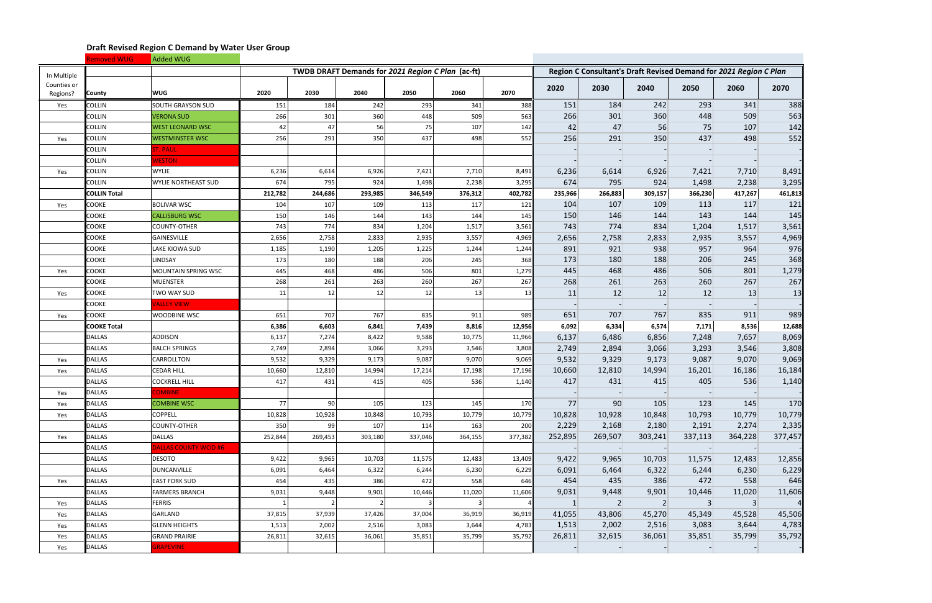|                         | <b>Removed WUG</b>  | Added WUG                    |          |         |                                                   |         |         |         |           |           |           |                                                                   |           |                |
|-------------------------|---------------------|------------------------------|----------|---------|---------------------------------------------------|---------|---------|---------|-----------|-----------|-----------|-------------------------------------------------------------------|-----------|----------------|
| In Multiple             |                     |                              |          |         | TWDB DRAFT Demands for 2021 Region C Plan (ac-ft) |         |         |         |           |           |           | Region C Consultant's Draft Revised Demand for 2021 Region C Plan |           |                |
| Counties or<br>Regions? | <b>County</b>       | <b>WUG</b>                   | 2020     | 2030    | 2040                                              | 2050    | 2060    | 2070    | 2020      | 2030      | 2040      | 2050                                                              | 2060      | 2070           |
| Yes                     | <b>COLLIN</b>       | SOUTH GRAYSON SUD            | 151      | 184     | 242                                               | 293     | 341     | 388     | 151       | 184       | 242       | 293                                                               | 341       | 388            |
|                         | <b>COLLIN</b>       | <b>VERONA SUD</b>            | 266      | 301     | 360                                               | 448     | 509     | 563     | 266       | 301       | 360       | 448                                                               | 509       | 563            |
|                         | <b>COLLIN</b>       | <b>WEST LEONARD WSC</b>      | 42       | 47      | 56                                                | 75      | 107     | 142     | 42        | 47        | 56        | 75                                                                | 107       | 142            |
| Yes                     | <b>COLLIN</b>       | <b>WESTMINSTER WSC</b>       | 256      | 291     | 350                                               | 437     | 498     | 552     | 256       | 291       | 350       | 437                                                               | 498       | 552            |
|                         | <b>COLLIN</b>       | ST. PAUL                     |          |         |                                                   |         |         |         |           |           |           |                                                                   |           |                |
|                         | <b>COLLIN</b>       | <b>WESTON</b>                |          |         |                                                   |         |         |         |           |           |           |                                                                   |           |                |
| Yes                     | <b>COLLIN</b>       | <b>WYLIE</b>                 | 6,236    | 6,614   | 6,926                                             | 7,421   | 7,710   | 8,491   | 6,236     | 6,614     | 6,926     | 7,421                                                             | 7,710     | 8,491          |
|                         | <b>COLLIN</b>       | WYLIE NORTHEAST SUD          | 674      | 795     | 924                                               | 1,498   | 2,238   | 3,295   | 674       | 795       | 924       | 1,498                                                             | 2,238     | 3,295          |
|                         | <b>COLLIN Total</b> |                              | 212,782  | 244,686 | 293,985                                           | 346,549 | 376,312 | 402,782 | 235,966   | 266,883   | 309,157   | 366,230                                                           | 417,267   | 461,813        |
| Yes                     | <b>COOKE</b>        | <b>BOLIVAR WSC</b>           | 104      | 107     | 109                                               | 113     | 117     | 121     | 104       | 107       | 109       | 113                                                               | 117       | 121            |
|                         | <b>COOKE</b>        | <b>CALLISBURG WSC</b>        | 150      | 146     | 144                                               | 143     | 144     | 145     | 150       | 146       | 144       | 143                                                               | 144       | 145            |
|                         | <b>COOKE</b>        | <b>COUNTY-OTHER</b>          | 743      | 774     | 834                                               | 1,204   | 1,517   | 3,561   | 743       | 774       | 834       | 1,204                                                             | 1,517     | 3,561          |
|                         | <b>COOKE</b>        | <b>GAINESVILLE</b>           | 2,656    | 2,758   | 2,833                                             | 2,935   | 3,557   | 4,969   | 2,656     | 2,758     | 2,833     | 2,935                                                             | 3,557     | 4,969          |
|                         | <b>COOKE</b>        | LAKE KIOWA SUD               | 1,185    | 1,190   | 1,205                                             | 1,225   | 1,244   | 1,244   | 891       | 921       | 938       | 957                                                               | 964       | 976            |
|                         | <b>COOKE</b>        | <b>LINDSAY</b>               | 173      | 180     | 188                                               | 206     | 245     | 368     | 173       | 180       | 188       | 206                                                               | 245       | 368            |
| Yes                     | <b>COOKE</b>        | MOUNTAIN SPRING WSC          | 445      | 468     | 486                                               | 506     | 801     | 1,279   | 445       | 468       | 486       | 506                                                               | 801       | 1,279          |
|                         | <b>COOKE</b>        | <b>MUENSTER</b>              | 268      | 261     | 263                                               | 260     | 267     | 267     | 268       | 261       | 263       | 260                                                               | 267       | 267            |
| Yes                     | <b>COOKE</b>        | TWO WAY SUD                  | 11       | 12      | 12                                                | 12      | 13      | 13      | 11        | 12        | 12        | 12                                                                | 13        | 13             |
|                         | <b>COOKE</b>        | <b>ALLEY VIEW</b>            |          |         |                                                   |         |         |         |           |           |           |                                                                   |           |                |
| Yes                     | <b>COOKE</b>        | WOODBINE WSC                 | 651      | 707     | 767                                               | 835     | 911     | 989     | 651       | 707       | 767       | 835                                                               | 911       | 989            |
|                         | <b>COOKE Total</b>  |                              | 6,386    | 6,603   | 6,841                                             | 7,439   | 8,816   | 12,956  | 6,092     | 6,334     | 6,574     | 7,171                                                             | 8,536     | 12,688         |
|                         | <b>DALLAS</b>       | <b>ADDISON</b>               | 6,137    | 7,274   | 8,422                                             | 9,588   | 10,775  | 11,966  | 6,137     | 6,486     | 6,856     | 7,248                                                             | 7,657     | 8,069          |
|                         | <b>DALLAS</b>       | <b>BALCH SPRINGS</b>         | 2,749    | 2,894   | 3,066                                             | 3,293   | 3,546   | 3,808   | 2,749     | 2,894     | 3,066     | 3,293                                                             | 3,546     | 3,808          |
| Yes                     | <b>DALLAS</b>       | CARROLLTON                   | 9,532    | 9,329   | 9,173                                             | 9,087   | 9,070   | 9,069   | 9,532     | 9,329     | 9,173     | 9,087                                                             | 9,070     | 9,069          |
| Yes                     | <b>DALLAS</b>       | <b>CEDAR HILL</b>            | 10,660   | 12,810  | 14,994                                            | 17,214  | 17,198  | 17,196  | 10,660    | 12,810    | 14,994    | 16,201                                                            | 16,186    | 16,184         |
|                         | <b>DALLAS</b>       | <b>COCKRELL HILL</b>         | 417      | 431     | 415                                               | 405     | 536     | 1,140   | 417       | 431       | 415       | 405                                                               | 536       | 1,140          |
| Yes                     | <b>DALLAS</b>       | <b>COMBINE</b>               |          |         |                                                   |         |         |         |           |           |           |                                                                   |           |                |
| Yes                     | <b>DALLAS</b>       | <b>COMBINE WSC</b>           | 77       | 90      | 105                                               | 123     | 145     | 170     | 77        | 90        | 105       | 123                                                               | 145       | 170            |
| Yes                     | <b>DALLAS</b>       | <b>COPPELL</b>               | 10,828   | 10,928  | 10,848                                            | 10,793  | 10,779  | 10,779  | 10,828    | 10,928    | 10,848    | 10,793                                                            | 10,779    | 10,779         |
|                         | <b>DALLAS</b>       | COUNTY-OTHER                 | 350      | 99      | 107                                               | 114     | 163     | 200     | 2,229     | 2,168     | 2,180     | 2,191                                                             | 2,274     | 2,335          |
| Yes                     | <b>DALLAS</b>       | DALLAS                       | 252,844  | 269,453 | 303,180                                           | 337,046 | 364,155 | 377,382 | 252,895   | 269,507   | 303,241   | 337,113                                                           | 364,228   | 377,457        |
|                         | <b>DALLAS</b>       | <b>DALLAS COUNTY WCID #6</b> |          |         |                                                   |         |         |         |           |           |           |                                                                   |           |                |
|                         | <b>DALLAS</b>       | DESOTO                       | 9,422    | 9,965   | 10,703                                            | 11,575  | 12,483  | 13,409  | 9,422     | 9,965     | 10,703    | 11,575                                                            | 12,483    | 12,856         |
|                         | <b>DALLAS</b>       | DUNCANVILLE                  | 6,091    | 6,464   | 6,322                                             | 6,244   | 6,230   | 6,229   | 6,091     | 6,464     | 6,322     | 6,244                                                             | 6,230     | 6,229          |
| Yes                     | <b>DALLAS</b>       | <b>EAST FORK SUD</b>         | 454      | 435     | 386                                               | 472     | 558     | 646     | 454       | 435       | 386       | 472                                                               | 558       | 646            |
|                         | <b>DALLAS</b>       | <b>FARMERS BRANCH</b>        | 9,031    | 9,448   | 9,901                                             | 10,446  | 11,020  | 11,606  | 9,031     | 9,448     | 9,901     | 10,446                                                            | 11,020    | 11,606         |
| Yes                     | <b>DALLAS</b>       | <b>FERRIS</b>                | $1\vert$ |         | $\overline{2}$                                    | 3       | 3       |         | $\vert$ 1 | $\vert$ 2 | $\vert$ 2 | $\vert 3 \vert$                                                   | $\vert$ 3 | 4 <sub>1</sub> |
| Yes                     | <b>DALLAS</b>       | GARLAND                      | 37,815   | 37,939  | 37,426                                            | 37,004  | 36,919  | 36,919  | 41,055    | 43,806    | 45,270    | 45,349                                                            | 45,528    | 45,506         |
| Yes                     | DALLAS              | <b>GLENN HEIGHTS</b>         | 1,513    | 2,002   | 2,516                                             | 3,083   | 3,644   | 4,783   | 1,513     | 2,002     | 2,516     | 3,083                                                             | 3,644     | 4,783          |
| Yes                     | <b>DALLAS</b>       | <b>GRAND PRAIRIE</b>         | 26,811   | 32,615  | 36,061                                            | 35,851  | 35,799  | 35,792  | 26,811    | 32,615    | 36,061    | 35,851                                                            | 35,799    | 35,792         |
| Yes                     | <b>DALLAS</b>       | <b>GRAPEVINE</b>             |          |         |                                                   |         |         |         |           |           |           |                                                                   |           |                |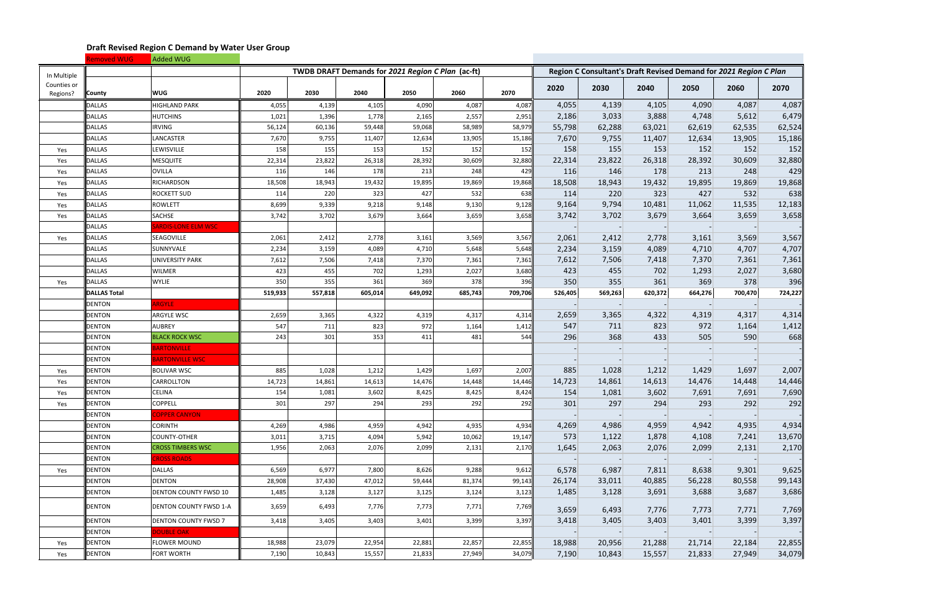|                         | <b>Removed WUG</b>  | Added WUG                   |         |         |                                                   |         |         |         |         |         |         |                                                                   |         |         |
|-------------------------|---------------------|-----------------------------|---------|---------|---------------------------------------------------|---------|---------|---------|---------|---------|---------|-------------------------------------------------------------------|---------|---------|
| In Multiple             |                     |                             |         |         | TWDB DRAFT Demands for 2021 Region C Plan (ac-ft) |         |         |         |         |         |         | Region C Consultant's Draft Revised Demand for 2021 Region C Plan |         |         |
| Counties or<br>Regions? | <b>County</b>       | <b>WUG</b>                  | 2020    | 2030    | 2040                                              | 2050    | 2060    | 2070    | 2020    | 2030    | 2040    | 2050                                                              | 2060    | 2070    |
|                         | <b>DALLAS</b>       | <b>HIGHLAND PARK</b>        | 4,055   | 4,139   | 4,105                                             | 4,090   | 4,087   | 4,087   | 4,055   | 4,139   | 4,105   | 4,090                                                             | 4,087   | 4,087   |
|                         | <b>DALLAS</b>       | <b>HUTCHINS</b>             | 1,021   | 1,396   | 1,778                                             | 2,165   | 2,557   | 2,951   | 2,186   | 3,033   | 3,888   | 4,748                                                             | 5,612   | 6,479   |
|                         | <b>DALLAS</b>       | <b>IRVING</b>               | 56,124  | 60,136  | 59,448                                            | 59,068  | 58,989  | 58,979  | 55,798  | 62,288  | 63,021  | 62,619                                                            | 62,535  | 62,524  |
|                         | <b>DALLAS</b>       | LANCASTER                   | 7,670   | 9,755   | 11,407                                            | 12,634  | 13,905  | 15,186  | 7,670   | 9,755   | 11,407  | 12,634                                                            | 13,905  | 15,186  |
| Yes                     | <b>DALLAS</b>       | LEWISVILLE                  | 158     | 155     | 153                                               | 152     | 152     | 152     | 158     | 155     | 153     | 152                                                               | 152     | 152     |
| Yes                     | <b>DALLAS</b>       | <b>MESQUITE</b>             | 22,314  | 23,822  | 26,318                                            | 28,392  | 30,609  | 32,880  | 22,314  | 23,822  | 26,318  | 28,392                                                            | 30,609  | 32,880  |
| Yes                     | <b>DALLAS</b>       | OVILLA                      | 116     | 146     | 178                                               | 213     | 248     | 429     | 116     | 146     | 178     | 213                                                               | 248     | 429     |
| Yes                     | <b>DALLAS</b>       | RICHARDSON                  | 18,508  | 18,943  | 19,432                                            | 19,895  | 19,869  | 19,868  | 18,508  | 18,943  | 19,432  | 19,895                                                            | 19,869  | 19,868  |
| Yes                     | <b>DALLAS</b>       | <b>ROCKETT SUD</b>          | 114     | 220     | 323                                               | 427     | 532     | 638     | 114     | 220     | 323     | 427                                                               | 532     | 638     |
| Yes                     | <b>DALLAS</b>       | <b>ROWLETT</b>              | 8,699   | 9,339   | 9,218                                             | 9,148   | 9,130   | 9,128   | 9,164   | 9,794   | 10,481  | 11,062                                                            | 11,535  | 12,183  |
| Yes                     | <b>DALLAS</b>       | <b>SACHSE</b>               | 3,742   | 3,702   | 3,679                                             | 3,664   | 3,659   | 3,658   | 3,742   | 3,702   | 3,679   | 3,664                                                             | 3,659   | 3,658   |
|                         | <b>DALLAS</b>       | ARDIS-LONE ELM WSC          |         |         |                                                   |         |         |         |         |         |         |                                                                   |         |         |
| Yes                     | <b>DALLAS</b>       | SEAGOVILLE                  | 2,061   | 2,412   | 2,778                                             | 3,161   | 3,569   | 3,567   | 2,061   | 2,412   | 2,778   | 3,161                                                             | 3,569   | 3,567   |
|                         | <b>DALLAS</b>       | SUNNYVALE                   | 2,234   | 3,159   | 4,089                                             | 4,710   | 5,648   | 5,648   | 2,234   | 3,159   | 4,089   | 4,710                                                             | 4,707   | 4,707   |
|                         | <b>DALLAS</b>       | <b>UNIVERSITY PARK</b>      | 7,612   | 7,506   | 7,418                                             | 7,370   | 7,361   | 7,361   | 7,612   | 7,506   | 7,418   | 7,370                                                             | 7,361   | 7,361   |
|                         | <b>DALLAS</b>       | <b>WILMER</b>               | 423     | 455     | 702                                               | 1,293   | 2,027   | 3,680   | 423     | 455     | 702     | 1,293                                                             | 2,027   | 3,680   |
| Yes                     | <b>DALLAS</b>       | <b>WYLIE</b>                | 350     | 355     | 361                                               | 369     | 378     | 396     | 350     | 355     | 361     | 369                                                               | 378     | 396     |
|                         | <b>DALLAS Total</b> |                             | 519,933 | 557,818 | 605,014                                           | 649,092 | 685,743 | 709,706 | 526,405 | 569,263 | 620,372 | 664,276                                                           | 700,470 | 724,227 |
|                         | DENTON              | <b>ARGYLE</b>               |         |         |                                                   |         |         |         |         |         |         |                                                                   |         |         |
|                         | <b>DENTON</b>       | ARGYLE WSC                  | 2,659   | 3,365   | 4,322                                             | 4,319   | 4,317   | 4,314   | 2,659   | 3,365   | 4,322   | 4,319                                                             | 4,317   | 4,314   |
|                         | <b>DENTON</b>       | <b>AUBREY</b>               | 547     | 711     | 823                                               | 972     | 1,164   | 1,412   | 547     | 711     | 823     | 972                                                               | 1,164   | 1,412   |
|                         | <b>DENTON</b>       | <b>BLACK ROCK WSC</b>       | 243     | 301     | 353                                               | 411     | 481     | 544     | 296     | 368     | 433     | 505                                                               | 590     | 668     |
|                         | <b>DENTON</b>       | <b>BARTONVILLE</b>          |         |         |                                                   |         |         |         |         |         |         |                                                                   |         |         |
|                         | <b>DENTON</b>       | <b>BARTONVILLE WSC</b>      |         |         |                                                   |         |         |         |         |         |         |                                                                   |         |         |
| Yes                     | <b>DENTON</b>       | <b>BOLIVAR WSC</b>          | 885     | 1,028   | 1,212                                             | 1,429   | 1,697   | 2,007   | 885     | 1,028   | 1,212   | 1,429                                                             | 1,697   | 2,007   |
| Yes                     | <b>DENTON</b>       | CARROLLTON                  | 14,723  | 14,861  | 14,613                                            | 14,476  | 14,448  | 14,446  | 14,723  | 14,861  | 14,613  | 14,476                                                            | 14,448  | 14,446  |
| Yes                     | <b>DENTON</b>       | <b>CELINA</b>               | 154     | 1,081   | 3,602                                             | 8,425   | 8,425   | 8,424   | 154     | 1,081   | 3,602   | 7,691                                                             | 7,691   | 7,690   |
| Yes                     | <b>DENTON</b>       | <b>COPPELL</b>              | 301     | 297     | 294                                               | 293     | 292     | 292     | 301     | 297     | 294     | 293                                                               | 292     | 292     |
|                         | <b>DENTON</b>       | <b>COPPER CANYON</b>        |         |         |                                                   |         |         |         |         |         |         |                                                                   |         |         |
|                         | <b>DENTON</b>       | <b>CORINTH</b>              | 4,269   | 4,986   | 4,959                                             | 4,942   | 4,935   | 4,934   | 4,269   | 4,986   | 4,959   | 4,942                                                             | 4,935   | 4,934   |
|                         | <b>DENTON</b>       | COUNTY-OTHER                | 3,011   | 3,715   | 4,094                                             | 5,942   | 10,062  | 19,147  | 573     | 1,122   | 1,878   | 4,108                                                             | 7,241   | 13,670  |
|                         | <b>DENTON</b>       | <b>CROSS TIMBERS WSC</b>    | 1,956   | 2,063   | 2,076                                             | 2,099   | 2,131   | 2,170   | 1,645   | 2,063   | 2,076   | 2,099                                                             | 2,131   | 2,170   |
|                         | <b>DENTON</b>       | <b>CROSS ROADS</b>          |         |         |                                                   |         |         |         |         |         |         |                                                                   |         |         |
| Yes                     | <b>DENTON</b>       | DALLAS                      | 6,569   | 6,977   | 7,800                                             | 8,626   | 9,288   | 9,612   | 6,578   | 6,987   | 7,811   | 8,638                                                             | 9,301   | 9,625   |
|                         | <b>DENTON</b>       | <b>DENTON</b>               | 28,908  | 37,430  | 47,012                                            | 59,444  | 81,374  | 99,143  | 26,174  | 33,011  | 40,885  | 56,228                                                            | 80,558  | 99,143  |
|                         | <b>DENTON</b>       | DENTON COUNTY FWSD 10       | 1,485   | 3,128   | 3,127                                             | 3,125   | 3,124   | 3,123   | 1,485   | 3,128   | 3,691   | 3,688                                                             | 3,687   | 3,686   |
|                         | <b>DENTON</b>       | DENTON COUNTY FWSD 1-A      | 3,659   | 6,493   | 7,776                                             | 7,773   | 7,771   | 7,769   | 3,659   | 6,493   | 7,776   | 7,773                                                             | 7,771   | 7,769   |
|                         | <b>DENTON</b>       | <b>DENTON COUNTY FWSD 7</b> | 3,418   | 3,405   | 3,403                                             | 3,401   | 3,399   | 3,397   | 3,418   | 3,405   | 3,403   | 3,401                                                             | 3,399   | 3,397   |
|                         | <b>DENTON</b>       | <b>DOUBLE OAK</b>           |         |         |                                                   |         |         |         |         |         |         |                                                                   |         |         |
| Yes                     | <b>DENTON</b>       | <b>FLOWER MOUND</b>         | 18,988  | 23,079  | 22,954                                            | 22,881  | 22,857  | 22,855  | 18,988  | 20,956  | 21,288  | 21,714                                                            | 22,184  | 22,855  |
| Yes                     | <b>DENTON</b>       | FORT WORTH                  | 7,190   | 10,843  | 15,557                                            | 21,833  | 27,949  | 34,079  | 7,190   | 10,843  | 15,557  | 21,833                                                            | 27,949  | 34,079  |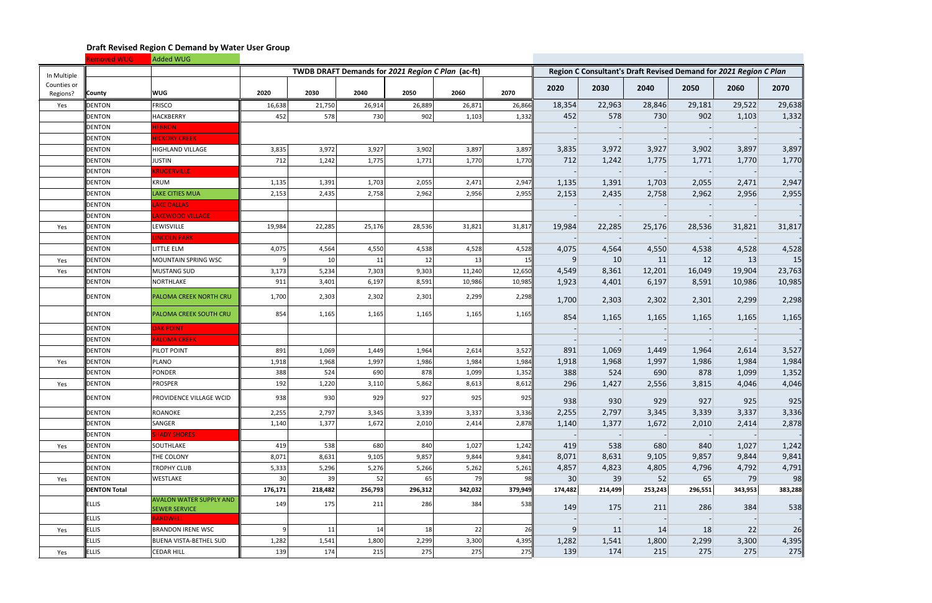|                         | Removed WUG         | Added WUG                                              |                |         |                                                   |         |         |         |                 |                                                                   |         |           |         |         |
|-------------------------|---------------------|--------------------------------------------------------|----------------|---------|---------------------------------------------------|---------|---------|---------|-----------------|-------------------------------------------------------------------|---------|-----------|---------|---------|
| In Multiple             |                     |                                                        |                |         | TWDB DRAFT Demands for 2021 Region C Plan (ac-ft) |         |         |         |                 | Region C Consultant's Draft Revised Demand for 2021 Region C Plan |         |           |         |         |
| Counties or<br>Regions? | <b>County</b>       | <b>WUG</b>                                             | 2020           | 2030    | 2040                                              | 2050    | 2060    | 2070    | 2020            | 2030                                                              | 2040    | 2050      | 2060    | 2070    |
| Yes                     | <b>DENTON</b>       | <b>FRISCO</b>                                          | 16,638         | 21,750  | 26,914                                            | 26,889  | 26,871  | 26,866  | 18,354          | 22,963                                                            | 28,846  | 29,181    | 29,522  | 29,638  |
|                         | <b>DENTON</b>       | <b>HACKBERRY</b>                                       | 452            | 578     | 730                                               | 902     | 1,103   | 1,332   | 452             | 578                                                               | 730     | 902       | 1,103   | 1,332   |
|                         | <b>DENTON</b>       | <b>IEBRON</b>                                          |                |         |                                                   |         |         |         |                 |                                                                   |         |           |         |         |
|                         | <b>DENTON</b>       | <b>HICKORY CREEK</b>                                   |                |         |                                                   |         |         |         |                 |                                                                   |         |           |         |         |
|                         | <b>DENTON</b>       | HIGHLAND VILLAGE                                       | 3,835          | 3,972   | 3,927                                             | 3,902   | 3,897   | 3,897   | 3,835           | 3,972                                                             | 3,927   | 3,902     | 3,897   | 3,897   |
|                         | DENTON              | <b>JUSTIN</b>                                          | 712            | 1,242   | 1,775                                             | 1,771   | 1,770   | 1,770   | 712             | 1,242                                                             | 1,775   | 1,771     | 1,770   | 1,770   |
|                         | <b>DENTON</b>       | <b>KRUGERVILLE</b>                                     |                |         |                                                   |         |         |         |                 |                                                                   |         |           |         |         |
|                         | <b>DENTON</b>       | <b>KRUM</b>                                            | 1,135          | 1,391   | 1,703                                             | 2,055   | 2,471   | 2,947   | 1,135           | 1,391                                                             | 1,703   | 2,055     | 2,471   | 2,947   |
|                         | <b>DENTON</b>       | <b>LAKE CITIES MUA</b>                                 | 2,153          | 2,435   | 2,758                                             | 2,962   | 2,956   | 2,955   | 2,153           | 2,435                                                             | 2,758   | 2,962     | 2,956   | 2,955   |
|                         | <b>DENTON</b>       | <b>AKE DALLAS</b>                                      |                |         |                                                   |         |         |         |                 |                                                                   |         |           |         |         |
|                         | <b>DENTON</b>       | <b>AKEWOOD VILLAGE</b>                                 |                |         |                                                   |         |         |         |                 |                                                                   |         |           |         |         |
| Yes                     | <b>DENTON</b>       | LEWISVILLE                                             | 19,984         | 22,285  | 25,176                                            | 28,536  | 31,821  | 31,817  | 19,984          | 22,285                                                            | 25,176  | 28,536    | 31,821  | 31,817  |
|                         | <b>DENTON</b>       | <b>INCOLN PARK</b>                                     |                |         |                                                   |         |         |         |                 |                                                                   |         |           |         |         |
|                         | <b>DENTON</b>       | LITTLE ELM                                             | 4,075          | 4,564   | 4,550                                             | 4,538   | 4,528   | 4,528   | 4,075           | 4,564                                                             | 4,550   | 4,538     | 4,528   | 4,528   |
| Yes                     | <b>DENTON</b>       | MOUNTAIN SPRING WSC                                    | 9              | 10      | 11                                                | 12      | 13      | 15      | 9               | 10                                                                | 11      | 12        | 13      | 15      |
| Yes                     | <b>DENTON</b>       | <b>MUSTANG SUD</b>                                     | 3,173          | 5,234   | 7,303                                             | 9,303   | 11,240  | 12,650  | 4,549           | 8,361                                                             | 12,201  | 16,049    | 19,904  | 23,763  |
|                         | <b>DENTON</b>       | NORTHLAKE                                              | 911            | 3,401   | 6,197                                             | 8,591   | 10,986  | 10,985  | 1,923           | 4,401                                                             | 6,197   | 8,591     | 10,986  | 10,985  |
|                         | <b>DENTON</b>       | PALOMA CREEK NORTH CRU                                 | 1,700          | 2,303   | 2,302                                             | 2,301   | 2,299   | 2,298   | 1,700           | 2,303                                                             | 2,302   | 2,301     | 2,299   | 2,298   |
|                         | <b>DENTON</b>       | <b>PALOMA CREEK SOUTH CRU</b>                          | 854            | 1,165   | 1,165                                             | 1,165   | 1,165   | 1,165   | 854             | 1,165                                                             | 1,165   | 1,165     | 1,165   | 1,165   |
|                         | <b>DENTON</b>       | <b>DAK POINT</b>                                       |                |         |                                                   |         |         |         |                 |                                                                   |         |           |         |         |
|                         | <b>DENTON</b>       | <b>PALOMA CREEK</b>                                    |                |         |                                                   |         |         |         |                 |                                                                   |         |           |         |         |
|                         | <b>DENTON</b>       | PILOT POINT                                            | 891            | 1,069   | 1,449                                             | 1,964   | 2,614   | 3,527   | 891             | 1,069                                                             | 1,449   | 1,964     | 2,614   | 3,527   |
| Yes                     | <b>DENTON</b>       | PLANO                                                  | 1,918          | 1,968   | 1,997                                             | 1,986   | 1,984   | 1,984   | 1,918           | 1,968                                                             | 1,997   | 1,986     | 1,984   | 1,984   |
|                         | <b>DENTON</b>       | <b>PONDER</b>                                          | 388            | 524     | 690                                               | 878     | 1,099   | 1,352   | 388             | 524                                                               | 690     | 878       | 1,099   | 1,352   |
| Yes                     | <b>DENTON</b>       | PROSPER                                                | 192            | 1,220   | 3,110                                             | 5,862   | 8,613   | 8,612   | 296             | 1,427                                                             | 2,556   | 3,815     | 4,046   | 4,046   |
|                         | <b>DENTON</b>       | PROVIDENCE VILLAGE WCID                                | 938            | 930     | 929                                               | 927     | 925     | 925     | 938             | 930                                                               | 929     | 927       | 925     | 925     |
|                         | <b>DENTON</b>       | ROANOKE                                                | 2,255          | 2,797   | 3,345                                             | 3,339   | 3,337   | 3,336   | 2,255           | 2,797                                                             | 3,345   | 3,339     | 3,337   | 3,336   |
|                         | <b>DENTON</b>       | SANGER                                                 | 1,140          | 1,377   | 1,672                                             | 2,010   | 2,414   | 2,878   | 1,140           | 1,377                                                             | 1,672   | 2,010     | 2,414   | 2,878   |
|                         | <b>DENTON</b>       | <b>SHADY SHORES</b>                                    |                |         |                                                   |         |         |         |                 |                                                                   |         |           |         |         |
| Yes                     | <b>DENTON</b>       | SOUTHLAKE                                              | 419            | 538     | 680                                               | 840     | 1,027   | 1,242   | 419             | 538                                                               | 680     | 840       | 1,027   | 1,242   |
|                         | <b>DENTON</b>       | THE COLONY                                             | 8,071          | 8,631   | 9,105                                             | 9,857   | 9,844   | 9,841   | 8,071           | 8,631                                                             | 9,105   | 9,857     | 9,844   | 9,841   |
|                         | <b>DENTON</b>       | <b>TROPHY CLUB</b>                                     | 5,333          | 5,296   | 5,276                                             | 5,266   | 5,262   | 5,261   | 4,857           | 4,823                                                             | 4,805   | 4,796     | 4,792   | 4,791   |
| Yes                     | <b>DENTON</b>       | WESTLAKE                                               | 30             | -39     | 52                                                | 65      | 79      | 98      | 30 <sup>°</sup> | 39                                                                | 52      | 65        | 79      | 98      |
|                         | <b>DENTON Total</b> |                                                        | 176,171        | 218,482 | 256,793                                           | 296,312 | 342,032 | 379,949 | 174,482         | 214,499                                                           | 253,243 | 296,551   | 343,953 | 383,288 |
|                         | <b>ELLIS</b>        | <b>AVALON WATER SUPPLY AND</b><br><b>SEWER SERVICE</b> | 149            | 175     | 211                                               | 286     | 384     | 538     | 149             | 175                                                               | 211     | 286       | 384     | 538     |
|                         | <b>ELLIS</b>        | <b>BARDWELL</b>                                        |                |         |                                                   |         |         |         |                 |                                                                   |         |           |         |         |
| Yes                     | <b>ELLIS</b>        | <b>BRANDON IRENE WSC</b>                               | 9 <sup>1</sup> | 11      | 14                                                | 18      | 22      | 26      | 9               | 11                                                                | 14      | <b>18</b> | 22      | 26      |
|                         | <b>ELLIS</b>        | BUENA VISTA-BETHEL SUD                                 | 1,282          | 1,541   | 1,800                                             | 2,299   | 3,300   | 4,395   | 1,282           | 1,541                                                             | 1,800   | 2,299     | 3,300   | 4,395   |
| Yes                     | <b>ELLIS</b>        | CEDAR HILL                                             | 139            | 174     | 215                                               | 275     | 275     | 275     | 139             | 174                                                               | 215     | 275       | 275     | 275     |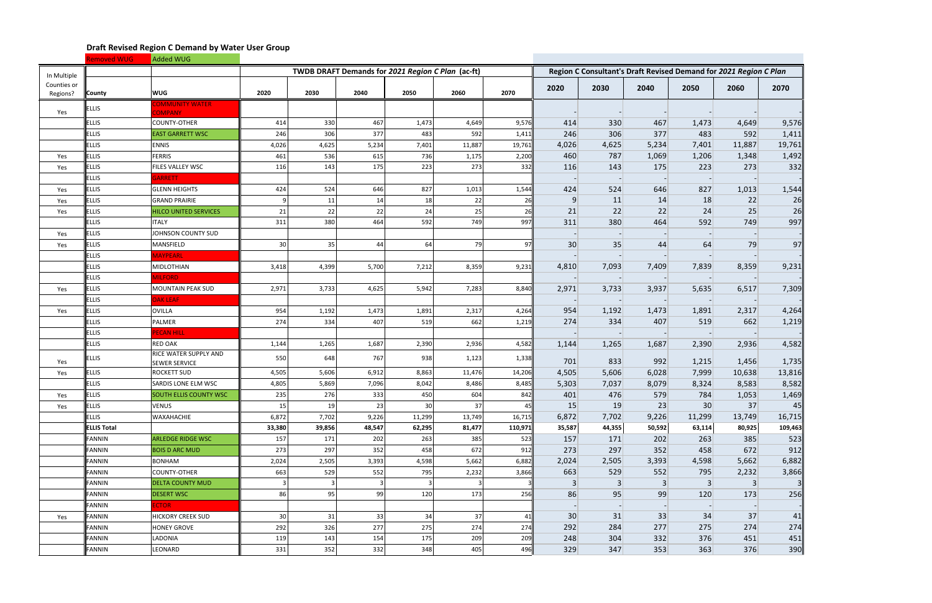|                         | Removed WUG        | Added WUG                                     |                 |        |                                                   |                 |        |         |        |                |        |                                                                   |        |         |
|-------------------------|--------------------|-----------------------------------------------|-----------------|--------|---------------------------------------------------|-----------------|--------|---------|--------|----------------|--------|-------------------------------------------------------------------|--------|---------|
| In Multiple             |                    |                                               |                 |        | TWDB DRAFT Demands for 2021 Region C Plan (ac-ft) |                 |        |         |        |                |        | Region C Consultant's Draft Revised Demand for 2021 Region C Plan |        |         |
| Counties or<br>Regions? | <b>County</b>      | <b>WUG</b>                                    | 2020            | 2030   | 2040                                              | 2050            | 2060   | 2070    | 2020   | 2030           | 2040   | 2050                                                              | 2060   | 2070    |
| Yes                     | <b>ELLIS</b>       | <b>COMMUNITY WATER</b><br><b>COMPANY</b>      |                 |        |                                                   |                 |        |         |        |                |        |                                                                   |        |         |
|                         | <b>ELLIS</b>       | <b>COUNTY-OTHER</b>                           | 414             | 330    | 467                                               | 1,473           | 4,649  | 9,576   | 414    | 330            | 467    | 1,473                                                             | 4,649  | 9,576   |
|                         | <b>ELLIS</b>       | <b>EAST GARRETT WSC</b>                       | 246             | 306    | 377                                               | 483             | 592    | 1,411   | 246    | 306            | 377    | 483                                                               | 592    | 1,411   |
|                         | <b>ELLIS</b>       | <b>ENNIS</b>                                  | 4,026           | 4,625  | 5,234                                             | 7,401           | 11,887 | 19,761  | 4,026  | 4,625          | 5,234  | 7,401                                                             | 11,887 | 19,761  |
| Yes                     | <b>ELLIS</b>       | <b>FERRIS</b>                                 | 461             | 536    | 615                                               | 736             | 1,175  | 2,200   | 460    | 787            | 1,069  | 1,206                                                             | 1,348  | 1,492   |
| Yes                     | <b>ELLIS</b>       | FILES VALLEY WSC                              | 116             | 143    | 175                                               | 223             | 273    | 332     | 116    | 143            | 175    | 223                                                               | 273    | 332     |
|                         | <b>ELLIS</b>       | GARRETT                                       |                 |        |                                                   |                 |        |         |        |                |        |                                                                   |        |         |
| Yes                     | <b>ELLIS</b>       | <b>GLENN HEIGHTS</b>                          | 424             | 524    | 646                                               | 827             | 1,013  | 1,544   | 424    | 524            | 646    | 827                                                               | 1,013  | 1,544   |
| Yes                     | <b>ELLIS</b>       | <b>GRAND PRAIRIE</b>                          |                 | 11     | 14                                                | 18              | 22     | 26      | 9      | 11             | 14     | 18                                                                | 22     | 26      |
| Yes                     | <b>ELLIS</b>       | <b>HILCO UNITED SERVICES</b>                  | 21              | 22     | 22                                                | 24              | 25     | 26      | 21     | 22             | 22     | 24                                                                | 25     | 26      |
|                         | <b>ELLIS</b>       | <b>ITALY</b>                                  | 311             | 380    | 464                                               | 592             | 749    | 997     | 311    | 380            | 464    | 592                                                               | 749    | 997     |
| Yes                     | <b>ELLIS</b>       | JOHNSON COUNTY SUD                            |                 |        |                                                   |                 |        |         |        |                |        |                                                                   |        |         |
| Yes                     | <b>ELLIS</b>       | MANSFIELD                                     | 30              | 35     | 44                                                | 64              | 79     | 97      | 30     | 35             | 44     | 64                                                                | 79     | 97      |
|                         | <b>ELLIS</b>       | MAYPEARL                                      |                 |        |                                                   |                 |        |         |        |                |        |                                                                   |        |         |
|                         | <b>ELLIS</b>       | MIDLOTHIAN                                    | 3,418           | 4,399  | 5,700                                             | 7,212           | 8,359  | 9,231   | 4,810  | 7,093          | 7,409  | 7,839                                                             | 8,359  | 9,231   |
|                         | <b>ELLIS</b>       | <b>VILFORD</b>                                |                 |        |                                                   |                 |        |         |        |                |        |                                                                   |        |         |
| Yes                     | <b>ELLIS</b>       | MOUNTAIN PEAK SUD                             | 2,971           | 3,733  | 4,625                                             | 5,942           | 7,283  | 8,840   | 2,971  | 3,733          | 3,937  | 5,635                                                             | 6,517  | 7,309   |
|                         | <b>ELLIS</b>       | <b>OAK LEAF</b>                               |                 |        |                                                   |                 |        |         |        |                |        |                                                                   |        |         |
| Yes                     | <b>ELLIS</b>       | <b>OVILLA</b>                                 | 954             | 1,192  | 1,473                                             | 1,891           | 2,317  | 4,264   | 954    | 1,192          | 1,473  | 1,891                                                             | 2,317  | 4,264   |
|                         | <b>ELLIS</b>       | PALMER                                        | 274             | 334    | 407                                               | 519             | 662    | 1,219   | 274    | 334            | 407    | 519                                                               | 662    | 1,219   |
|                         | <b>ELLIS</b>       | <b>ECAN HILL</b>                              |                 |        |                                                   |                 |        |         |        |                |        |                                                                   |        |         |
|                         | <b>ELLIS</b>       | RED OAK                                       | 1,144           | 1,265  | 1,687                                             | 2,390           | 2,936  | 4,582   | 1,144  | 1,265          | 1,687  | 2,390                                                             | 2,936  | 4,582   |
| Yes                     | <b>ELLIS</b>       | RICE WATER SUPPLY AND<br><b>SEWER SERVICE</b> | 550             | 648    | 767                                               | 938             | 1,123  | 1,338   | 701    | 833            | 992    | 1,215                                                             | 1,456  | 1,735   |
| Yes                     | <b>ELLIS</b>       | <b>ROCKETT SUD</b>                            | 4,505           | 5,606  | 6,912                                             | 8,863           | 11,476 | 14,206  | 4,505  | 5,606          | 6,028  | 7,999                                                             | 10,638 | 13,816  |
|                         | <b>ELLIS</b>       | SARDIS LONE ELM WSC                           | 4,805           | 5,869  | 7,096                                             | 8,042           | 8,486  | 8,485   | 5,303  | 7,037          | 8,079  | 8,324                                                             | 8,583  | 8,582   |
| Yes                     | <b>ELLIS</b>       | <b>SOUTH ELLIS COUNTY WSC</b>                 | 235             | 276    | 333                                               | 450             | 604    | 842     | 401    | 476            | 579    | 784                                                               | 1,053  | 1,469   |
| Yes                     | <b>ELLIS</b>       | <b>VENUS</b>                                  | 15 <sub>l</sub> | 19     | 23                                                | 30 <sup>°</sup> | 37     | 45      | 15     | 19             | 23     | 30                                                                | 37     | 45      |
|                         | <b>ELLIS</b>       | <b>WAXAHACHIE</b>                             | 6,872           | 7,702  | 9,226                                             | 11,299          | 13,749 | 16,715  | 6,872  | 7,702          | 9,226  | 11,299                                                            | 13,749 | 16,715  |
|                         | <b>ELLIS Total</b> |                                               | 33,380          | 39,856 | 48,547                                            | 62,295          | 81,477 | 110,971 | 35,587 | 44,355         | 50,592 | 63,114                                                            | 80,925 | 109,463 |
|                         | <b>FANNIN</b>      | <b>ARLEDGE RIDGE WSC</b>                      | 157             | 171    | 202                                               | 263             | 385    | 523     | 157    | 171            | 202    | 263                                                               | 385    | 523     |
|                         | <b>FANNIN</b>      | <b>BOIS D ARC MUD</b>                         | 273             | 297    | 352                                               | 458             | 672    | 912     | 273    | 297            | 352    | 458                                                               | 672    | 912     |
|                         | <b>FANNIN</b>      | <b>BONHAM</b>                                 | 2,024           | 2,505  | 3,393                                             | 4,598           | 5,662  | 6,882   | 2,024  | 2,505          | 3,393  | 4,598                                                             | 5,662  | 6,882   |
|                         | <b>FANNIN</b>      | COUNTY-OTHER                                  | 663             | 529    | 552                                               | 795             | 2,232  | 3,866   | 663    | 529            | 552    | 795                                                               | 2,232  | 3,866   |
|                         | <b>FANNIN</b>      | <b>DELTA COUNTY MUD</b>                       | 3               |        | $\overline{3}$                                    |                 | 3      |         | 3      | $\overline{3}$ | 3      | $\vert 3 \vert$                                                   | 3      |         |
|                         | <b>FANNIN</b>      | <b>DESERT WSC</b>                             | 86              | 95     | 99                                                | 120             | 173    | 256     | 86     | 95             | 99     | 120                                                               | 173    | 256     |
|                         | <b>FANNIN</b>      | <b>CTOR</b>                                   |                 |        |                                                   |                 |        |         |        |                |        |                                                                   |        |         |
| Yes                     | <b>FANNIN</b>      | <b>HICKORY CREEK SUD</b>                      | 30              | 31     | 33                                                | 34              | 37     | 41      | 30     | 31             | 33     | 34                                                                | 37     | 41      |
|                         | <b>FANNIN</b>      | <b>HONEY GROVE</b>                            | 292             | 326    | 277                                               | 275             | 274    | 274     | 292    | 284            | 277    | 275                                                               | 274    | 274     |
|                         | <b>FANNIN</b>      | LADONIA                                       | 119             | 143    | 154                                               | 175             | 209    | 209     | 248    | 304            | 332    | 376                                                               | 451    | 451     |
|                         | <b>FANNIN</b>      | LEONARD                                       | 331             | 352    | 332                                               | 348             | 405    | 496     | 329    | 347            | 353    | 363                                                               | 376    | 390     |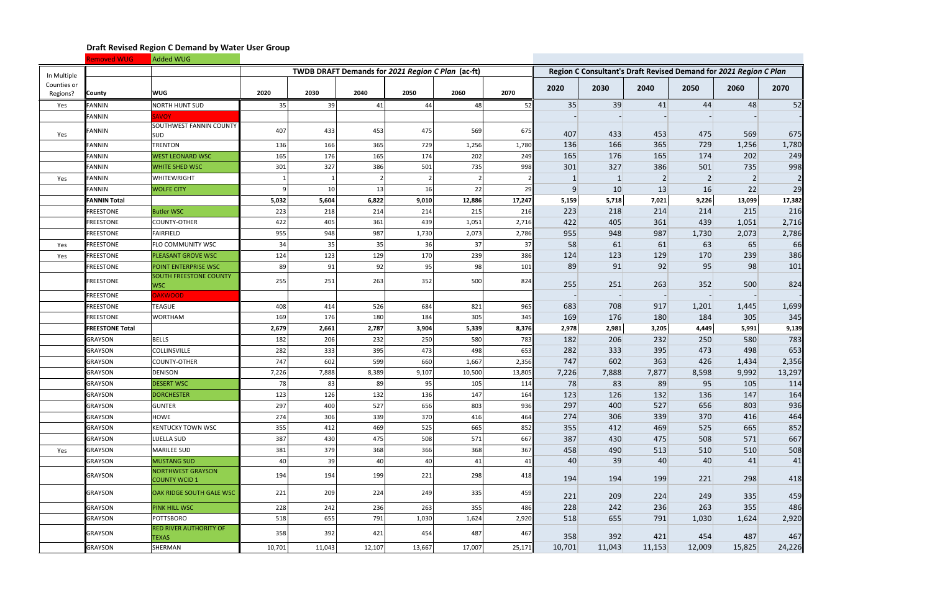|                         | <b>Removed WUG</b>     | Added WUG                                        |        |        |                                                   |        |        |        |        |              |                |                                                                   |        |        |
|-------------------------|------------------------|--------------------------------------------------|--------|--------|---------------------------------------------------|--------|--------|--------|--------|--------------|----------------|-------------------------------------------------------------------|--------|--------|
| In Multiple             |                        |                                                  |        |        | TWDB DRAFT Demands for 2021 Region C Plan (ac-ft) |        |        |        |        |              |                | Region C Consultant's Draft Revised Demand for 2021 Region C Plan |        |        |
| Counties or<br>Regions? | <b>County</b>          | <b>WUG</b>                                       | 2020   | 2030   | 2040                                              | 2050   | 2060   | 2070   | 2020   | 2030         | 2040           | 2050                                                              | 2060   | 2070   |
| Yes                     | <b>FANNIN</b>          | NORTH HUNT SUD                                   | 35     | 39     | 41                                                | 44     | 48     | 52     | 35     | 39           | 41             | 44                                                                | 48     | 52     |
|                         | <b>FANNIN</b>          | <b>SAVOY</b>                                     |        |        |                                                   |        |        |        |        |              |                |                                                                   |        |        |
| Yes                     | <b>FANNIN</b>          | <b>SOUTHWEST FANNIN COUNTY</b><br><b>SUD</b>     | 407    | 433    | 453                                               | 475    | 569    | 675    | 407    | 433          | 453            | 475                                                               | 569    | 675    |
|                         | <b>FANNIN</b>          | <b>TRENTON</b>                                   | 136    | 166    | 365                                               | 729    | 1,256  | 1,780  | 136    | 166          | 365            | 729                                                               | 1,256  | 1,780  |
|                         | <b>FANNIN</b>          | <b>WEST LEONARD WSC</b>                          | 165    | 176    | 165                                               | 174    | 202    | 249    | 165    | 176          | 165            | 174                                                               | 202    | 249    |
|                         | <b>FANNIN</b>          | <b>WHITE SHED WSC</b>                            | 301    | 327    | 386                                               | 501    | 735    | 998    | 301    | 327          | 386            | 501                                                               | 735    | 998    |
| Yes                     | <b>FANNIN</b>          | WHITEWRIGHT                                      |        |        | $\overline{2}$                                    |        |        |        |        | $\mathbf{1}$ | $\overline{2}$ | $\vert$ 2                                                         | 2      |        |
|                         | <b>FANNIN</b>          | <b>WOLFE CITY</b>                                | 9      | 10     | 13                                                | 16     | 22     | 29     | 9      | 10           | 13             | 16                                                                | 22     | 29     |
|                         | <b>FANNIN Total</b>    |                                                  | 5,032  | 5,604  | 6,822                                             | 9,010  | 12,886 | 17,247 | 5,159  | 5,718        | 7,021          | 9,226                                                             | 13,099 | 17,382 |
|                         | <b>FREESTONE</b>       | <b>Butler WSC</b>                                | 223    | 218    | 214                                               | 214    | 215    | 216    | 223    | 218          | 214            | 214                                                               | 215    | 216    |
|                         | <b>FREESTONE</b>       | <b>COUNTY-OTHER</b>                              | 422    | 405    | 361                                               | 439    | 1,051  | 2,716  | 422    | 405          | 361            | 439                                                               | 1,051  | 2,716  |
|                         | FREESTONE              | FAIRFIELD                                        | 955    | 948    | 987                                               | 1,730  | 2,073  | 2,786  | 955    | 948          | 987            | 1,730                                                             | 2,073  | 2,786  |
| Yes                     | <b>FREESTONE</b>       | FLO COMMUNITY WSC                                | 34     | 35     | 35                                                | 36     | 37     | 37     | 58     | 61           | 61             | 63                                                                | 65     | 66     |
| Yes                     | <b>FREESTONE</b>       | PLEASANT GROVE WSC                               | 124    | 123    | 129                                               | 170    | 239    | 386    | 124    | 123          | 129            | 170                                                               | 239    | 386    |
|                         | <b>FREESTONE</b>       | POINT ENTERPRISE WSC                             | 89     | 91     | 92                                                | 95     | 98     | 101    | 89     | 91           | 92             | 95                                                                | 98     | 101    |
|                         | <b>FREESTONE</b>       | <b>SOUTH FREESTONE COUNTY</b><br><b>WSC</b>      | 255    | 251    | 263                                               | 352    | 500    | 824    | 255    | 251          | 263            | 352                                                               | 500    | 824    |
|                         | <b>FREESTONE</b>       | <b>JAKWOOD</b>                                   |        |        |                                                   |        |        |        |        |              |                |                                                                   |        |        |
|                         | FREESTONE              | <b>TEAGUE</b>                                    | 408    | 414    | 526                                               | 684    | 821    | 965    | 683    | 708          | 917            | 1,201                                                             | 1,445  | 1,699  |
|                         | <b>FREESTONE</b>       | <b>WORTHAM</b>                                   | 169    | 176    | 180                                               | 184    | 305    | 345    | 169    | 176          | 180            | 184                                                               | 305    | 345    |
|                         | <b>FREESTONE Total</b> |                                                  | 2,679  | 2,661  | 2,787                                             | 3,904  | 5,339  | 8,376  | 2,978  | 2,981        | 3,205          | 4,449                                                             | 5,991  | 9,139  |
|                         | <b>GRAYSON</b>         | <b>BELLS</b>                                     | 182    | 206    | 232                                               | 250    | 580    | 783    | 182    | 206          | 232            | 250                                                               | 580    | 783    |
|                         | <b>GRAYSON</b>         | <b>COLLINSVILLE</b>                              | 282    | 333    | 395                                               | 473    | 498    | 653    | 282    | 333          | 395            | 473                                                               | 498    | 653    |
|                         | <b>GRAYSON</b>         | <b>COUNTY-OTHER</b>                              | 747    | 602    | 599                                               | 660    | 1,667  | 2,356  | 747    | 602          | 363            | 426                                                               | 1,434  | 2,356  |
|                         | <b>GRAYSON</b>         | <b>DENISON</b>                                   | 7,226  | 7,888  | 8,389                                             | 9,107  | 10,500 | 13,805 | 7,226  | 7,888        | 7,877          | 8,598                                                             | 9,992  | 13,297 |
|                         | <b>GRAYSON</b>         | <b>DESERT WSC</b>                                | 78     | 83     | 89                                                | 95     | 105    | 114    | 78     | 83           | 89             | 95                                                                | 105    | 114    |
|                         | <b>GRAYSON</b>         | <b>DORCHESTER</b>                                | 123    | 126    | 132                                               | 136    | 147    | 164    | 123    | 126          | 132            | 136                                                               | 147    | 164    |
|                         | <b>GRAYSON</b>         | <b>GUNTER</b>                                    | 297    | 400    | 527                                               | 656    | 803    | 936    | 297    | 400          | 527            | 656                                                               | 803    | 936    |
|                         | <b>GRAYSON</b>         | HOWE                                             | 274    | 306    | 339                                               | 370    | 416    | 464    | 274    | 306          | 339            | 370                                                               | 416    | 464    |
|                         | <b>GRAYSON</b>         | <b>KENTUCKY TOWN WSC</b>                         | 355    | 412    | 469                                               | 525    | 665    | 852    | 355    | 412          | 469            | 525                                                               | 665    | 852    |
|                         | <b>GRAYSON</b>         | LUELLA SUD                                       | 387    | 430    | 475                                               | 508    | 571    | 667    | 387    | 430          | 475            | 508                                                               | 571    | 667    |
| Yes                     | <b>GRAYSON</b>         | <b>MARILEE SUD</b>                               | 381    | 379    | 368                                               | 366    | 368    | 367    | 458    | 490          | 513            | 510                                                               | 510    | 508    |
|                         | <b>GRAYSON</b>         | MUSTANG SUD                                      | 40     | 39     | 40                                                | 40     | 41     | 41     | 40     | 39           | 40             | 40                                                                | 41     | 41     |
|                         | <b>GRAYSON</b>         | <b>NORTHWEST GRAYSON</b><br><b>COUNTY WCID 1</b> | 194    | 194    | 199                                               | 221    | 298    | 418    | 194    | 194          | 199            | 221                                                               | 298    | 418    |
|                         | <b>GRAYSON</b>         | OAK RIDGE SOUTH GALE WSC                         | 221    | 209    | 224                                               | 249    | 335    | 459    | 221    | 209          | 224            | 249                                                               | 335    | 459    |
|                         | <b>GRAYSON</b>         | <b>PINK HILL WSC</b>                             | 228    | 242    | 236                                               | 263    | 355    | 486    | 228    | 242          | 236            | 263                                                               | 355    | 486    |
|                         | <b>GRAYSON</b>         | <b>POTTSBORO</b>                                 | 518    | 655    | 791                                               | 1,030  | 1,624  | 2,920  | 518    | 655          | 791            | 1,030                                                             | 1,624  | 2,920  |
|                         | <b>GRAYSON</b>         | <b>RED RIVER AUTHORITY OF</b><br><b>TEXAS</b>    | 358    | 392    | 421                                               | 454    | 487    | 467    | 358    | 392          | 421            | 454                                                               | 487    | 467    |
|                         | <b>GRAYSON</b>         | SHERMAN                                          | 10,701 | 11,043 | 12,107                                            | 13,667 | 17,007 | 25,171 | 10,701 | 11,043       | 11,153         | 12,009                                                            | 15,825 | 24,226 |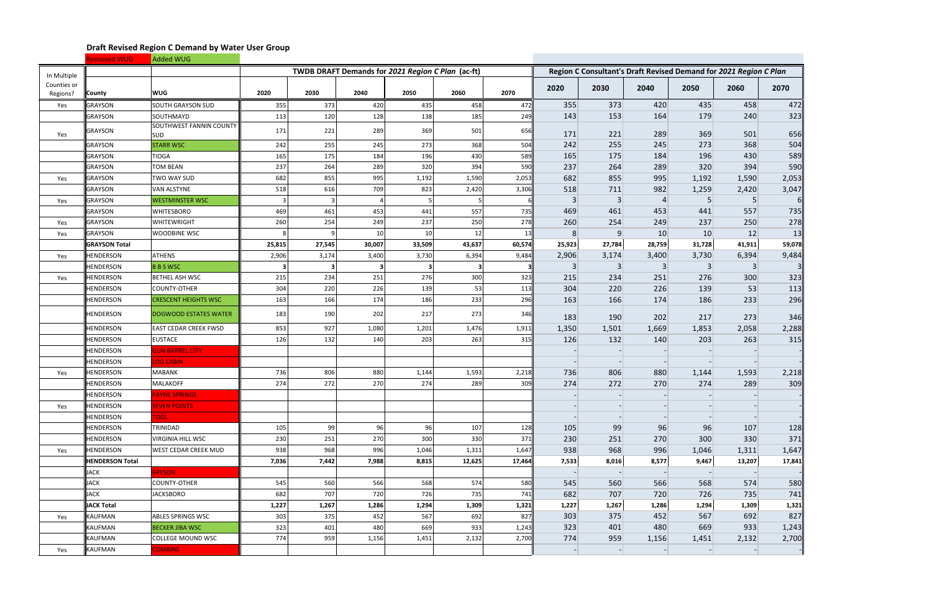|                         | Removed WUG            | Added WUG                                    |        |        |                                                   |                 |        |        |                |                |                |                                                                   |        |            |
|-------------------------|------------------------|----------------------------------------------|--------|--------|---------------------------------------------------|-----------------|--------|--------|----------------|----------------|----------------|-------------------------------------------------------------------|--------|------------|
| In Multiple             |                        |                                              |        |        | TWDB DRAFT Demands for 2021 Region C Plan (ac-ft) |                 |        |        |                |                |                | Region C Consultant's Draft Revised Demand for 2021 Region C Plan |        |            |
| Counties or<br>Regions? | <b>County</b>          | <b>WUG</b>                                   | 2020   | 2030   | 2040                                              | 2050            | 2060   | 2070   | 2020           | 2030           | 2040           | 2050                                                              | 2060   | 2070       |
| Yes                     | <b>GRAYSON</b>         | SOUTH GRAYSON SUD                            | 355    | 373    | 420                                               | 435             | 458    | 472    | 355            | 373            | 420            | 435                                                               | 458    | 472        |
|                         | GRAYSON                | SOUTHMAYD                                    | 113    | 120    | 128                                               | 138             | 185    | 249    | 143            | 153            | 164            | 179                                                               | 240    | 323        |
| Yes                     | <b>GRAYSON</b>         | <b>SOUTHWEST FANNIN COUNTY</b><br><b>SUD</b> | 171    | 221    | 289                                               | 369             | 501    | 656    | 171            | 221            | 289            | 369                                                               | 501    | 656        |
|                         | <b>GRAYSON</b>         | <b>STARR WSC</b>                             | 242    | 255    | 245                                               | 273             | 368    | 504    | 242            | 255            | 245            | 273                                                               | 368    | 504        |
|                         | <b>GRAYSON</b>         | <b>TIOGA</b>                                 | 165    | 175    | 184                                               | 196             | 430    | 589    | 165            | 175            | 184            | 196                                                               | 430    | 589        |
|                         | <b>GRAYSON</b>         | TOM BEAN                                     | 237    | 264    | 289                                               | 320             | 394    | 590    | 237            | 264            | 289            | 320                                                               | 394    | 590        |
| Yes                     | <b>GRAYSON</b>         | TWO WAY SUD                                  | 682    | 855    | 995                                               | 1,192           | 1,590  | 2,053  | 682            | 855            | 995            | 1,192                                                             | 1,590  | 2,053      |
|                         | <b>GRAYSON</b>         | <b>VAN ALSTYNE</b>                           | 518    | 616    | 709                                               | 823             | 2,420  | 3,306  | 518            | 711            | 982            | 1,259                                                             | 2,420  | 3,047      |
| Yes                     | <b>GRAYSON</b>         | <b>WESTMINSTER WSC</b>                       | 3      |        |                                                   |                 |        |        | $\overline{3}$ | $\overline{3}$ | 4              | 5                                                                 |        | 6          |
|                         | <b>GRAYSON</b>         | <b>WHITESBORO</b>                            | 469    | 461    | 453                                               | 441             | 557    | 735    | 469            | 461            | 453            | 441                                                               | 557    | 735        |
| Yes                     | <b>GRAYSON</b>         | <b>WHITEWRIGHT</b>                           | 260    | 254    | 249                                               | 237             | 250    | 278    | 260            | 254            | 249            | 237                                                               | 250    | 278        |
| Yes                     | <b>GRAYSON</b>         | WOODBINE WSC                                 | 8      |        | 10                                                | 10 <sup>1</sup> | 12     | 13     | 8 <sup>2</sup> | 9              | 10             | 10                                                                | 12     | 13         |
|                         | <b>GRAYSON Total</b>   |                                              | 25,815 | 27,545 | 30,007                                            | 33,509          | 43,637 | 60,574 | 25,923         | 27,784         | 28,759         | 31,728                                                            | 41,911 | 59,078     |
| Yes                     | <b>HENDERSON</b>       | <b>ATHENS</b>                                | 2,906  | 3,174  | 3,400                                             | 3,730           | 6,394  | 9,484  | 2,906          | 3,174          | 3,400          | 3,730                                                             | 6,394  | 9,484      |
|                         | <b>HENDERSON</b>       | <b>BBSWSC</b>                                | 3      |        | -3                                                | 3               |        |        | 3              | $\overline{3}$ | $\overline{3}$ | 3                                                                 | 3      |            |
| Yes                     | <b>HENDERSON</b>       | BETHEL ASH WSC                               | 215    | 234    | 251                                               | 276             | 300    | 323    | 215            | 234            | 251            | 276                                                               | 300    | 323        |
|                         | <b>HENDERSON</b>       | <b>COUNTY-OTHER</b>                          | 304    | 220    | 226                                               | 139             | 53     | 113    | 304            | 220            | 226            | 139                                                               | 53     | 113        |
|                         | HENDERSON              | <b>CRESCENT HEIGHTS WSC</b>                  | 163    | 166    | 174                                               | 186             | 233    | 296    | 163            | 166            | 174            | 186                                                               | 233    | 296        |
|                         | HENDERSON              | <b>DOGWOOD ESTATES WATER</b>                 | 183    | 190    | 202                                               | 217             | 273    | 346    | 183            | 190            | 202            | 217                                                               | 273    | 346        |
|                         | <b>HENDERSON</b>       | EAST CEDAR CREEK FWSD                        | 853    | 927    | 1,080                                             | 1,201           | 1,476  | 1,911  | 1,350          | 1,501          | 1,669          | 1,853                                                             | 2,058  | 2,288      |
|                         | <b>HENDERSON</b>       | <b>EUSTACE</b>                               | 126    | 132    | 140                                               | 203             | 263    | 315    | 126            | 132            | 140            | 203                                                               | 263    | 315        |
|                         | HENDERSON              | <b>GUN BARREL CITY</b>                       |        |        |                                                   |                 |        |        |                |                |                |                                                                   |        |            |
|                         | <b>HENDERSON</b>       | <b>OG CABIN</b>                              |        |        |                                                   |                 |        |        |                |                |                |                                                                   |        |            |
| Yes                     | <b>HENDERSON</b>       | <b>MABANK</b>                                | 736    | 806    | 880                                               | 1,144           | 1,593  | 2,218  | 736            | 806            | 880            | 1,144                                                             | 1,593  | 2,218      |
|                         | <b>HENDERSON</b>       | MALAKOFF                                     | 274    | 272    | 270                                               | 274             | 289    | 309    | 274            | 272            | 270            | 274                                                               | 289    | 309        |
|                         | <b>HENDERSON</b>       | <b>PAYNE SPRINGS</b>                         |        |        |                                                   |                 |        |        |                |                |                |                                                                   |        |            |
| Yes                     | <b>HENDERSON</b>       | <b>EVEN POINTS</b>                           |        |        |                                                   |                 |        |        |                |                |                |                                                                   |        |            |
|                         | <b>HENDERSON</b>       | <b>TOOL</b>                                  |        |        |                                                   |                 |        |        |                |                |                |                                                                   |        |            |
|                         | HENDERSON              | TRINIDAD                                     | 105    | 99     | 96                                                | 96              | 107    | 128    | 105            | 99             | 96             | 96                                                                | 107    | 128        |
|                         | HENDERSON              | <b>VIRGINIA HILL WSC</b>                     | 230    | 251    | 270                                               | 300             | 330    | 371    | 230            | 251            | 270            | 300                                                               | 330    | 371        |
| Yes                     | <b>HENDERSON</b>       | WEST CEDAR CREEK MUD                         | 938    | 968    | 996                                               | 1,046           | 1,311  | 1,647  | 938            | 968            | 996            | 1,046                                                             | 1,311  | 1,647      |
|                         | <b>HENDERSON Total</b> |                                              | 7,036  | 7,442  | 7,988                                             | 8,815           | 12,625 | 17,464 | 7,533          | 8,016          | 8,577          | 9,467                                                             | 13,207 | 17,841     |
|                         | <b>JACK</b>            | <b>BRYSON</b>                                |        |        |                                                   |                 |        |        |                |                |                |                                                                   |        |            |
|                         | <b>JACK</b>            | COUNTY-OTHER                                 | 545    | 560    | 566                                               | 568             | 574    | 580    | 545            | 560            | 566            | 568                                                               | 574    | 580        |
|                         | <b>JACK</b>            | <b>JACKSBORO</b>                             | 682    | 707    | 720                                               | 726             | 735    | 741    | 682            | 707            | 720            | 726                                                               | 735    | <b>741</b> |
|                         | <b>JACK Total</b>      |                                              | 1,227  | 1,267  | 1,286                                             | 1,294           | 1,309  | 1,321  | 1,227          | 1,267          | 1,286          | 1,294                                                             | 1,309  | 1,321      |
| Yes                     | <b>KAUFMAN</b>         | <b>ABLES SPRINGS WSC</b>                     | 303    | 375    | 452                                               | 567             | 692    | 827    | 303            | 375            | 452            | 567                                                               | 692    | 827        |
|                         | KAUFMAN                | <b>BECKER JIBA WSC</b>                       | 323    | 401    | 480                                               | 669             | 933    | 1,243  | 323            | 401            | 480            | 669                                                               | 933    | 1,243      |
|                         | KAUFMAN                | COLLEGE MOUND WSC                            | 774    | 959    | 1,156                                             | 1,451           | 2,132  | 2,700  | 774            | 959            | 1,156          | 1,451                                                             | 2,132  | 2,700      |
| Yes                     | KAUFMAN                | COMBINE                                      |        |        |                                                   |                 |        |        |                |                |                |                                                                   |        |            |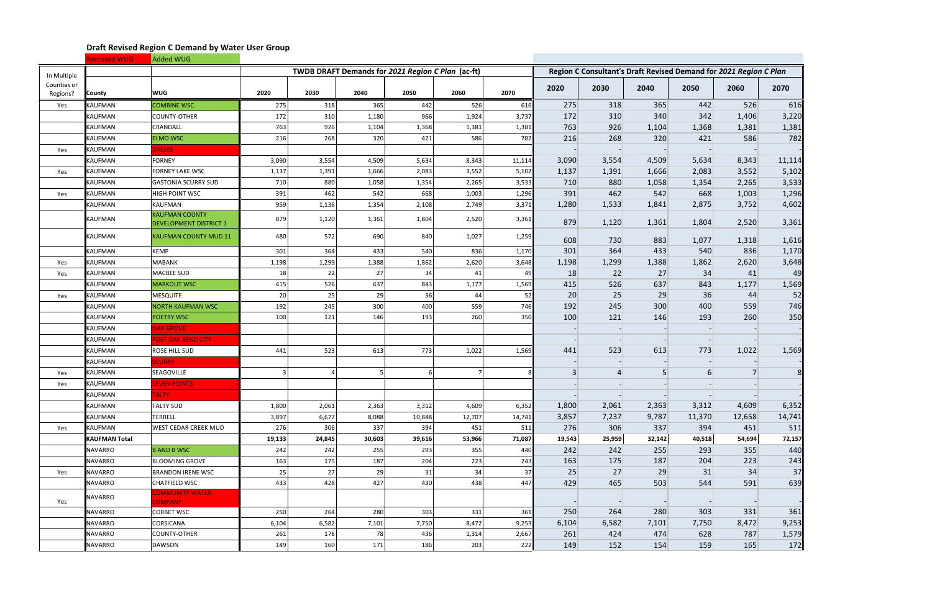|                 | <b>Removed WUG</b>              | Added WUG                                              |        |        |                                                   |        |        |        |                |        |        |                                                                   |        |               |
|-----------------|---------------------------------|--------------------------------------------------------|--------|--------|---------------------------------------------------|--------|--------|--------|----------------|--------|--------|-------------------------------------------------------------------|--------|---------------|
| In Multiple     |                                 |                                                        |        |        | TWDB DRAFT Demands for 2021 Region C Plan (ac-ft) |        |        |        |                |        |        | Region C Consultant's Draft Revised Demand for 2021 Region C Plan |        |               |
| Counties or     |                                 | <b>WUG</b>                                             | 2020   | 2030   | 2040                                              | 2050   | 2060   | 2070   | 2020           | 2030   | 2040   | 2050                                                              | 2060   | 2070          |
| Regions?<br>Yes | <b>County</b><br><b>KAUFMAN</b> | <b>COMBINE WSC</b>                                     | 275    | 318    | 365                                               | 442    | 526    | 616    | 275            | 318    | 365    | 442                                                               | 526    | 616           |
|                 | <b>KAUFMAN</b>                  | <b>COUNTY-OTHER</b>                                    | 172    | 310    | 1,180                                             | 966    | 1,924  | 3,737  | 172            | 310    | 340    | 342                                                               | 1,406  | 3,220         |
|                 | KAUFMAN                         | CRANDALL                                               | 763    | 926    | 1,104                                             | 1,368  | 1,381  | 1,381  | 763            | 926    | 1,104  | 1,368                                                             | 1,381  | 1,381         |
|                 | <b>KAUFMAN</b>                  | <b>ELMO WSC</b>                                        | 216    | 268    | 320                                               | 421    | 586    | 782    | 216            | 268    | 320    | 421                                                               | 586    | 782           |
| Yes             | KAUFMAN                         | <b>DALLAS</b>                                          |        |        |                                                   |        |        |        |                |        |        |                                                                   |        |               |
|                 | <b>KAUFMAN</b>                  | <b>FORNEY</b>                                          | 3,090  | 3,554  | 4,509                                             | 5,634  | 8,343  | 11,114 | 3,090          | 3,554  | 4,509  | 5,634                                                             | 8,343  | 11,114        |
| Yes             | <b>KAUFMAN</b>                  | <b>FORNEY LAKE WSC</b>                                 | 1,137  | 1,391  | 1,666                                             | 2,083  | 3,552  | 5,102  | 1,137          | 1,391  | 1,666  | 2,083                                                             | 3,552  | 5,102         |
|                 | <b>KAUFMAN</b>                  | <b>GASTONIA SCURRY SUD</b>                             | 710    | 880    | 1,058                                             | 1,354  | 2,265  | 3,533  | 710            | 880    | 1,058  | 1,354                                                             | 2,265  | 3,533         |
| Yes             | <b>KAUFMAN</b>                  | <b>HIGH POINT WSC</b>                                  | 391    | 462    | 542                                               | 668    | 1,003  | 1,296  | 391            | 462    | 542    | 668                                                               | 1,003  | 1,296         |
|                 | KAUFMAN                         | <b>KAUFMAN</b>                                         | 959    | 1,136  | 1,354                                             | 2,108  | 2,749  | 3,371  | 1,280          | 1,533  | 1,841  | 2,875                                                             | 3,752  | 4,602         |
|                 | KAUFMAN                         | <b>KAUFMAN COUNTY</b><br><b>DEVELOPMENT DISTRICT 1</b> | 879    | 1,120  | 1,361                                             | 1,804  | 2,520  | 3,361  | 879            | 1,120  | 1,361  | 1,804                                                             | 2,520  | 3,361         |
|                 | KAUFMAN                         | <b>KAUFMAN COUNTY MUD 11</b>                           | 480    | 572    | 690                                               | 840    | 1,027  | 1,259  | 608            | 730    | 883    | 1,077                                                             | 1,318  | 1,616         |
|                 | <b>KAUFMAN</b>                  | <b>KEMP</b>                                            | 301    | 364    | 433                                               | 540    | 836    | 1,170  | 301            | 364    | 433    | 540                                                               | 836    | 1,170         |
| Yes             | <b>KAUFMAN</b>                  | <b>MABANK</b>                                          | 1,198  | 1,299  | 1,388                                             | 1,862  | 2,620  | 3,648  | 1,198          | 1,299  | 1,388  | 1,862                                                             | 2,620  | 3,648         |
| Yes             | KAUFMAN                         | <b>MACBEE SUD</b>                                      | 18     | 22     | 27                                                | 34     | 41     |        | 18             | 22     | 27     | 34                                                                | 41     | 49            |
|                 | <b>KAUFMAN</b>                  | <b>MARKOUT WSC</b>                                     | 415    | 526    | 637                                               | 843    | 1,177  | 1,569  | 415            | 526    | 637    | 843                                                               | 1,177  | 1,569         |
| Yes             | KAUFMAN                         | <b>MESQUITE</b>                                        | 20     | 25     | 29                                                | 36     | 44     | -52    | 20             | 25     | 29     | 36                                                                | 44     | 52            |
|                 | KAUFMAN                         | <b>NORTH KAUFMAN WSC</b>                               | 192    | 245    | 300                                               | 400    | 559    | 746    | 192            | 245    | 300    | 400                                                               | 559    | 746           |
|                 | KAUFMAN                         | <b>POETRY WSC</b>                                      | 100    | 121    | 146                                               | 193    | 260    | 350    | 100            | 121    | 146    | 193                                                               | 260    | 350           |
|                 | <b>KAUFMAN</b>                  | <b>DAK GROVE</b>                                       |        |        |                                                   |        |        |        |                |        |        |                                                                   |        |               |
|                 | <b>KAUFMAN</b>                  | <b>POST OAK BEND CITY</b>                              |        |        |                                                   |        |        |        |                |        |        |                                                                   |        |               |
|                 | KAUFMAN                         | ROSE HILL SUD                                          | 441    | 523    | 613                                               | 773    | 1,022  | 1,569  | 441            | 523    | 613    | 773                                                               | 1,022  | 1,569         |
|                 | <b>KAUFMAN</b>                  | <b>CURRY</b>                                           |        |        |                                                   |        |        |        |                |        |        |                                                                   |        |               |
| Yes             | KAUFMAN                         | SEAGOVILLE                                             | 3      |        | -5                                                | 6      |        |        | $\overline{3}$ |        | 5      | 6                                                                 |        | $\frac{8}{3}$ |
| Yes             | <b>KAUFMAN</b>                  | <b>EVEN POINTS</b>                                     |        |        |                                                   |        |        |        |                |        |        |                                                                   |        |               |
|                 | <b>KAUFMAN</b>                  | <b>TALTY</b>                                           |        |        |                                                   |        |        |        |                |        |        |                                                                   |        |               |
|                 | <b>KAUFMAN</b>                  | <b>TALTY SUD</b>                                       | 1,800  | 2,061  | 2,363                                             | 3,312  | 4,609  | 6,352  | 1,800          | 2,061  | 2,363  | 3,312                                                             | 4,609  | 6,352         |
|                 | KAUFMAN                         | TERRELL                                                | 3,897  | 6,677  | 8,088                                             | 10,848 | 12,707 | 14,741 | 3,857          | 7,237  | 9,787  | 11,370                                                            | 12,658 | 14,741        |
| Yes             | KAUFMAN                         | WEST CEDAR CREEK MUD                                   | 276    | 306    | 337                                               | 394    | 451    | 511    | 276            | 306    | 337    | 394                                                               | 451    | 511           |
|                 | <b>KAUFMAN Total</b>            |                                                        | 19,133 | 24,845 | 30,603                                            | 39,616 | 53,966 | 71,087 | 19,543         | 25,959 | 32,142 | 40,518                                                            | 54,694 | 72,157        |
|                 | <b>NAVARRO</b>                  | <b>B AND B WSC</b>                                     | 242    | 242    | 255                                               | 293    | 355    | 440    | 242            | 242    | 255    | 293                                                               | 355    | 440           |
|                 | <b>NAVARRO</b>                  | <b>BLOOMING GROVE</b>                                  | 163    | 175    | 187                                               | 204    | 223    | 243    | 163            | 175    | 187    | 204                                                               | 223    | 243           |
| Yes             | <b>NAVARRO</b>                  | <b>BRANDON IRENE WSC</b>                               | 25     | 27     | 29                                                | 31     | 34     | 37     | 25             | 27     | 29     | 31                                                                | 34     | 37            |
|                 | <b>NAVARRO</b>                  | <b>CHATFIELD WSC</b>                                   | 433    | 428    | 427                                               | 430    | 438    | 447    | 429            | 465    | 503    | 544                                                               | 591    | 639           |
| Yes             | <b>NAVARRO</b>                  | <b>COMMUNITY WATER</b><br><b>COMPANY</b>               |        |        |                                                   |        |        |        |                |        |        |                                                                   |        |               |
|                 | <b>NAVARRO</b>                  | <b>CORBET WSC</b>                                      | 250    | 264    | 280                                               | 303    | 331    | 361    | 250            | 264    | 280    | 303                                                               | 331    | 361           |
|                 | <b>NAVARRO</b>                  | <b>CORSICANA</b>                                       | 6,104  | 6,582  | 7,101                                             | 7,750  | 8,472  | 9,253  | 6,104          | 6,582  | 7,101  | 7,750                                                             | 8,472  | 9,253         |
|                 | <b>NAVARRO</b>                  | <b>COUNTY-OTHER</b>                                    | 261    | 178    | 78                                                | 436    | 1,314  | 2,667  | 261            | 424    | 474    | 628                                                               | 787    | 1,579         |
|                 | <b>NAVARRO</b>                  | <b>DAWSON</b>                                          | 149    | 160    | 171                                               | 186    | 203    | 222    | 149            | 152    | 154    | 159                                                               | 165    | 172           |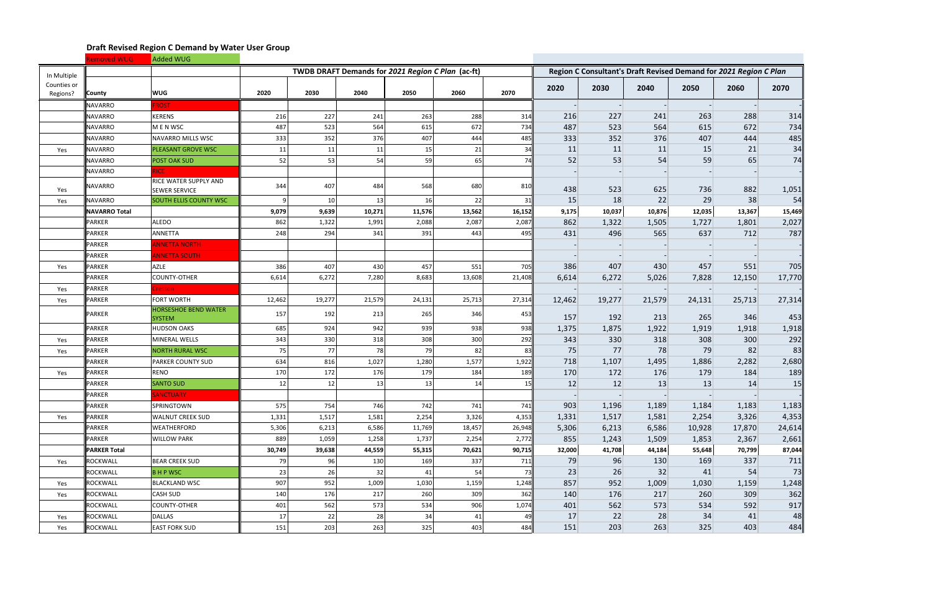|                         | <b>Removed WUG</b>   | Added WUG                                     |        |        |        |                                                   |        |        |        |        |        |                                                                   |        |        |
|-------------------------|----------------------|-----------------------------------------------|--------|--------|--------|---------------------------------------------------|--------|--------|--------|--------|--------|-------------------------------------------------------------------|--------|--------|
| In Multiple             |                      |                                               |        |        |        | TWDB DRAFT Demands for 2021 Region C Plan (ac-ft) |        |        |        |        |        | Region C Consultant's Draft Revised Demand for 2021 Region C Plan |        |        |
| Counties or<br>Regions? | <b>County</b>        | <b>WUG</b>                                    | 2020   | 2030   | 2040   | 2050                                              | 2060   | 2070   | 2020   | 2030   | 2040   | 2050                                                              | 2060   | 2070   |
|                         | <b>NAVARRO</b>       | <b>ROST</b>                                   |        |        |        |                                                   |        |        |        |        |        |                                                                   |        |        |
|                         | <b>NAVARRO</b>       | <b>KERENS</b>                                 | 216    | 227    | 241    | 263                                               | 288    | 314    | 216    | 227    | 241    | 263                                                               | 288    | 314    |
|                         | <b>NAVARRO</b>       | M E N WSC                                     | 487    | 523    | 564    | 615                                               | 672    | 734    | 487    | 523    | 564    | 615                                                               | 672    | 734    |
|                         | <b>NAVARRO</b>       | NAVARRO MILLS WSC                             | 333    | 352    | 376    | 407                                               | 444    | 485    | 333    | 352    | 376    | 407                                                               | 444    | 485    |
| Yes                     | NAVARRO              | PLEASANT GROVE WSC                            | 11     | 11     | 11     | 15                                                | 21     | 34     | 11     | 11     | 11     | 15                                                                | 21     | 34     |
|                         | <b>NAVARRO</b>       | POST OAK SUD                                  | 52     | 53     | 54     | 59                                                | 65     | 74     | 52     | 53     | 54     | 59                                                                | 65     | 74     |
|                         | <b>NAVARRO</b>       | <b>RICE</b>                                   |        |        |        |                                                   |        |        |        |        |        |                                                                   |        |        |
| Yes                     | <b>NAVARRO</b>       | RICE WATER SUPPLY AND<br><b>SEWER SERVICE</b> | 344    | 407    | 484    | 568                                               | 680    | 810    | 438    | 523    | 625    | 736                                                               | 882    | 1,051  |
| Yes                     | <b>NAVARRO</b>       | <b>SOUTH ELLIS COUNTY WSC</b>                 | q      | 10     | 13     | 16                                                | 22     | 31     | 15     | 18     | 22     | 29                                                                | 38     | 54     |
|                         | <b>NAVARRO Total</b> |                                               | 9,079  | 9,639  | 10,271 | 11,576                                            | 13,562 | 16,152 | 9,175  | 10,037 | 10,876 | 12,035                                                            | 13,367 | 15,469 |
|                         | <b>PARKER</b>        | <b>ALEDO</b>                                  | 862    | 1,322  | 1,991  | 2,088                                             | 2,087  | 2,087  | 862    | 1,322  | 1,505  | 1,727                                                             | 1,801  | 2,027  |
|                         | <b>PARKER</b>        | <b>ANNETTA</b>                                | 248    | 294    | 341    | 391                                               | 443    | 495    | 431    | 496    | 565    | 637                                                               | 712    | 787    |
|                         | <b>PARKER</b>        | <b>INNETTA NORTH</b>                          |        |        |        |                                                   |        |        |        |        |        |                                                                   |        |        |
|                         | <b>PARKER</b>        | <b>ANNETTA SOUTH</b>                          |        |        |        |                                                   |        |        |        |        |        |                                                                   |        |        |
| Yes                     | <b>PARKER</b>        | <b>AZLE</b>                                   | 386    | 407    | 430    | 457                                               | 551    | 705    | 386    | 407    | 430    | 457                                                               | 551    | 705    |
|                         | <b>PARKER</b>        | COUNTY-OTHER                                  | 6,614  | 6,272  | 7,280  | 8,683                                             | 13,608 | 21,408 | 6,614  | 6,272  | 5,026  | 7,828                                                             | 12,150 | 17,770 |
| Yes                     | <b>PARKER</b>        | <b>Cresson</b>                                |        |        |        |                                                   |        |        |        |        |        |                                                                   |        |        |
| Yes                     | <b>PARKER</b>        | <b>FORT WORTH</b>                             | 12,462 | 19,277 | 21,579 | 24,131                                            | 25,713 | 27,314 | 12,462 | 19,277 | 21,579 | 24,131                                                            | 25,713 | 27,314 |
|                         | <b>PARKER</b>        | HORSESHOE BEND WATER<br><b>SYSTEM</b>         | 157    | 192    | 213    | 265                                               | 346    | 453    | 157    | 192    | 213    | 265                                                               | 346    | 453    |
|                         | <b>PARKER</b>        | <b>HUDSON OAKS</b>                            | 685    | 924    | 942    | 939                                               | 938    | 938    | 1,375  | 1,875  | 1,922  | 1,919                                                             | 1,918  | 1,918  |
| Yes                     | <b>PARKER</b>        | MINERAL WELLS                                 | 343    | 330    | 318    | 308                                               | 300    | 292    | 343    | 330    | 318    | 308                                                               | 300    | 292    |
| Yes                     | <b>PARKER</b>        | <b>NORTH RURAL WSC</b>                        | 75     | 77     | 78     | 79                                                | 82     | -83    | 75     | 77     | 78     | 79                                                                | 82     | 83     |
|                         | <b>PARKER</b>        | PARKER COUNTY SUD                             | 634    | 816    | 1,027  | 1,280                                             | 1,577  | 1,922  | 718    | 1,107  | 1,495  | 1,886                                                             | 2,282  | 2,680  |
| Yes                     | <b>PARKER</b>        | <b>RENO</b>                                   | 170    | 172    | 176    | 179                                               | 184    | 189    | 170    | 172    | 176    | 179                                                               | 184    | 189    |
|                         | <b>PARKER</b>        | <b>SANTO SUD</b>                              | 12     | 12     | 13     | 13                                                | 14     | 15     | 12     | 12     | 13     | 13                                                                | 14     | 15     |
|                         | <b>PARKER</b>        | <b>SANCTUARY</b>                              |        |        |        |                                                   |        |        |        |        |        |                                                                   |        |        |
|                         | <b>PARKER</b>        | SPRINGTOWN                                    | 575    | 754    | 746    | 742                                               | 741    | 741    | 903    | 1,196  | 1,189  | 1,184                                                             | 1,183  | 1,183  |
| Yes                     | <b>PARKER</b>        | <b>WALNUT CREEK SUD</b>                       | 1,331  | 1,517  | 1,581  | 2,254                                             | 3,326  | 4,353  | 1,331  | 1,517  | 1,581  | 2,254                                                             | 3,326  | 4,353  |
|                         | <b>PARKER</b>        | WEATHERFORD                                   | 5,306  | 6,213  | 6,586  | 11,769                                            | 18,457 | 26,948 | 5,306  | 6,213  | 6,586  | 10,928                                                            | 17,870 | 24,614 |
|                         | <b>PARKER</b>        | <b>WILLOW PARK</b>                            | 889    | 1,059  | 1,258  | 1,737                                             | 2,254  | 2,772  | 855    | 1,243  | 1,509  | 1,853                                                             | 2,367  | 2,661  |
|                         | <b>PARKER Total</b>  |                                               | 30,749 | 39,638 | 44,559 | 55,315                                            | 70,621 | 90,715 | 32,000 | 41,708 | 44,184 | 55,648                                                            | 70,799 | 87,044 |
| Yes                     | <b>ROCKWALL</b>      | <b>BEAR CREEK SUD</b>                         | 79     | 96     | 130    | 169                                               | 337    | 711    | 79     | 96     | 130    | 169                                                               | 337    | 711    |
|                         | <b>ROCKWALL</b>      | <b>BHPWSC</b>                                 | 23     | 26     | 32     | 41                                                | 54     | 73     | 23     | 26     | 32     | 41                                                                | 54     | 73     |
| Yes                     | <b>ROCKWALL</b>      | <b>BLACKLAND WSC</b>                          | 907    | 952    | 1,009  | 1,030                                             | 1,159  | 1,248  | 857    | 952    | 1,009  | 1,030                                                             | 1,159  | 1,248  |
| Yes                     | <b>ROCKWALL</b>      | <b>CASH SUD</b>                               | 140    | 176    | 217    | 260                                               | 309    | 362    | 140    | 176    | 217    | 260                                                               | 309    | 362    |
|                         | <b>ROCKWALL</b>      | COUNTY-OTHER                                  | 401    | 562    | 573    | 534                                               | 906    | 1,074  | 401    | 562    | 573    | 534                                                               | 592    | 917    |
| Yes                     | <b>ROCKWALL</b>      | <b>DALLAS</b>                                 | 17     | 22     | 28     | 34                                                | 41     | 49     | 17     | 22     | 28     | 34                                                                | 41     | 48     |
| Yes                     | <b>ROCKWALL</b>      | <b>EAST FORK SUD</b>                          | 151    | 203    | 263    | 325                                               | 403    | 484    | 151    | 203    | 263    | 325                                                               | 403    | 484    |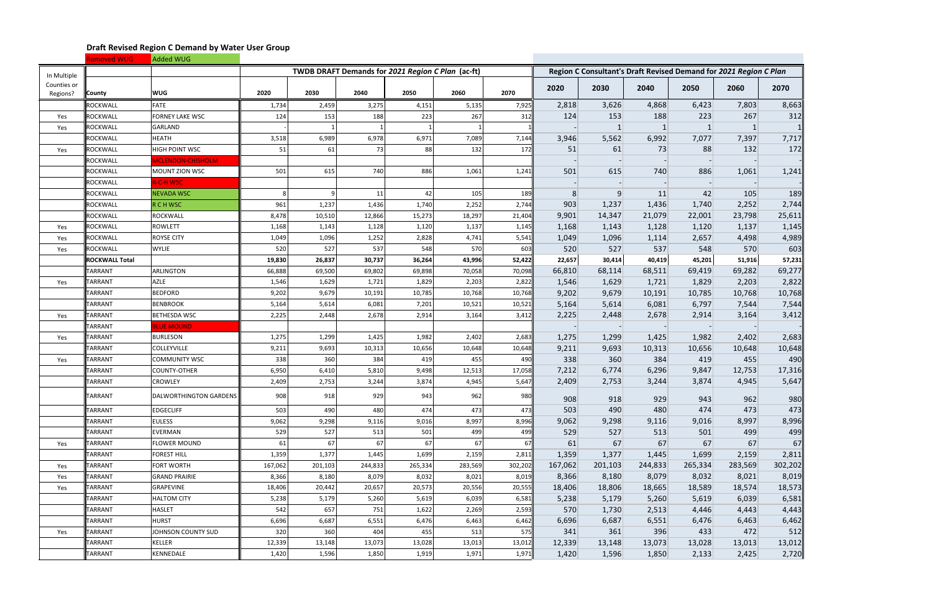|                         | <b>Removed WUG</b>    | Added WUG                |         |         |         |                                                   |         |         |         |                                                                   |              |         |         |         |
|-------------------------|-----------------------|--------------------------|---------|---------|---------|---------------------------------------------------|---------|---------|---------|-------------------------------------------------------------------|--------------|---------|---------|---------|
| In Multiple             |                       |                          |         |         |         | TWDB DRAFT Demands for 2021 Region C Plan (ac-ft) |         |         |         | Region C Consultant's Draft Revised Demand for 2021 Region C Plan |              |         |         |         |
| Counties or<br>Regions? | <b>County</b>         | <b>WUG</b>               | 2020    | 2030    | 2040    | 2050                                              | 2060    | 2070    | 2020    | 2030                                                              | 2040         | 2050    | 2060    | 2070    |
|                         | <b>ROCKWALL</b>       | <b>FATE</b>              | 1,734   | 2,459   | 3,275   | 4,151                                             | 5,135   | 7,925   | 2,818   | 3,626                                                             | 4,868        | 6,423   | 7,803   | 8,663   |
| Yes                     | <b>ROCKWALL</b>       | <b>FORNEY LAKE WSC</b>   | 124     | 153     | 188     | 223                                               | 267     | 312     | 124     | 153                                                               | 188          | 223     | 267     | $312$   |
| Yes                     | <b>ROCKWALL</b>       | <b>GARLAND</b>           |         |         |         |                                                   |         |         |         | -1                                                                | $\mathbf{1}$ |         |         |         |
|                         | <b>ROCKWALL</b>       | HEATH                    | 3,518   | 6,989   | 6,978   | 6,971                                             | 7,089   | 7,144   | 3,946   | 5,562                                                             | 6,992        | 7,077   | 7,397   | 7,717   |
| Yes                     | <b>ROCKWALL</b>       | HIGH POINT WSC           | 51      | 61      | 73      | 88                                                | 132     | 172     | 51      | 61                                                                | 73           | 88      | 132     | 172     |
|                         | <b>ROCKWALL</b>       | <b>ACLENDON-CHISHOLM</b> |         |         |         |                                                   |         |         |         |                                                                   |              |         |         |         |
|                         | <b>ROCKWALL</b>       | MOUNT ZION WSC           | 501     | 615     | 740     | 886                                               | 1,061   | 1,241   | 501     | 615                                                               | 740          | 886     | 1,061   | 1,241   |
|                         | <b>ROCKWALL</b>       | R-C-H WSC                |         |         |         |                                                   |         |         |         |                                                                   |              |         |         |         |
|                         | <b>ROCKWALL</b>       | <b>NEVADA WSC</b>        | 8       |         | 11      | 42                                                | 105     | 189     | 8       | $\overline{9}$                                                    | 11           | 42      | 105     | 189     |
|                         | <b>ROCKWALL</b>       | R C H WSC                | 961     | 1,237   | 1,436   | 1,740                                             | 2,252   | 2,744   | 903     | 1,237                                                             | 1,436        | 1,740   | 2,252   | 2,744   |
|                         | <b>ROCKWALL</b>       | ROCKWALL                 | 8,478   | 10,510  | 12,866  | 15,273                                            | 18,297  | 21,404  | 9,901   | 14,347                                                            | 21,079       | 22,001  | 23,798  | 25,611  |
| Yes                     | <b>ROCKWALL</b>       | ROWLETT                  | 1,168   | 1,143   | 1,128   | 1,120                                             | 1,137   | 1,145   | 1,168   | 1,143                                                             | 1,128        | 1,120   | 1,137   | 1,145   |
| Yes                     | <b>ROCKWALL</b>       | <b>ROYSE CITY</b>        | 1,049   | 1,096   | 1,252   | 2,828                                             | 4,741   | 5,541   | 1,049   | 1,096                                                             | 1,114        | 2,657   | 4,498   | 4,989   |
| Yes                     | <b>ROCKWALL</b>       | <b>WYLIE</b>             | 520     | 527     | 537     | 548                                               | 570     | 603     | 520     | 527                                                               | 537          | 548     | 570     | 603     |
|                         | <b>ROCKWALL Total</b> |                          | 19,830  | 26,837  | 30,737  | 36,264                                            | 43,996  | 52,422  | 22,657  | 30,414                                                            | 40,419       | 45,201  | 51,916  | 57,231  |
|                         | <b>TARRANT</b>        | <b>ARLINGTON</b>         | 66,888  | 69,500  | 69,802  | 69,898                                            | 70,058  | 70,098  | 66,810  | 68,114                                                            | 68,511       | 69,419  | 69,282  | 69,277  |
| Yes                     | TARRANT               | AZLE                     | 1,546   | 1,629   | 1,721   | 1,829                                             | 2,203   | 2,822   | 1,546   | 1,629                                                             | 1,721        | 1,829   | 2,203   | 2,822   |
|                         | TARRANT               | <b>BEDFORD</b>           | 9,202   | 9,679   | 10,191  | 10,785                                            | 10,768  | 10,768  | 9,202   | 9,679                                                             | 10,191       | 10,785  | 10,768  | 10,768  |
|                         | <b>TARRANT</b>        | <b>BENBROOK</b>          | 5,164   | 5,614   | 6,081   | 7,201                                             | 10,521  | 10,521  | 5,164   | 5,614                                                             | 6,081        | 6,797   | 7,544   | 7,544   |
| Yes                     | <b>TARRANT</b>        | <b>BETHESDA WSC</b>      | 2,225   | 2,448   | 2,678   | 2,914                                             | 3,164   | 3,412   | 2,225   | 2,448                                                             | 2,678        | 2,914   | 3,164   | 3,412   |
|                         | <b>TARRANT</b>        | <b>BLUE MOUND</b>        |         |         |         |                                                   |         |         |         |                                                                   |              |         |         |         |
| Yes                     | <b>TARRANT</b>        | <b>BURLESON</b>          | 1,275   | 1,299   | 1,425   | 1,982                                             | 2,402   | 2,683   | 1,275   | 1,299                                                             | 1,425        | 1,982   | 2,402   | 2,683   |
|                         | <b>TARRANT</b>        | COLLEYVILLE              | 9,211   | 9,693   | 10,313  | 10,656                                            | 10,648  | 10,648  | 9,211   | 9,693                                                             | 10,313       | 10,656  | 10,648  | 10,648  |
| Yes                     | <b>TARRANT</b>        | COMMUNITY WSC            | 338     | 360     | 384     | 419                                               | 455     | 490     | 338     | 360                                                               | 384          | 419     | 455     | 490     |
|                         | <b>TARRANT</b>        | <b>COUNTY-OTHER</b>      | 6,950   | 6,410   | 5,810   | 9,498                                             | 12,513  | 17,058  | 7,212   | 6,774                                                             | 6,296        | 9,847   | 12,753  | 17,316  |
|                         | <b>TARRANT</b>        | <b>CROWLEY</b>           | 2,409   | 2,753   | 3,244   | 3,874                                             | 4,945   | 5,647   | 2,409   | 2,753                                                             | 3,244        | 3,874   | 4,945   | 5,647   |
|                         | TARRANT               | DALWORTHINGTON GARDENS   | 908     | 918     | 929     | 943                                               | 962     | 980II   | 908     | 918                                                               | 929          | 943     | 962     | 980     |
|                         | TARRANT               | <b>EDGECLIFF</b>         | 503     | 490     | 480     | 474                                               | 473     | 473     | 503     | 490                                                               | 480          | 474     | 473     | 473     |
|                         | <b>TARRANT</b>        | <b>EULESS</b>            | 9,062   | 9,298   | 9,116   | 9,016                                             | 8,997   | 8,996   | 9,062   | 9,298                                                             | 9,116        | 9,016   | 8,997   | 8,996   |
|                         | <b>TARRANT</b>        | EVERMAN                  | 529     | 527     | 513     | 501                                               | 499     | 499     | 529     | 527                                                               | 513          | 501     | 499     | 499     |
| Yes                     | <b>TARRANT</b>        | <b>FLOWER MOUND</b>      | 61      | 67      | 67      | 67                                                | 67      | 67      | 61      | 67                                                                | 67           | 67      | 67      | 67      |
|                         | TARRANT               | <b>FOREST HILL</b>       | 1,359   | 1,377   | 1,445   | 1,699                                             | 2,159   | 2,811   | 1,359   | 1,377                                                             | 1,445        | 1,699   | 2,159   | 2,811   |
| Yes                     | TARRANT               | <b>FORT WORTH</b>        | 167,062 | 201,103 | 244,833 | 265,334                                           | 283,569 | 302,202 | 167,062 | 201,103                                                           | 244,833      | 265,334 | 283,569 | 302,202 |
| Yes                     | <b>TARRANT</b>        | <b>GRAND PRAIRIE</b>     | 8,366   | 8,180   | 8,079   | 8,032                                             | 8,021   | 8,019   | 8,366   | 8,180                                                             | 8,079        | 8,032   | 8,021   | 8,019   |
| Yes                     | TARRANT               | GRAPEVINE                | 18,406  | 20,442  | 20,657  | 20,573                                            | 20,556  | 20,555  | 18,406  | 18,806                                                            | 18,665       | 18,589  | 18,574  | 18,573  |
|                         | <b>TARRANT</b>        | <b>HALTOM CITY</b>       | 5,238   | 5,179   | 5,260   | 5,619                                             | 6,039   | 6,581   | 5,238   | 5,179                                                             | 5,260        | 5,619   | 6,039   | 6,581   |
|                         | <b>TARRANT</b>        | <b>HASLET</b>            | 542     | 657     | 751     | 1,622                                             | 2,269   | 2,593   | 570     | 1,730                                                             | 2,513        | 4,446   | 4,443   | 4,443   |
|                         | TARRANT               | <b>HURST</b>             | 6,696   | 6,687   | 6,551   | 6,476                                             | 6,463   | 6,462   | 6,696   | 6,687                                                             | 6,551        | 6,476   | 6,463   | 6,462   |
| Yes                     | <b>TARRANT</b>        | JOHNSON COUNTY SUD       | 320     | 360     | 404     | 455                                               | 513     | 575     | 341     | 361                                                               | 396          | 433     | 472     | 512     |
|                         | TARRANT               | <b>KELLER</b>            | 12,339  | 13,148  | 13,073  | 13,028                                            | 13,013  | 13,012  | 12,339  | 13,148                                                            | 13,073       | 13,028  | 13,013  | 13,012  |
|                         | TARRANT               | KENNEDALE                | 1,420   | 1,596   | 1,850   | 1,919                                             | 1,971   | 1,971   | 1,420   | 1,596                                                             | 1,850        | 2,133   | 2,425   | 2,720   |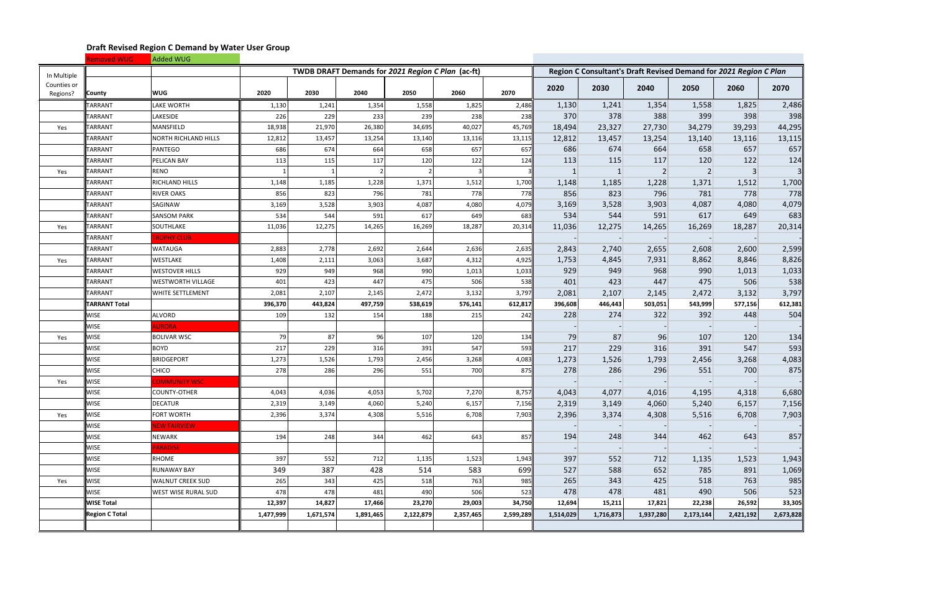|                         | Removed WUG           | Added WUG                |           |           |                                                   |           |           |           |           |              |                |                                                                   |           |           |
|-------------------------|-----------------------|--------------------------|-----------|-----------|---------------------------------------------------|-----------|-----------|-----------|-----------|--------------|----------------|-------------------------------------------------------------------|-----------|-----------|
| In Multiple             |                       |                          |           |           | TWDB DRAFT Demands for 2021 Region C Plan (ac-ft) |           |           |           |           |              |                | Region C Consultant's Draft Revised Demand for 2021 Region C Plan |           |           |
| Counties or<br>Regions? | <b>County</b>         | <b>WUG</b>               | 2020      | 2030      | 2040                                              | 2050      | 2060      | 2070      | 2020      | 2030         | 2040           | 2050                                                              | 2060      | 2070      |
|                         | TARRANT               | <b>LAKE WORTH</b>        | 1,130     | 1,241     | 1,354                                             | 1,558     | 1,825     | 2,486     | 1,130     | 1,241        | 1,354          | 1,558                                                             | 1,825     | 2,486     |
|                         | TARRANT               | LAKESIDE                 | 226       | 229       | 233                                               | 239       | 238       | 238       | 370       | 378          | 388            | 399                                                               | 398       | 398       |
| Yes                     | TARRANT               | MANSFIELD                | 18,938    | 21,970    | 26,380                                            | 34,695    | 40,027    | 45,769    | 18,494    | 23,327       | 27,730         | 34,279                                                            | 39,293    | 44,295    |
|                         | <b>TARRANT</b>        | NORTH RICHLAND HILLS     | 12,812    | 13,457    | 13,254                                            | 13,140    | 13,116    | 13,115    | 12,812    | 13,457       | 13,254         | 13,140                                                            | 13,116    | 13,115    |
|                         | TARRANT               | PANTEGO                  | 686       | 674       | 664                                               | 658       | 657       | 657       | 686       | 674          | 664            | 658                                                               | 657       | 657       |
|                         | TARRANT               | PELICAN BAY              | 113       | 115       | 117                                               | 120       | 122       | 124       | 113       | 115          | 117            | 120                                                               | 122       | 124       |
| Yes                     | TARRANT               | <b>RENO</b>              |           |           |                                                   |           |           |           |           | $\mathbf{1}$ | $\overline{2}$ | $\overline{2}$                                                    |           |           |
|                         | <b>TARRANT</b>        | <b>RICHLAND HILLS</b>    | 1,148     | 1,185     | 1,228                                             | 1,371     | 1,512     | 1,700     | 1,148     | 1,185        | 1,228          | 1,371                                                             | 1,512     | 1,700     |
|                         | TARRANT               | <b>RIVER OAKS</b>        | 856       | 823       | 796                                               | 781       | 778       | 778       | 856       | 823          | 796            | 781                                                               | 778       | 778       |
|                         | TARRANT               | SAGINAW                  | 3,169     | 3,528     | 3,903                                             | 4,087     | 4,080     | 4,079     | 3,169     | 3,528        | 3,903          | 4,087                                                             | 4,080     | 4,079     |
|                         | <b>TARRANT</b>        | <b>SANSOM PARK</b>       | 534       | 544       | 591                                               | 617       | 649       | 683       | 534       | 544          | 591            | 617                                                               | 649       | 683       |
| Yes                     | TARRANT               | SOUTHLAKE                | 11,036    | 12,275    | 14,265                                            | 16,269    | 18,287    | 20,314    | 11,036    | 12,275       | 14,265         | 16,269                                                            | 18,287    | 20,314    |
|                         | TARRANT               | <b>FROPHY CLUB</b>       |           |           |                                                   |           |           |           |           |              |                |                                                                   |           |           |
|                         | TARRANT               | <b>WATAUGA</b>           | 2,883     | 2,778     | 2,692                                             | 2,644     | 2,636     | 2,635     | 2,843     | 2,740        | 2,655          | 2,608                                                             | 2,600     | 2,599     |
| Yes                     | <b>TARRANT</b>        | WESTLAKE                 | 1,408     | 2,111     | 3,063                                             | 3,687     | 4,312     | 4,925     | 1,753     | 4,845        | 7,931          | 8,862                                                             | 8,846     | 8,826     |
|                         | <b>TARRANT</b>        | <b>WESTOVER HILLS</b>    | 929       | 949       | 968                                               | 990       | 1,013     | 1,033     | 929       | 949          | 968            | 990                                                               | 1,013     | 1,033     |
|                         | TARRANT               | <b>WESTWORTH VILLAGE</b> | 401       | 423       | 447                                               | 475       | 506       | 538       | 401       | 423          | 447            | 475                                                               | 506       | 538       |
|                         | TARRANT               | <b>WHITE SETTLEMENT</b>  | 2,081     | 2,107     | 2,145                                             | 2,472     | 3,132     | 3,797     | 2,081     | 2,107        | 2,145          | 2,472                                                             | 3,132     | 3,797     |
|                         | <b>TARRANT Total</b>  |                          | 396,370   | 443,824   | 497,759                                           | 538,619   | 576,141   | 612,817   | 396,608   | 446,443      | 503,051        | 543,999                                                           | 577,156   | 612,381   |
|                         | <b>WISE</b>           | <b>ALVORD</b>            | 109       | 132       | 154                                               | 188       | 215       | 242       | 228       | 274          | 322            | 392                                                               | 448       | 504       |
|                         | <b>WISE</b>           | <b>AURORA</b>            |           |           |                                                   |           |           |           |           |              |                |                                                                   |           |           |
| Yes                     | <b>WISE</b>           | <b>BOLIVAR WSC</b>       | 79        | 87        | 96                                                | 107       | 120       | 134       | 79        | 87           | 96             | 107                                                               | 120       | 134       |
|                         | <b>WISE</b>           | <b>BOYD</b>              | 217       | 229       | 316                                               | 391       | 547       | 593       | 217       | 229          | 316            | 391                                                               | 547       | 593       |
|                         | <b>WISE</b>           | <b>BRIDGEPORT</b>        | 1,273     | 1,526     | 1,793                                             | 2,456     | 3,268     | 4,083     | 1,273     | 1,526        | 1,793          | 2,456                                                             | 3,268     | 4,083     |
|                         | <b>WISE</b>           | CHICO                    | 278       | 286       | 296                                               | 551       | 700       | 875       | 278       | 286          | 296            | 551                                                               | 700       | 875       |
| Yes                     | <b>WISE</b>           | COMMUNITY WSC            |           |           |                                                   |           |           |           |           |              |                |                                                                   |           |           |
|                         | <b>WISE</b>           | COUNTY-OTHER             | 4,043     | 4,036     | 4,053                                             | 5,702     | 7,270     | 8,757     | 4,043     | 4,077        | 4,016          | 4,195                                                             | 4,318     | 6,680     |
|                         | <b>WISE</b>           | <b>DECATUR</b>           | 2,319     | 3,149     | 4,060                                             | 5,240     | 6,157     | 7,156     | 2,319     | 3,149        | 4,060          | 5,240                                                             | 6,157     | 7,156     |
| Yes                     | <b>WISE</b>           | FORT WORTH               | 2,396     | 3,374     | 4,308                                             | 5,516     | 6,708     | 7,903     | 2,396     | 3,374        | 4,308          | 5,516                                                             | 6,708     | 7,903     |
|                         | <b>WISE</b>           | <b>NEW FAIRVIEW</b>      |           |           |                                                   |           |           |           |           |              |                |                                                                   |           |           |
|                         | <b>WISE</b>           | NEWARK                   | 194       | 248       | 344                                               | 462       | 643       | 857       | 194       | 248          | 344            | 462                                                               | 643       | 857       |
|                         | <b>WISE</b>           | <b>PARADISE</b>          |           |           |                                                   |           |           |           |           |              |                |                                                                   |           |           |
|                         | <b>WISE</b>           | RHOME                    | 397       | 552       | 712                                               | 1,135     | 1,523     | 1,943     | 397       | 552          | 712            | 1,135                                                             | 1,523     | 1,943     |
|                         | <b>WISE</b>           | RUNAWAY BAY              | 349       | 387       | 428                                               | 514       | 583       | 699       | 527       | 588          | 652            | 785                                                               | 891       | 1,069     |
| Yes                     | <b>WISE</b>           | <b>WALNUT CREEK SUD</b>  | 265       | 343       | 425                                               | 518       | 763       | 985       | 265       | 343          | 425            | 518                                                               | 763       | 985       |
|                         | <b>WISE</b>           | WEST WISE RURAL SUD      | 478       | 478       | 481                                               | 490       | 506       | 523       | 478       | 478          | 481            | 490                                                               | 506       | 523       |
|                         | <b>WISE Total</b>     |                          | 12,397    | 14,827    | 17,466                                            | 23,270    | 29,003    | 34,750    | 12,694    | 15,211       | 17,821         | 22,238                                                            | 26,592    | 33,305    |
|                         | <b>Region C Total</b> |                          | 1,477,999 | 1,671,574 | 1,891,465                                         | 2,122,879 | 2,357,465 | 2,599,289 | 1,514,029 | 1,716,873    | 1,937,280      | 2,173,144                                                         | 2,421,192 | 2,673,828 |
|                         |                       |                          |           |           |                                                   |           |           |           |           |              |                |                                                                   |           |           |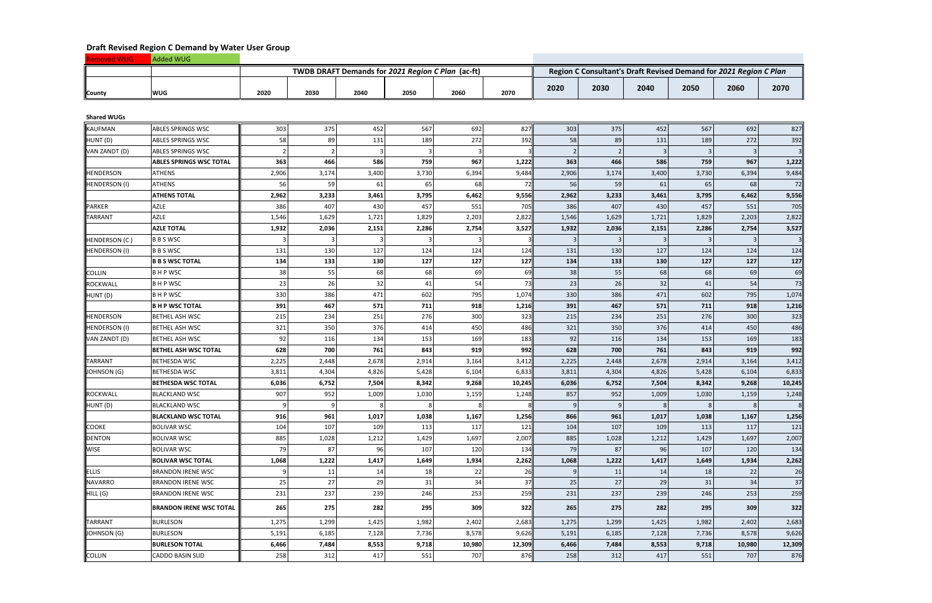|               | <b>Added WUG</b> |      |      |      |      |                                                   |      |      |      |      |      |                                                                   |      |
|---------------|------------------|------|------|------|------|---------------------------------------------------|------|------|------|------|------|-------------------------------------------------------------------|------|
|               |                  |      |      |      |      | TWDB DRAFT Demands for 2021 Region C Plan (ac-ft) |      |      |      |      |      | Region C Consultant's Draft Revised Demand for 2021 Region C Plan |      |
| <b>County</b> | <b>WUG</b>       | 2020 | 2030 | 2040 | 2050 | 2060                                              | 2070 | 2020 | 2030 | 2040 | 2050 | 2060                                                              | 2070 |

**Shared WUGs**

| <b>Shared WUGs</b>   |                                |       |       |       |       |        |        |               |                |       |       |        |        |
|----------------------|--------------------------------|-------|-------|-------|-------|--------|--------|---------------|----------------|-------|-------|--------|--------|
| <b>KAUFMAN</b>       | <b>ABLES SPRINGS WSC</b>       | 303   | 375   | 452   | 567   | 692    | 827    | 303           | 375            | 452   | 567   | 692    | 827    |
| HUNT (D)             | <b>ABLES SPRINGS WSC</b>       | 58    | 89    | 131   | 189   | 272    | 392    | 58            | 89             | 131   | 189   | 272    | 392    |
| VAN ZANDT (D)        | <b>ABLES SPRINGS WSC</b>       |       |       |       | 3     |        |        | $\mathcal{P}$ | $\overline{2}$ | 3     | 3     |        |        |
|                      | <b>ABLES SPRINGS WSC TOTAL</b> | 363   | 466   | 586   | 759   | 967    | 1,222  | 363           | 466            | 586   | 759   | 967    | 1,222  |
| <b>HENDERSON</b>     | <b>ATHENS</b>                  | 2,906 | 3,174 | 3,400 | 3,730 | 6,394  | 9,484  | 2,906         | 3,174          | 3,400 | 3,730 | 6,394  | 9,484  |
| <b>HENDERSON (I)</b> | ATHENS                         | 56    | 59    | 61    | 65    | 68     | 72     | 56            | 59             | 61    | 65    | 68     | 72     |
|                      | <b>ATHENS TOTAL</b>            | 2,962 | 3,233 | 3,461 | 3,795 | 6,462  | 9,556  | 2,962         | 3,233          | 3,461 | 3,795 | 6,462  | 9,556  |
| <b>PARKER</b>        | <b>AZLE</b>                    | 386   | 407   | 430   | 457   | 551    | 705    | 386           | 407            | 430   | 457   | 551    | 705    |
| <b>TARRANT</b>       | <b>AZLE</b>                    | 1,546 | 1,629 | 1,721 | 1,829 | 2,203  | 2,822  | 1,546         | 1,629          | 1,721 | 1,829 | 2,203  | 2,822  |
|                      | <b>AZLE TOTAL</b>              | 1,932 | 2,036 | 2,151 | 2,286 | 2,754  | 3,527  | 1,932         | 2,036          | 2,151 | 2,286 | 2,754  | 3,527  |
| <b>HENDERSON (C)</b> | <b>BBSWSC</b>                  |       |       |       |       | 3      |        | 3             | -3             |       | 3     |        |        |
| <b>HENDERSON (I)</b> | <b>BBSWSC</b>                  | 131   | 130   | 127   | 124   | 124    | 124    | 131           | 130            | 127   | 124   | 124    | 124    |
|                      | <b>B B S WSC TOTAL</b>         | 134   | 133   | 130   | 127   | 127    | 127    | 134           | 133            | 130   | 127   | 127    | 127    |
| <b>COLLIN</b>        | <b>BHPWSC</b>                  | 38    | 55    | 68    | 68    | 69     | 69     | 38            | 55             | 68    | 68    | 69     | 69     |
| <b>ROCKWALL</b>      | B H P WSC                      | 23    | 26    | 32    | 41    | 54     | 73     | 23            | 26             | 32    | 41    | 54     | 73     |
| HUNT (D)             | <b>BHPWSC</b>                  | 330   | 386   | 471   | 602   | 795    | 1,074  | 330           | 386            | 471   | 602   | 795    | 1,074  |
|                      | <b>B H P WSC TOTAL</b>         | 391   | 467   | 571   | 711   | 918    | 1,216  | 391           | 467            | 571   | 711   | 918    | 1,216  |
| <b>HENDERSON</b>     | <b>BETHEL ASH WSC</b>          | 215   | 234   | 251   | 276   | 300    | 323    | 215           | 234            | 251   | 276   | 300    | 323    |
| <b>HENDERSON (I)</b> | <b>BETHEL ASH WSC</b>          | 321   | 350   | 376   | 414   | 450    | 486    | 321           | 350            | 376   | 414   | 450    | 486    |
| VAN ZANDT (D)        | <b>BETHEL ASH WSC</b>          | 92    | 116   | 134   | 153   | 169    | 183    | 92            | 116            | 134   | 153   | 169    | 183    |
|                      | <b>BETHEL ASH WSC TOTAL</b>    | 628   | 700   | 761   | 843   | 919    | 992    | 628           | 700            | 761   | 843   | 919    | 992    |
| <b>TARRANT</b>       | <b>BETHESDA WSC</b>            | 2,225 | 2,448 | 2,678 | 2,914 | 3,164  | 3,412  | 2,225         | 2,448          | 2,678 | 2,914 | 3,164  | 3,412  |
| JOHNSON (G)          | <b>BETHESDA WSC</b>            | 3,811 | 4,304 | 4,826 | 5,428 | 6,104  | 6,833  | 3,811         | 4,304          | 4,826 | 5,428 | 6,104  | 6,833  |
|                      | <b>BETHESDA WSC TOTAL</b>      | 6,036 | 6,752 | 7,504 | 8,342 | 9,268  | 10,245 | 6,036         | 6,752          | 7,504 | 8,342 | 9,268  | 10,245 |
| <b>ROCKWALL</b>      | <b>BLACKLAND WSC</b>           | 907   | 952   | 1,009 | 1,030 | 1,159  | 1,248  | 857           | 952            | 1,009 | 1,030 | 1,159  | 1,248  |
| HUNT (D)             | <b>BLACKLAND WSC</b>           |       |       |       | 8     | 8      |        | 9             | -9             |       | 8     |        |        |
|                      | <b>BLACKLAND WSC TOTAL</b>     | 916   | 961   | 1,017 | 1,038 | 1,167  | 1,256  | 866           | 961            | 1,017 | 1,038 | 1,167  | 1,256  |
| <b>COOKE</b>         | <b>BOLIVAR WSC</b>             | 104   | 107   | 109   | 113   | 117    | 121    | 104           | 107            | 109   | 113   | 117    | 121    |
| <b>DENTON</b>        | <b>BOLIVAR WSC</b>             | 885   | 1,028 | 1,212 | 1,429 | 1,697  | 2,007  | 885           | 1,028          | 1,212 | 1,429 | 1,697  | 2,007  |
| <b>WISE</b>          | <b>BOLIVAR WSC</b>             | 79    | 87    | 96    | 107   | 120    | 134    | 79            | 87             | 96    | 107   | 120    | 134    |
|                      | <b>BOLIVAR WSC TOTAL</b>       | 1,068 | 1,222 | 1,417 | 1,649 | 1,934  | 2,262  | 1,068         | 1,222          | 1,417 | 1,649 | 1,934  | 2,262  |
| ELLIS                | <b>BRANDON IRENE WSC</b>       |       | 11    | 14    | 18    | 22     | 26     | 9             | 11             | 14    | 18    | 22     | 26     |
| <b>NAVARRO</b>       | <b>BRANDON IRENE WSC</b>       | 25    | 27    | 29    | 31    | 34     | 37     | 25            | 27             | 29    | 31    | 34     | 37     |
| HILL (G)             | <b>BRANDON IRENE WSC</b>       | 231   | 237   | 239   | 246   | 253    | 259    | 231           | 237            | 239   | 246   | 253    | 259    |
|                      | <b>BRANDON IRENE WSC TOTAL</b> | 265   | 275   | 282   | 295   | 309    | 322    | 265           | 275            | 282   | 295   | 309    | 322    |
| <b>TARRANT</b>       | <b>BURLESON</b>                | 1,275 | 1,299 | 1,425 | 1,982 | 2,402  | 2,683  | 1,275         | 1,299          | 1,425 | 1,982 | 2,402  | 2,683  |
| JOHNSON (G)          | <b>BURLESON</b>                | 5,191 | 6,185 | 7,128 | 7,736 | 8,578  | 9,626  | 5,191         | 6,185          | 7,128 | 7,736 | 8,578  | 9,626  |
|                      | <b>BURLESON TOTAL</b>          | 6,466 | 7,484 | 8,553 | 9,718 | 10,980 | 12,309 | 6,466         | 7,484          | 8,553 | 9,718 | 10,980 | 12,309 |
| <b>COLLIN</b>        | <b>CADDO BASIN SUD</b>         | 258   | 312   | 417   | 551   | 707    | 876    | 258           | 312            | 417   | 551   | 707    | 876    |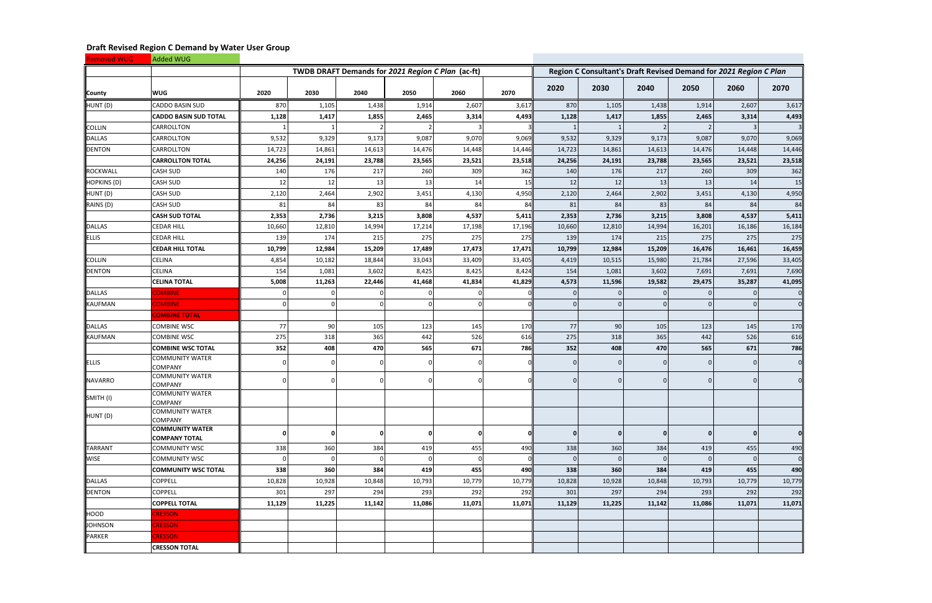| <b>Removed WUG</b> | Added WUG                                      |              |                                                   |          |        |                |        |        |              |                                                                   |          |          |        |
|--------------------|------------------------------------------------|--------------|---------------------------------------------------|----------|--------|----------------|--------|--------|--------------|-------------------------------------------------------------------|----------|----------|--------|
|                    |                                                |              | TWDB DRAFT Demands for 2021 Region C Plan (ac-ft) |          |        |                |        |        |              | Region C Consultant's Draft Revised Demand for 2021 Region C Plan |          |          |        |
| County             | <b>WUG</b>                                     | 2020         | 2030                                              | 2040     | 2050   | 2060           | 2070   | 2020   | 2030         | 2040                                                              | 2050     | 2060     | 2070   |
| HUNT (D)           | <b>CADDO BASIN SUD</b>                         | 870          | 1,105                                             | 1,438    | 1,914  | 2,607          | 3,617  | 870    | 1,105        | 1,438                                                             | 1,914    | 2,607    | 3,617  |
|                    | <b>CADDO BASIN SUD TOTAL</b>                   | 1,128        | 1,417                                             | 1,855    | 2,465  | 3,314          | 4,493  | 1,128  | 1,417        | 1,855                                                             | 2,465    | 3,314    | 4,493  |
| <b>COLLIN</b>      | CARROLLTON                                     |              |                                                   |          |        | 3              |        |        |              |                                                                   |          |          |        |
| <b>DALLAS</b>      | CARROLLTON                                     | 9,532        | 9,329                                             | 9,173    | 9,087  | 9,070          | 9,069  | 9,532  | 9,329        | 9,173                                                             | 9,087    | 9,070    | 9,069  |
| <b>DENTON</b>      | CARROLLTON                                     | 14,723       | 14,861                                            | 14,613   | 14,476 | 14,448         | 14,446 | 14,723 | 14,861       | 14,613                                                            | 14,476   | 14,448   | 14,446 |
|                    | <b>CARROLLTON TOTAL</b>                        | 24,256       | 24,191                                            | 23,788   | 23,565 | 23,521         | 23,518 | 24,256 | 24,191       | 23,788                                                            | 23,565   | 23,521   | 23,518 |
| <b>ROCKWALL</b>    | <b>CASH SUD</b>                                | 140          | 176                                               | 217      | 260    | 309            | 362    | 140    | 176          | 217                                                               | 260      | 309      | 362    |
| HOPKINS (D)        | <b>CASH SUD</b>                                | 12           | 12                                                | 13       | 13     | 14             | 15     | 12     | 12           | 13                                                                | 13       | 14       | 15     |
| HUNT (D)           | <b>CASH SUD</b>                                | 2,120        | 2,464                                             | 2,902    | 3,451  | 4,130          | 4,950  | 2,120  | 2,464        | 2,902                                                             | 3,451    | 4,130    | 4,950  |
| RAINS (D)          | <b>CASH SUD</b>                                | 81           | 84                                                | 83       | 84     | 84             | 84     | 81     | 84           | 83                                                                | 84       | 84       | 84     |
|                    | <b>CASH SUD TOTAL</b>                          | 2,353        | 2,736                                             | 3,215    | 3,808  | 4,537          | 5,411  | 2,353  | 2,736        | 3,215                                                             | 3,808    | 4,537    | 5,411  |
| <b>DALLAS</b>      | <b>CEDAR HILL</b>                              | 10,660       | 12,810                                            | 14,994   | 17,214 | 17,198         | 17,196 | 10,660 | 12,810       | 14,994                                                            | 16,201   | 16,186   | 16,184 |
| <b>ELLIS</b>       | <b>CEDAR HILL</b>                              | 139          | 174                                               | 215      | 275    | 275            | 275    | 139    | 174          | 215                                                               | 275      | 275      | 275    |
|                    | <b>CEDAR HILL TOTAL</b>                        | 10,799       | 12,984                                            | 15,209   | 17,489 | 17,473         | 17,471 | 10,799 | 12,984       | 15,209                                                            | 16,476   | 16,461   | 16,459 |
| <b>COLLIN</b>      | <b>CELINA</b>                                  | 4,854        | 10,182                                            | 18,844   | 33,043 | 33,409         | 33,405 | 4,419  | 10,515       | 15,980                                                            | 21,784   | 27,596   | 33,405 |
| <b>DENTON</b>      | <b>CELINA</b>                                  | 154          | 1,081                                             | 3,602    | 8,425  | 8,425          | 8,424  | 154    | 1,081        | 3,602                                                             | 7,691    | 7,691    | 7,690  |
|                    | <b>CELINA TOTAL</b>                            | 5,008        | 11,263                                            | 22,446   | 41,468 | 41,834         | 41,829 | 4,573  | 11,596       | 19,582                                                            | 29,475   | 35,287   | 41,095 |
| <b>DALLAS</b>      | <b>COMBINE</b>                                 |              |                                                   |          |        | 0              |        |        | $\Omega$     |                                                                   |          |          |        |
| <b>KAUFMAN</b>     | <b>COMBINE</b>                                 |              |                                                   | $\Omega$ |        | $\overline{0}$ |        |        | $\Omega$     |                                                                   |          |          |        |
|                    | <b>COMBINE TOTAL</b>                           |              |                                                   |          |        |                |        |        |              |                                                                   |          |          |        |
| <b>DALLAS</b>      | <b>COMBINE WSC</b>                             | 77           | 90                                                | 105      | 123    | 145            | 170    | 77     | 90           | 105                                                               | 123      | 145      | 170    |
| KAUFMAN            | <b>COMBINE WSC</b>                             | 275          | 318                                               | 365      | 442    | 526            | 616    | 275    | 318          | 365                                                               | 442      | 526      | 616    |
|                    | <b>COMBINE WSC TOTAL</b>                       | 352          | 408                                               | 470      | 565    | 671            | 786    | 352    | 408          | 470                                                               | 565      | 671      | 786    |
| <b>ELLIS</b>       | <b>COMMUNITY WATER</b><br><b>COMPANY</b>       |              |                                                   | $\Omega$ |        | $\Omega$       |        |        | $\Omega$     | $\overline{0}$                                                    |          |          |        |
| <b>NAVARRO</b>     | <b>COMMUNITY WATER</b><br><b>COMPANY</b>       |              |                                                   | 0        |        | $\Omega$       | ΟI     |        | $\Omega$     | $\Omega$                                                          |          | $\Omega$ |        |
| SMITH (I)          | <b>COMMUNITY WATER</b><br><b>COMPANY</b>       |              |                                                   |          |        |                |        |        |              |                                                                   |          |          |        |
| HUNT (D)           | <b>COMMUNITY WATER</b><br><b>COMPANY</b>       |              |                                                   |          |        |                |        |        |              |                                                                   |          |          |        |
|                    | <b>COMMUNITY WATER</b><br><b>COMPANY TOTAL</b> | $\mathbf{0}$ | - 0                                               | $\Omega$ |        | $\mathbf{0}$   | OII    |        | $\mathbf{0}$ | $\mathbf{0}$                                                      | $\bf{0}$ |          |        |
| <b>TARRANT</b>     | <b>COMMUNITY WSC</b>                           | 338          | 360                                               | 384      | 419    | 455            | 490    | 338    | 360          | 384                                                               | 419      | 455      | 490    |
| <b>WISE</b>        | <b>COMMUNITY WSC</b>                           |              |                                                   | O        |        | $\mathbf 0$    |        |        | $\Omega$     |                                                                   | $\Omega$ |          |        |
|                    | <b>COMMUNITY WSC TOTAL</b>                     | 338          | 360                                               | 384      | 419    | 455            | 490    | 338    | 360          | 384                                                               | 419      | 455      | 490    |
| <b>DALLAS</b>      | <b>COPPELL</b>                                 | 10,828       | 10,928                                            | 10,848   | 10,793 | 10,779         | 10,779 | 10,828 | 10,928       | 10,848                                                            | 10,793   | 10,779   | 10,779 |
| <b>DENTON</b>      | <b>COPPELL</b>                                 | 301          | 297                                               | 294      | 293    | 292            | 292    | 301    | 297          | 294                                                               | 293      | 292      | 292    |
|                    | <b>COPPELL TOTAL</b>                           | 11,129       | 11,225                                            | 11,142   | 11,086 | 11,071         | 11,071 | 11,129 | 11,225       | 11,142                                                            | 11,086   | 11,071   | 11,071 |
| HOOD               | <b>CRESSON</b>                                 |              |                                                   |          |        |                |        |        |              |                                                                   |          |          |        |
| <b>JOHNSON</b>     | <b>CRESSON</b>                                 |              |                                                   |          |        |                |        |        |              |                                                                   |          |          |        |
| PARKER             | <b>CRESSON</b>                                 |              |                                                   |          |        |                |        |        |              |                                                                   |          |          |        |
|                    | <b>CRESSON TOTAL</b>                           |              |                                                   |          |        |                |        |        |              |                                                                   |          |          |        |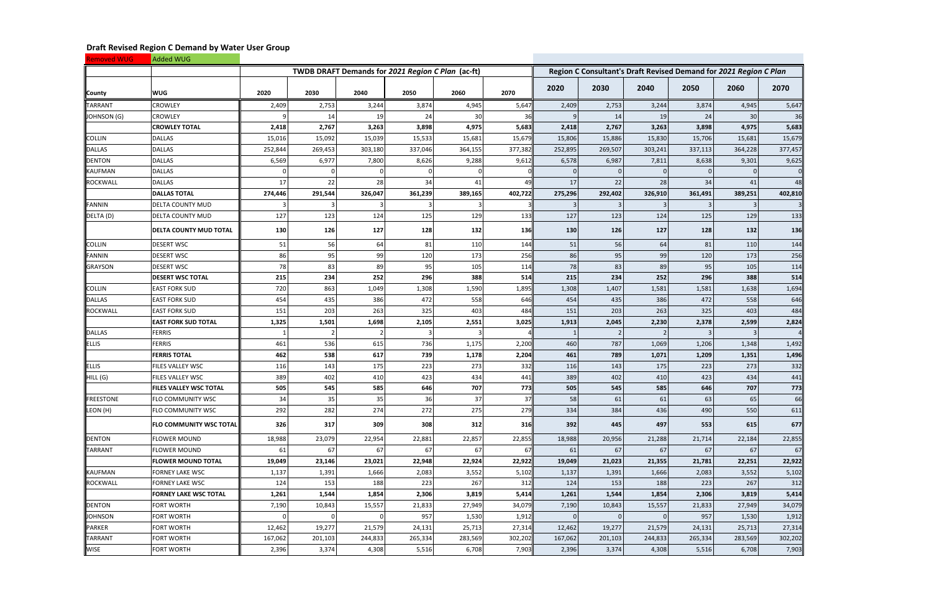| <b>Removed WUG</b> | Added WUG                      |         |                                                   |         |         |         |                                                                   |         |                |         |           |         |         |
|--------------------|--------------------------------|---------|---------------------------------------------------|---------|---------|---------|-------------------------------------------------------------------|---------|----------------|---------|-----------|---------|---------|
|                    |                                |         | TWDB DRAFT Demands for 2021 Region C Plan (ac-ft) |         |         |         | Region C Consultant's Draft Revised Demand for 2021 Region C Plan |         |                |         |           |         |         |
| County             | <b>WUG</b>                     | 2020    | 2030                                              | 2040    | 2050    | 2060    | 2070                                                              | 2020    | 2030           | 2040    | 2050      | 2060    | 2070    |
| <b>TARRANT</b>     | <b>CROWLEY</b>                 | 2,409   | 2,753                                             | 3,244   | 3,874   | 4,945   | 5,647                                                             | 2,409   | 2,753          | 3,244   | 3,874     | 4,945   | 5,647   |
| JOHNSON (G)        | <b>CROWLEY</b>                 |         | 14                                                | 19      | 24      | 30      | 36                                                                |         | 14             | 19      | 24        | 30      | 36      |
|                    | <b>CROWLEY TOTAL</b>           | 2,418   | 2,767                                             | 3,263   | 3,898   | 4,975   | 5,683                                                             | 2,418   | 2,767          | 3,263   | 3,898     | 4,975   | 5,683   |
| <b>COLLIN</b>      | <b>DALLAS</b>                  | 15,016  | 15,092                                            | 15,039  | 15,533  | 15,681  | 15,679                                                            | 15,806  | 15,886         | 15,830  | 15,706    | 15,681  | 15,679  |
| <b>DALLAS</b>      | <b>DALLAS</b>                  | 252,844 | 269,453                                           | 303,180 | 337,046 | 364,155 | 377,382                                                           | 252,895 | 269,507        | 303,241 | 337,113   | 364,228 | 377,457 |
| <b>DENTON</b>      | <b>DALLAS</b>                  | 6,569   | 6,977                                             | 7,800   | 8,626   | 9,288   | 9,612                                                             | 6,578   | 6,987          | 7,811   | 8,638     | 9,301   | 9,625   |
| <b>KAUFMAN</b>     | <b>DALLAS</b>                  |         |                                                   |         |         |         |                                                                   |         |                |         |           |         |         |
| <b>ROCKWALL</b>    | <b>DALLAS</b>                  | 17      | 22                                                | 28      | 34      | 41      | 49                                                                | 17      | 22             | 28      | 34        | 41      | 48      |
|                    | <b>DALLAS TOTAL</b>            | 274,446 | 291,544                                           | 326,047 | 361,239 | 389,165 | 402,722                                                           | 275,296 | 292,402        | 326,910 | 361,491   | 389,251 | 402,810 |
| <b>FANNIN</b>      | <b>DELTA COUNTY MUD</b>        |         |                                                   |         |         | 3       |                                                                   |         | -3             | 3       | 3         | -3      |         |
| DELTA (D)          | <b>DELTA COUNTY MUD</b>        | 127     | 123                                               | 124     | 125     | 129     | 133                                                               | 127     | 123            | 124     | 125       | 129     | 133     |
|                    | <b>DELTA COUNTY MUD TOTAL</b>  | 130     | 126                                               | 127     | 128     | 132     | <b>136</b>                                                        | 130     | 126            | 127     | 128       | 132     | 136     |
| <b>COLLIN</b>      | <b>DESERT WSC</b>              | 51      | 56                                                | 64      | 81      | 110     | 144                                                               | 51      | 56             | 64      | 81        | 110     | 144     |
| <b>FANNIN</b>      | <b>DESERT WSC</b>              | 86      | 95                                                | 99      | 120     | 173     | 256                                                               | 86      | 95             | 99      | 120       | 173     | 256     |
| <b>GRAYSON</b>     | <b>DESERT WSC</b>              | 78      | 83                                                | 89      | 95      | 105     | 114                                                               | 78      | 83             | 89      | 95        | 105     | 114     |
|                    | <b>DESERT WSC TOTAL</b>        | 215     | 234                                               | 252     | 296     | 388     | 514                                                               | 215     | 234            | 252     | 296       | 388     | 514     |
| <b>COLLIN</b>      | <b>EAST FORK SUD</b>           | 720     | 863                                               | 1,049   | 1,308   | 1,590   | 1,895                                                             | 1,308   | 1,407          | 1,581   | 1,581     | 1,638   | 1,694   |
| <b>DALLAS</b>      | <b>EAST FORK SUD</b>           | 454     | 435                                               | 386     | 472     | 558     | 646                                                               | 454     | 435            | 386     | 472       | 558     | 646     |
| <b>ROCKWALL</b>    | <b>EAST FORK SUD</b>           | 151     | 203                                               | 263     | 325     | 403     | 484                                                               | 151     | 203            | 263     | 325       | 403     | 484     |
|                    | <b>EAST FORK SUD TOTAL</b>     | 1,325   | 1,501                                             | 1,698   | 2,105   | 2,551   | 3,025                                                             | 1,913   | 2,045          | 2,230   | 2,378     | 2,599   | 2,824   |
| <b>DALLAS</b>      | <b>FERRIS</b>                  |         |                                                   | 2       |         | 3       |                                                                   |         |                |         | 3         |         |         |
| <b>ELLIS</b>       | <b>FERRIS</b>                  | 461     | 536                                               | 615     | 736     | 1,175   | 2,200                                                             | 460     | 787            | 1,069   | 1,206     | 1,348   | 1,492   |
|                    | <b>FERRIS TOTAL</b>            | 462     | 538                                               | 617     | 739     | 1,178   | 2,204                                                             | 461     | 789            | 1,071   | 1,209     | 1,351   | 1,496   |
| <b>ELLIS</b>       | <b>FILES VALLEY WSC</b>        | 116     | 143                                               | 175     | 223     | 273     | 332                                                               | 116     | 143            | 175     | 223       | 273     | 332     |
| HILL (G)           | <b>FILES VALLEY WSC</b>        | 389     | 402                                               | 410     | 423     | 434     | 441                                                               | 389     | 402            | 410     | 423       | 434     | 441     |
|                    | <b>FILES VALLEY WSC TOTAL</b>  | 505     | 545                                               | 585     | 646     | 707     | 773                                                               | 505     | 545            | 585     | 646       | 707     | 773     |
| FREESTONE          | <b>FLO COMMUNITY WSC</b>       | 34      | 35                                                | 35      | 36      | 37      | 37                                                                | 58      | 61             | 61      | 63        | 65      | 66      |
| LEON (H)           | <b>FLO COMMUNITY WSC</b>       | 292     | 282                                               | 274     | 272     | 275     | 279                                                               | 334     | 384            | 436     | 490       | 550     | 611     |
|                    | <b>FLO COMMUNITY WSC TOTAL</b> | 326     | 317                                               | 309     | 308     | 312     | <b>316</b>                                                        | 392     | 445            | 497     | 553       | 615     | 677     |
| <b>DENTON</b>      | <b>FLOWER MOUND</b>            | 18,988  | 23,079                                            | 22,954  | 22,881  | 22,857  | 22,855                                                            | 18,988  | 20,956         | 21,288  | 21,714    | 22,184  | 22,855  |
| <b>TARRANT</b>     | <b>FLOWER MOUND</b>            | 61      | 67                                                | 67      | 67      | 67      | 67                                                                | 61      | 67             | 67      | <b>67</b> | 67      | 67      |
|                    | <b>FLOWER MOUND TOTAL</b>      | 19,049  | 23,146                                            | 23,021  | 22,948  | 22,924  | 22,922                                                            | 19,049  | 21,023         | 21,355  | 21,781    | 22,251  | 22,922  |
| <b>KAUFMAN</b>     | <b>FORNEY LAKE WSC</b>         | 1,137   | 1,391                                             | 1,666   | 2,083   | 3,552   | 5,102                                                             | 1,137   | 1,391          | 1,666   | 2,083     | 3,552   | 5,102   |
| <b>ROCKWALL</b>    | <b>FORNEY LAKE WSC</b>         | 124     | 153                                               | 188     | 223     | 267     | 312                                                               | 124     | 153            | 188     | 223       | 267     | 312     |
|                    | <b>FORNEY LAKE WSC TOTAL</b>   | 1,261   | 1,544                                             | 1,854   | 2,306   | 3,819   | 5,414                                                             | 1,261   | 1,544          | 1,854   | 2,306     | 3,819   | 5,414   |
| <b>DENTON</b>      | <b>FORT WORTH</b>              | 7,190   | 10,843                                            | 15,557  | 21,833  | 27,949  | 34,079                                                            | 7,190   | 10,843         | 15,557  | 21,833    | 27,949  | 34,079  |
| <b>JOHNSON</b>     | <b>FORT WORTH</b>              |         |                                                   |         | 957     | 1,530   | 1,912                                                             |         | $\overline{0}$ |         | 957       | 1,530   | 1,912   |
| PARKER             | <b>FORT WORTH</b>              | 12,462  | 19,277                                            | 21,579  | 24,131  | 25,713  | 27,314                                                            | 12,462  | 19,277         | 21,579  | 24,131    | 25,713  | 27,314  |
| <b>TARRANT</b>     | <b>FORT WORTH</b>              | 167,062 | 201,103                                           | 244,833 | 265,334 | 283,569 | 302,202                                                           | 167,062 | 201,103        | 244,833 | 265,334   | 283,569 | 302,202 |
| <b>WISE</b>        | <b>FORT WORTH</b>              | 2,396   | 3,374                                             | 4,308   | 5,516   | 6,708   | 7,903                                                             | 2,396   | 3,374          | 4,308   | 5,516     | 6,708   | 7,903   |

**Contract**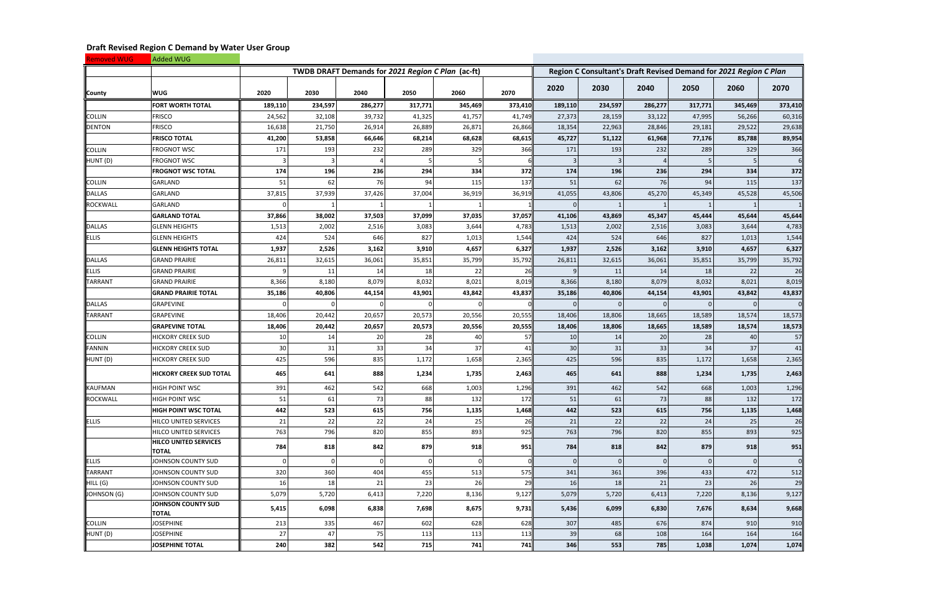| <b>Removed WUG</b> | Added WUG                             |         |         |          |                                                   |          |         |                                                                   |              |                 |          |                         |          |  |
|--------------------|---------------------------------------|---------|---------|----------|---------------------------------------------------|----------|---------|-------------------------------------------------------------------|--------------|-----------------|----------|-------------------------|----------|--|
|                    |                                       |         |         |          | TWDB DRAFT Demands for 2021 Region C Plan (ac-ft) |          |         | Region C Consultant's Draft Revised Demand for 2021 Region C Plan |              |                 |          |                         |          |  |
| County             | <b>WUG</b>                            | 2020    | 2030    | 2040     | 2050                                              | 2060     | 2070    | 2020                                                              | 2030         | 2040            | 2050     | 2060                    | 2070     |  |
|                    | <b>FORT WORTH TOTAL</b>               | 189,110 | 234,597 | 286,277  | 317,771                                           | 345,469  | 373,410 | 189,110                                                           | 234,597      | 286,277         | 317,771  | 345,469                 | 373,410  |  |
| <b>COLLIN</b>      | <b>FRISCO</b>                         | 24,562  | 32,108  | 39,732   | 41,325                                            | 41,757   | 41,749  | 27,373                                                            | 28,159       | 33,122          | 47,995   | 56,266                  | 60,316   |  |
| <b>DENTON</b>      | <b>FRISCO</b>                         | 16,638  | 21,750  | 26,914   | 26,889                                            | 26,871   | 26,866  | 18,354                                                            | 22,963       | 28,846          | 29,181   | 29,522                  | 29,638   |  |
|                    | <b>FRISCO TOTAL</b>                   | 41,200  | 53,858  | 66,646   | 68,214                                            | 68,628   | 68,615  | 45,727                                                            | 51,122       | 61,968          | 77,176   | 85,788                  | 89,954   |  |
| COLLIN             | FROGNOT WSC                           | 171     | 193     | 232      | 289                                               | 329      | 366     | 171                                                               | 193          | 232             | 289      | 329                     | 366      |  |
| HUNT (D)           | <b>FROGNOT WSC</b>                    |         |         |          |                                                   |          |         |                                                                   | -3           |                 |          |                         |          |  |
|                    | <b>FROGNOT WSC TOTAL</b>              | 174     | 196     | 236      | 294                                               | 334      | 372     | 174                                                               | 196          | 236             | 294      | 334                     | 372      |  |
| <b>COLLIN</b>      | GARLAND                               | 51      | 62      | 76       | 94                                                | 115      | 137     | 51                                                                | 62           | 76              | 94       | 115                     | 137      |  |
| <b>DALLAS</b>      | <b>GARLAND</b>                        | 37,815  | 37,939  | 37,426   | 37,004                                            | 36,919   | 36,919  | 41,055                                                            | 43,806       | 45,270          | 45,349   | 45,528                  | 45,506   |  |
| <b>ROCKWALL</b>    | GARLAND                               |         |         |          |                                                   |          |         |                                                                   | $\mathbf{1}$ |                 |          | $\overline{\mathbf{1}}$ |          |  |
|                    | <b>GARLAND TOTAL</b>                  | 37,866  | 38,002  | 37,503   | 37,099                                            | 37,035   | 37,057  | 41,106                                                            | 43,869       | 45,347          | 45,444   | 45,644                  | 45,644   |  |
| <b>DALLAS</b>      | <b>GLENN HEIGHTS</b>                  | 1,513   | 2,002   | 2,516    | 3,083                                             | 3,644    | 4,783   | 1,513                                                             | 2,002        | 2,516           | 3,083    | 3,644                   | 4,783    |  |
| <b>ELLIS</b>       | <b>GLENN HEIGHTS</b>                  | 424     | 524     | 646      | 827                                               | 1,013    | 1,544   | 424                                                               | 524          | 646             | 827      | 1,013                   | 1,544    |  |
|                    | <b>GLENN HEIGHTS TOTAL</b>            | 1,937   | 2,526   | 3,162    | 3,910                                             | 4,657    | 6,327   | 1,937                                                             | 2,526        | 3,162           | 3,910    | 4,657                   | 6,327    |  |
| <b>DALLAS</b>      | <b>GRAND PRAIRIE</b>                  | 26,811  | 32,615  | 36,061   | 35,851                                            | 35,799   | 35,792  | 26,811                                                            | 32,615       | 36,061          | 35,851   | 35,799                  | 35,792   |  |
| <b>ELLIS</b>       | <b>GRAND PRAIRIE</b>                  |         | 11      | 14       | 18                                                | 22       | 26      |                                                                   | 11           | 14              | 18       | 22                      | 26       |  |
| <b>TARRANT</b>     | <b>GRAND PRAIRIE</b>                  | 8,366   | 8,180   | 8,079    | 8,032                                             | 8,021    | 8,019   | 8,366                                                             | 8,180        | 8,079           | 8,032    | 8,021                   | 8,019    |  |
|                    | <b>GRAND PRAIRIE TOTAL</b>            | 35,186  | 40,806  | 44,154   | 43,901                                            | 43,842   | 43,837  | 35,186                                                            | 40,806       | 44,154          | 43,901   | 43,842                  | 43,837   |  |
| <b>DALLAS</b>      | <b>GRAPEVINE</b>                      |         |         |          |                                                   | $\Omega$ |         |                                                                   | $\mathbf 0$  |                 | $\Omega$ |                         |          |  |
| <b>TARRANT</b>     | <b>GRAPEVINE</b>                      | 18,406  | 20,442  | 20,657   | 20,573                                            | 20,556   | 20,555  | 18,406                                                            | 18,806       | 18,665          | 18,589   | 18,574                  | 18,573   |  |
|                    | <b>GRAPEVINE TOTAL</b>                | 18,406  | 20,442  | 20,657   | 20,573                                            | 20,556   | 20,555  | 18,406                                                            | 18,806       | 18,665          | 18,589   | 18,574                  | 18,573   |  |
| COLLIN             | <b>HICKORY CREEK SUD</b>              | 10      | 14      | 20       | 28                                                | 40       | 57      | 10 <sup>1</sup>                                                   | 14           | 20 <sub>l</sub> | 28       | 40                      | 57       |  |
| <b>FANNIN</b>      | <b>HICKORY CREEK SUD</b>              | 30      | 31      | 33       | 34                                                | 37       | 41      | 30 <sup>l</sup>                                                   | 31           | 33              | 34       | 37                      | 41       |  |
| HUNT (D)           | <b>HICKORY CREEK SUD</b>              | 425     | 596     | 835      | 1,172                                             | 1,658    | 2,365   | 425                                                               | 596          | 835             | 1,172    | 1,658                   | 2,365    |  |
|                    | <b>HICKORY CREEK SUD TOTAL</b>        | 465     | 641     | 888      | 1,234                                             | 1,735    | 2,463   | 465                                                               | 641          | 888             | 1,234    | 1,735                   | 2,463    |  |
| <b>KAUFMAN</b>     | <b>HIGH POINT WSC</b>                 | 391     | 462     | 542      | 668                                               | 1,003    | 1,296   | 391                                                               | 462          | 542             | 668      | 1,003                   | 1,296    |  |
| <b>ROCKWALL</b>    | <b>HIGH POINT WSC</b>                 | 51      | 61      | 73       | 88                                                | 132      | 172     | 51                                                                | 61           | 73              | 88       | 132                     | 172      |  |
|                    | <b>HIGH POINT WSC TOTAL</b>           | 442     | 523     | 615      | 756                                               | 1,135    | 1,468   | 442                                                               | 523          | 615             | 756      | 1,135                   | 1,468    |  |
| <b>ELLIS</b>       | <b>HILCO UNITED SERVICES</b>          | 21      | 22      | 22       | 24                                                | 25       | 26      | 21                                                                | 22           | 22              | 24       | 25                      | 26       |  |
|                    | HILCO UNITED SERVICES                 | 763     | 796     | 820      | 855                                               | 893      | 925     | 763                                                               | 796          | 820             | 855      | 893                     | 925      |  |
|                    | <b>HILCO UNITED SERVICES</b><br>TOTAL | 784     | 818     | 842      | 879                                               | 918      | 951     | 784                                                               | 818          | 842             | 879      | 918                     | 951      |  |
| <b>ELLIS</b>       | JOHNSON COUNTY SUD                    |         |         | $\Omega$ | $\Omega$                                          | $\Omega$ |         |                                                                   | $\mathbf{0}$ | $\overline{0}$  | $\Omega$ |                         | $\Omega$ |  |
| <b>TARRANT</b>     | JOHNSON COUNTY SUD                    | 320     | 360     | 404      | 455                                               | 513      | 575     | 341                                                               | 361          | 396             | 433      | 472                     | 512      |  |
| HILL (G)           | JOHNSON COUNTY SUD                    | 16      | 18      | 21       | 23                                                | 26       | 29      | 16                                                                | 18           | 21              | 23       | 26                      | 29       |  |
| JOHNSON (G)        | JOHNSON COUNTY SUD                    | 5,079   | 5,720   | 6,413    | 7,220                                             | 8,136    | 9,127   | 5,079                                                             | 5,720        | 6,413           | 7,220    | 8,136                   | 9,127    |  |
|                    | JOHNSON COUNTY SUD<br><b>TOTAL</b>    | 5,415   | 6,098   | 6,838    | 7,698                                             | 8,675    | 9,731   | 5,436                                                             | 6,099        | 6,830           | 7,676    | 8,634                   | 9,668    |  |
| <b>COLLIN</b>      | <b>JOSEPHINE</b>                      | 213     | 335     | 467      | 602                                               | 628      | 628     | 307                                                               | 485          | 676             | 874      | 910                     | 910      |  |
| HUNT (D)           | JOSEPHINE                             | 27      | 47      | 75       | 113                                               | 113      | 113     | 39                                                                | 68           | 108             | 164      | 164                     | 164      |  |
|                    | <b>JOSEPHINE TOTAL</b>                | 240     | 382     | 542      | 715                                               | 741      | 741     | 346                                                               | 553          | 785             | 1,038    | 1,074                   | 1,074    |  |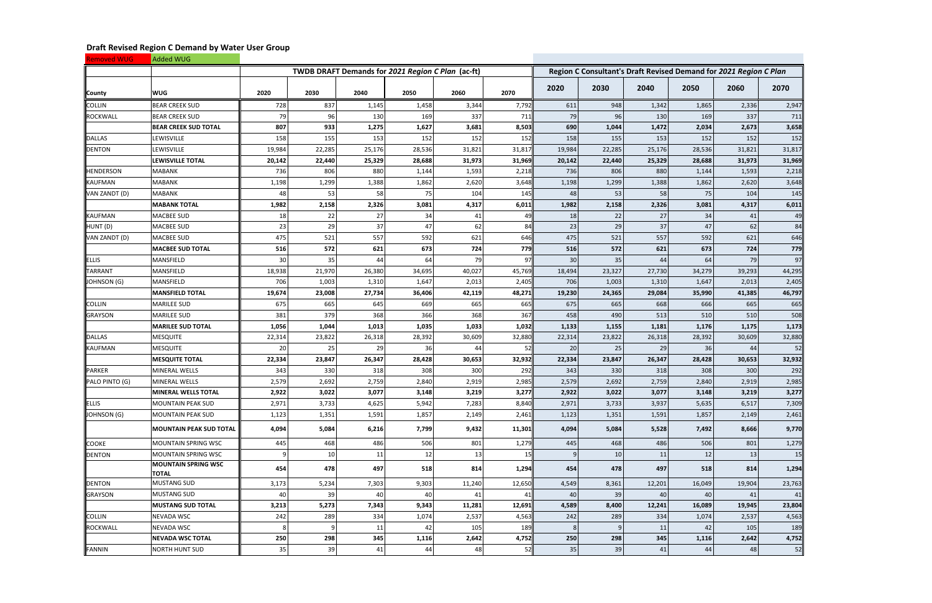| <b>Removed WUG</b> | Added WUG                                  |        |        |                                                   |        |        |            |                                                                   |        |        |        |        |        |  |
|--------------------|--------------------------------------------|--------|--------|---------------------------------------------------|--------|--------|------------|-------------------------------------------------------------------|--------|--------|--------|--------|--------|--|
|                    |                                            |        |        | TWDB DRAFT Demands for 2021 Region C Plan (ac-ft) |        |        |            | Region C Consultant's Draft Revised Demand for 2021 Region C Plan |        |        |        |        |        |  |
| County             | <b>WUG</b>                                 | 2020   | 2030   | 2040                                              | 2050   | 2060   | 2070       | 2020                                                              | 2030   | 2040   | 2050   | 2060   | 2070   |  |
| <b>COLLIN</b>      | <b>BEAR CREEK SUD</b>                      | 728    | 837    | 1,145                                             | 1,458  | 3,344  | 7,792      | 611                                                               | 948    | 1,342  | 1,865  | 2,336  | 2,947  |  |
| <b>ROCKWALL</b>    | <b>BEAR CREEK SUD</b>                      | 79     | 96     | 130                                               | 169    | 337    | <b>711</b> | 79                                                                | 96     | 130    | 169    | 337    | 711    |  |
|                    | <b>BEAR CREEK SUD TOTAL</b>                | 807    | 933    | 1,275                                             | 1,627  | 3,681  | 8,503      | 690                                                               | 1,044  | 1,472  | 2,034  | 2,673  | 3,658  |  |
| <b>DALLAS</b>      | LEWISVILLE                                 | 158    | 155    | 153                                               | 152    | 152    | 152        | 158                                                               | 155    | 153    | 152    | 152    | 152    |  |
| <b>DENTON</b>      | LEWISVILLE                                 | 19,984 | 22,285 | 25,176                                            | 28,536 | 31,821 | 31,817     | 19,984                                                            | 22,285 | 25,176 | 28,536 | 31,821 | 31,817 |  |
|                    | LEWISVILLE TOTAL                           | 20,142 | 22,440 | 25,329                                            | 28,688 | 31,973 | 31,969     | 20,142                                                            | 22,440 | 25,329 | 28,688 | 31,973 | 31,969 |  |
| <b>HENDERSON</b>   | <b>MABANK</b>                              | 736    | 806    | 880                                               | 1,144  | 1,593  | 2,218      | 736                                                               | 806    | 880    | 1,144  | 1,593  | 2,218  |  |
| <b>KAUFMAN</b>     | <b>MABANK</b>                              | 1,198  | 1,299  | 1,388                                             | 1,862  | 2,620  | 3,648      | 1,198                                                             | 1,299  | 1,388  | 1,862  | 2,620  | 3,648  |  |
| VAN ZANDT (D)      | <b>MABANK</b>                              | 48     | 53     | 58                                                | 75     | 104    | 145        | 48                                                                | 53     | 58     | 75     | 104    | 145    |  |
|                    | <b>MABANK TOTAL</b>                        | 1,982  | 2,158  | 2,326                                             | 3,081  | 4,317  | 6,011      | 1,982                                                             | 2,158  | 2,326  | 3,081  | 4,317  | 6,011  |  |
| <b>KAUFMAN</b>     | <b>MACBEE SUD</b>                          | 18     | 22     | 27                                                | 34     | 41     | 49         | 18                                                                | 22     | 27     | 34     | 41     | 49     |  |
| HUNT (D)           | <b>MACBEE SUD</b>                          | 23     | 29     | 37                                                | 47     | 62     | 84         | 23                                                                | 29     | 37     | 47     | 62     | 84     |  |
| VAN ZANDT (D)      | <b>MACBEE SUD</b>                          | 475    | 521    | 557                                               | 592    | 621    | 646        | 475                                                               | 521    | 557    | 592    | 621    | 646    |  |
|                    | <b>MACBEE SUD TOTAL</b>                    | 516    | 572    | 621                                               | 673    | 724    | 779        | 516                                                               | 572    | 621    | 673    | 724    | 779    |  |
| <b>ELLIS</b>       | MANSFIELD                                  | 30     | 35     | 44                                                | 64     | 79     | 97         | 30                                                                | 35     | 44     | 64     | 79     | 97     |  |
| <b>TARRANT</b>     | MANSFIELD                                  | 18,938 | 21,970 | 26,380                                            | 34,695 | 40,027 | 45,769     | 18,494                                                            | 23,327 | 27,730 | 34,279 | 39,293 | 44,295 |  |
| JOHNSON (G)        | MANSFIELD                                  | 706    | 1,003  | 1,310                                             | 1,647  | 2,013  | 2,405      | 706                                                               | 1,003  | 1,310  | 1,647  | 2,013  | 2,405  |  |
|                    | <b>MANSFIELD TOTAL</b>                     | 19,674 | 23,008 | 27,734                                            | 36,406 | 42,119 | 48,271     | 19,230                                                            | 24,365 | 29,084 | 35,990 | 41,385 | 46,797 |  |
| <b>COLLIN</b>      | <b>MARILEE SUD</b>                         | 675    | 665    | 645                                               | 669    | 665    | 665        | 675                                                               | 665    | 668    | 666    | 665    | 665    |  |
| <b>GRAYSON</b>     | <b>MARILEE SUD</b>                         | 381    | 379    | 368                                               | 366    | 368    | 367        | 458                                                               | 490    | 513    | 510    | 510    | 508    |  |
|                    | <b>MARILEE SUD TOTAL</b>                   | 1,056  | 1,044  | 1,013                                             | 1,035  | 1,033  | 1,032      | 1,133                                                             | 1,155  | 1,181  | 1,176  | 1,175  | 1,173  |  |
| <b>DALLAS</b>      | <b>MESQUITE</b>                            | 22,314 | 23,822 | 26,318                                            | 28,392 | 30,609 | 32,880     | 22,314                                                            | 23,822 | 26,318 | 28,392 | 30,609 | 32,880 |  |
| <b>KAUFMAN</b>     | <b>MESQUITE</b>                            | 20     | 25     | 29                                                | 36     | 44     | 52         | 20                                                                | 25     | 29     | 36     | 44     | 52     |  |
|                    | <b>MESQUITE TOTAL</b>                      | 22,334 | 23,847 | 26,347                                            | 28,428 | 30,653 | 32,932     | 22,334                                                            | 23,847 | 26,347 | 28,428 | 30,653 | 32,932 |  |
| <b>PARKER</b>      | MINERAL WELLS                              | 343    | 330    | 318                                               | 308    | 300    | 292        | 343                                                               | 330    | 318    | 308    | 300    | 292    |  |
| PALO PINTO (G)     | <b>MINERAL WELLS</b>                       | 2,579  | 2,692  | 2,759                                             | 2,840  | 2,919  | 2,985      | 2,579                                                             | 2,692  | 2,759  | 2,840  | 2,919  | 2,985  |  |
|                    | MINERAL WELLS TOTAL                        | 2,922  | 3,022  | 3,077                                             | 3,148  | 3,219  | 3,277      | 2,922                                                             | 3,022  | 3,077  | 3,148  | 3,219  | 3,277  |  |
| ELLIS              | <b>MOUNTAIN PEAK SUD</b>                   | 2,971  | 3,733  | 4,625                                             | 5,942  | 7,283  | 8,840      | 2,971                                                             | 3,733  | 3,937  | 5,635  | 6,517  | 7,309  |  |
| JOHNSON (G)        | MOUNTAIN PEAK SUD                          | 1,123  | 1,351  | 1,591                                             | 1,857  | 2,149  | 2,461      | 1,123                                                             | 1,351  | 1,591  | 1,857  | 2,149  | 2,461  |  |
|                    | <b>MOUNTAIN PEAK SUD TOTAL</b>             | 4,094  | 5,084  | 6,216                                             | 7,799  | 9,432  | 11,301     | 4,094                                                             | 5,084  | 5,528  | 7,492  | 8,666  | 9,770  |  |
| <b>COOKE</b>       | <b>MOUNTAIN SPRING WSC</b>                 | 445    | 468    | 486                                               | 506    | 801    | 1,279      | 445                                                               | 468    | 486    | 506    | 801    | 1,279  |  |
| <b>DENTON</b>      | <b>MOUNTAIN SPRING WSC</b>                 |        | 10     | 11                                                | 12     | 13     | 15         |                                                                   | 10     | 11     | 12     | 13     | 15     |  |
|                    | <b>MOUNTAIN SPRING WSC</b><br><b>TOTAL</b> | 454    | 478    | 497                                               | 518    | 814    | 1,294      | 454                                                               | 478    | 497    | 518    | 814    | 1,294  |  |
| <b>DENTON</b>      | <b>MUSTANG SUD</b>                         | 3,173  | 5,234  | 7,303                                             | 9,303  | 11,240 | 12,650     | 4,549                                                             | 8,361  | 12,201 | 16,049 | 19,904 | 23,763 |  |
| <b>GRAYSON</b>     | <b>MUSTANG SUD</b>                         | 40     | 39     | 40                                                | 40     | 41     | 41         | 40                                                                | 39     | 40     | 40     | 41     | 41     |  |
|                    | <b>MUSTANG SUD TOTAL</b>                   | 3,213  | 5,273  | 7,343                                             | 9,343  | 11,281 | 12,691     | 4,589                                                             | 8,400  | 12,241 | 16,089 | 19,945 | 23,804 |  |
| <b>COLLIN</b>      | <b>NEVADA WSC</b>                          | 242    | 289    | 334                                               | 1,074  | 2,537  | 4,563      | 242                                                               | 289    | 334    | 1,074  | 2,537  | 4,563  |  |
| <b>ROCKWALL</b>    | NEVADA WSC                                 |        |        | 11                                                | 42     | 105    | 189        | 8                                                                 | 9      | 11     | 42     | 105    | 189    |  |
|                    | <b>NEVADA WSC TOTAL</b>                    | 250    | 298    | 345                                               | 1,116  | 2,642  | 4,752      | 250                                                               | 298    | 345    | 1,116  | 2,642  | 4,752  |  |
| FANNIN             | <b>NORTH HUNT SUD</b>                      | 35     | 39     | 41                                                | 44     | 48     | 52         | 35                                                                | 39     | 41     | 44     | 48     | 52     |  |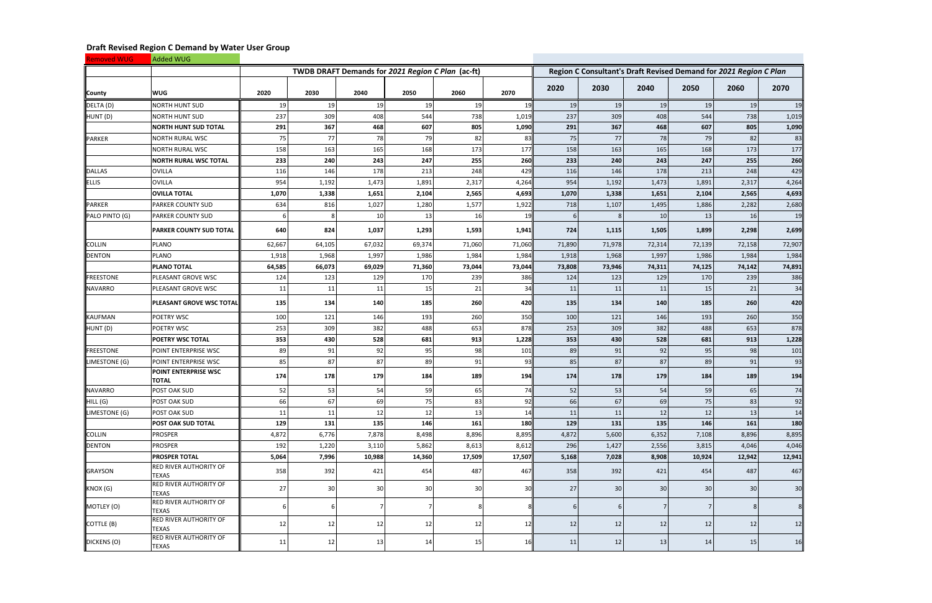| <b>Removed WUG</b> | Added WUG                                     |        |                                                   |        |                 |        |        |                                                                   |        |                 |        |                 |        |  |
|--------------------|-----------------------------------------------|--------|---------------------------------------------------|--------|-----------------|--------|--------|-------------------------------------------------------------------|--------|-----------------|--------|-----------------|--------|--|
|                    |                                               |        | TWDB DRAFT Demands for 2021 Region C Plan (ac-ft) |        |                 |        |        | Region C Consultant's Draft Revised Demand for 2021 Region C Plan |        |                 |        |                 |        |  |
| County             | <b>WUG</b>                                    | 2020   | 2030                                              | 2040   | 2050            | 2060   | 2070   | 2020                                                              | 2030   | 2040            | 2050   | 2060            | 2070   |  |
| DELTA (D)          | <b>NORTH HUNT SUD</b>                         | 19     | 19                                                | 19     | 19              | 19     | 19     | 19                                                                | 19     | 19              | 19     | 19              | 19     |  |
| HUNT (D)           | <b>NORTH HUNT SUD</b>                         | 237    | 309                                               | 408    | 544             | 738    | 1,019  | 237                                                               | 309    | 408             | 544    | 738             | 1,019  |  |
|                    | <b>NORTH HUNT SUD TOTAL</b>                   | 291    | 367                                               | 468    | 607             | 805    | 1,090  | 291                                                               | 367    | 468             | 607    | 805             | 1,090  |  |
| <b>PARKER</b>      | <b>NORTH RURAL WSC</b>                        | 75     | 77                                                | 78     | 79              | 82     | 83     | 75                                                                | 77     | 78              | 79     | 82              | 83     |  |
|                    | <b>NORTH RURAL WSC</b>                        | 158    | 163                                               | 165    | 168             | 173    | 177    | 158                                                               | 163    | 165             | 168    | 173             | 177    |  |
|                    | <b>NORTH RURAL WSC TOTAL</b>                  | 233    | 240                                               | 243    | 247             | 255    | 260    | 233                                                               | 240    | 243             | 247    | 255             | 260    |  |
| <b>DALLAS</b>      | OVILLA                                        | 116    | 146                                               | 178    | 213             | 248    | 429    | 116                                                               | 146    | 178             | 213    | 248             | 429    |  |
| <b>ELLIS</b>       | <b>OVILLA</b>                                 | 954    | 1,192                                             | 1,473  | 1,891           | 2,317  | 4,264  | 954                                                               | 1,192  | 1,473           | 1,891  | 2,317           | 4,264  |  |
|                    | <b>OVILLA TOTAL</b>                           | 1,070  | 1,338                                             | 1,651  | 2,104           | 2,565  | 4,693  | 1,070                                                             | 1,338  | 1,651           | 2,104  | 2,565           | 4,693  |  |
| <b>PARKER</b>      | <b>PARKER COUNTY SUD</b>                      | 634    | 816                                               | 1,027  | 1,280           | 1,577  | 1,922  | 718                                                               | 1,107  | 1,495           | 1,886  | 2,282           | 2,680  |  |
| PALO PINTO (G)     | <b>PARKER COUNTY SUD</b>                      |        |                                                   | 10     | 13              | 16     | 19     |                                                                   | -8     | 10              | 13     | 16              | 19     |  |
|                    | <b>PARKER COUNTY SUD TOTAL</b>                | 640    | 824                                               | 1,037  | 1,293           | 1,593  | 1,941  | 724                                                               | 1,115  | 1,505           | 1,899  | 2,298           | 2,699  |  |
| <b>COLLIN</b>      | PLANO                                         | 62,667 | 64,105                                            | 67,032 | 69,374          | 71,060 | 71,060 | 71,890                                                            | 71,978 | 72,314          | 72,139 | 72,158          | 72,907 |  |
| <b>DENTON</b>      | PLANO                                         | 1,918  | 1,968                                             | 1,997  | 1,986           | 1,984  | 1,984  | 1,918                                                             | 1,968  | 1,997           | 1,986  | 1,984           | 1,984  |  |
|                    | <b>PLANO TOTAL</b>                            | 64,585 | 66,073                                            | 69,029 | 71,360          | 73,044 | 73,044 | 73,808                                                            | 73,946 | 74,311          | 74,125 | 74,142          | 74,891 |  |
| <b>FREESTONE</b>   | PLEASANT GROVE WSC                            | 124    | 123                                               | 129    | 170             | 239    | 386    | 124                                                               | 123    | 129             | 170    | 239             | 386    |  |
| <b>NAVARRO</b>     | PLEASANT GROVE WSC                            | 11     | 11                                                | 11     | 15              | 21     | 34     | 11                                                                | 11     | 11              | 15     | 21              | 34     |  |
|                    | PLEASANT GROVE WSC TOTAL                      | 135    | 134                                               | 140    | 185             | 260    | 420    | 135                                                               | 134    | 140             | 185    | 260             | 420    |  |
| <b>KAUFMAN</b>     | POETRY WSC                                    | 100    | 121                                               | 146    | 193             | 260    | 350    | 100                                                               | 121    | 146             | 193    | 260             | 350    |  |
| HUNT (D)           | <b>POETRY WSC</b>                             | 253    | 309                                               | 382    | 488             | 653    | 878    | 253                                                               | 309    | 382             | 488    | 653             | 878    |  |
|                    | <b>POETRY WSC TOTAL</b>                       | 353    | 430                                               | 528    | 681             | 913    | 1,228  | 353                                                               | 430    | 528             | 681    | 913             | 1,228  |  |
| <b>FREESTONE</b>   | POINT ENTERPRISE WSC                          | 89     | 91                                                | 92     | 95              | 98     | 101    | 89                                                                | 91     | 92              | 95     | 98              | 101    |  |
| LIMESTONE (G)      | POINT ENTERPRISE WSC                          | 85     | 87                                                | 87     | 89              | 91     | 93     | 85                                                                | 87     | 87              | 89     | 91              | 93     |  |
|                    | POINT ENTERPRISE WSC<br><b>TOTAL</b>          | 174    | 178                                               | 179    | 184             | 189    | 194    | 174                                                               | 178    | 179             | 184    | 189             | 194    |  |
| <b>NAVARRO</b>     | <b>POST OAK SUD</b>                           | 52     | 53                                                | 54     | 59              | 65     | 74     | 52                                                                | 53     | 54              | 59     | 65              | 74     |  |
| HILL (G)           | POST OAK SUD                                  | 66     | 67                                                | 69     | 75              | 83     | 92     | 66                                                                | 67     | 69              | 75     | 83              | 92     |  |
| LIMESTONE (G)      | POST OAK SUD                                  | 11     | 11                                                | 12     | 12              | 13     | 14     | 11                                                                | 11     | 12              | 12     | 13              | 14     |  |
|                    | <b>POST OAK SUD TOTAL</b>                     | 129    | 131                                               | 135    | 146             | 161    | 180    | 129                                                               | 131    | 135             | 146    | 161             | 180    |  |
| <b>COLLIN</b>      | <b>PROSPER</b>                                | 4,872  | 6,776                                             | 7,878  | 8,498           | 8,896  | 8,895  | 4,872                                                             | 5,600  | 6,352           | 7,108  | 8,896           | 8,895  |  |
| <b>DENTON</b>      | <b>PROSPER</b>                                | 192    | 1,220                                             | 3,110  | 5,862           | 8,613  | 8,612  | 296                                                               | 1,427  | 2,556           | 3,815  | 4,046           | 4,046  |  |
|                    | <b>PROSPER TOTAL</b>                          | 5,064  | 7,996                                             | 10,988 | 14,360          | 17,509 | 17,507 | 5,168                                                             | 7,028  | 8,908           | 10,924 | 12,942          | 12,941 |  |
| <b>GRAYSON</b>     | <b>RED RIVER AUTHORITY OF</b><br><b>TEXAS</b> | 358    | 392                                               | 421    | 454             | 487    | 467    | 358                                                               | 392    | 421             | 454    | 487             | 467    |  |
| KNOX (G)           | <b>RED RIVER AUTHORITY OF</b><br><b>TEXAS</b> | 27     | 30                                                | 30     | 30 <sup>1</sup> | 30     | 30     | 27                                                                | 30     | 30 <sup>1</sup> | 30     | 30 <sup>1</sup> | 30     |  |
| MOTLEY (O)         | <b>RED RIVER AUTHORITY OF</b><br><b>TEXAS</b> |        |                                                   |        | 7               | 8      |        |                                                                   | -6     | 7               |        | 8               | 8      |  |
| COTTLE (B)         | <b>RED RIVER AUTHORITY OF</b><br><b>TEXAS</b> | 12     | 12                                                | 12     | 12              | 12     | 12     | 12                                                                | 12     | 12              | 12     | 12              | 12     |  |
| DICKENS (O)        | <b>RED RIVER AUTHORITY OF</b><br><b>TEXAS</b> | 11     | 12                                                | 13     | 14              | 15     | 16     | 11                                                                | 12     | 13              | 14     | 15              | 16     |  |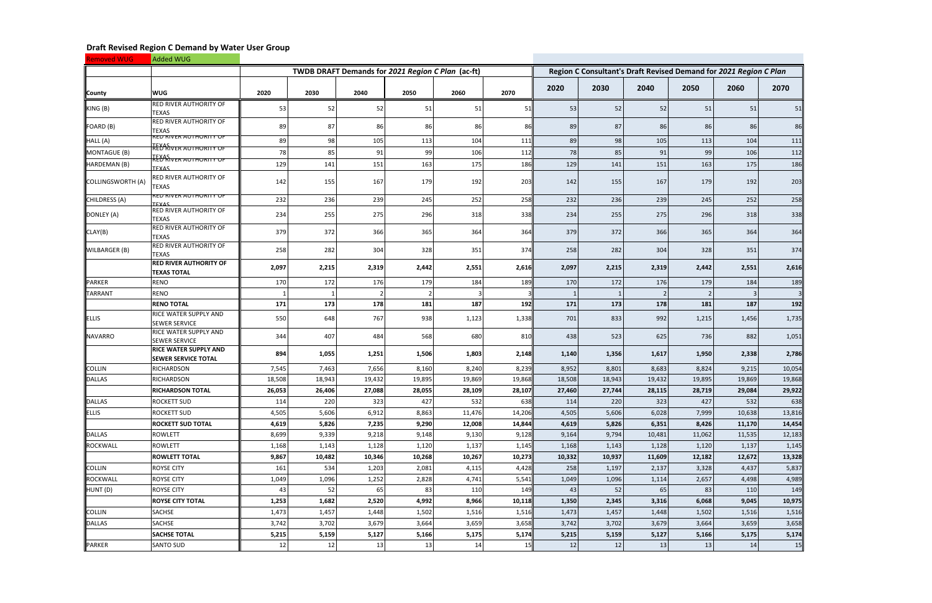| <b>Removed WUG</b>   | Added WUG                                                  |        |        |        |                                                   |        |        |        |        |                |                                                                   |        |        |  |  |  |
|----------------------|------------------------------------------------------------|--------|--------|--------|---------------------------------------------------|--------|--------|--------|--------|----------------|-------------------------------------------------------------------|--------|--------|--|--|--|
|                      |                                                            |        |        |        | TWDB DRAFT Demands for 2021 Region C Plan (ac-ft) |        |        |        |        |                | Region C Consultant's Draft Revised Demand for 2021 Region C Plan |        |        |  |  |  |
| County               | <b>WUG</b>                                                 | 2020   | 2030   | 2040   | 2050                                              | 2060   | 2070   | 2020   | 2030   | 2040           | 2050                                                              | 2060   | 2070   |  |  |  |
| KING (B)             | <b>RED RIVER AUTHORITY OF</b><br><b>TEXAS</b>              | 53     | 52     | 52     | 51                                                | 51     | 51     | 53     | 52     | 52             | 51                                                                | 51     | 51     |  |  |  |
| FOARD (B)            | <b>RED RIVER AUTHORITY OF</b><br><b>TEXAS</b>              | 89     | 87     | 86     | 86                                                | 86     | 86     | 89     | 87     | 86             | 86                                                                | 86     | 86     |  |  |  |
| HALL (A)             | <b>RED RIVER AUTHORITY OF</b>                              | 89     | 98     | 105    | 113                                               | 104    | 111    | 89     | 98     | 105            | 113                                                               | 104    | 111    |  |  |  |
| MONTAGUE (B)         | TEXAS<br> RED RIVER AUTHORITY OF                           | 78     | 85     | 91     | 99                                                | 106    | 112    | 78     | 85     | 91             | 99                                                                | 106    | 112    |  |  |  |
| HARDEMAN (B)         | TEXAS<br> RED RIVER AUTHORITY OF<br>TFYAS                  | 129    | 141    | 151    | 163                                               | 175    | 186    | 129    | 141    | 151            | 163                                                               | 175    | 186    |  |  |  |
| COLLINGSWORTH (A)    | RED RIVER AUTHORITY OF<br><b>TEXAS</b>                     | 142    | 155    | 167    | 179                                               | 192    | 203    | 142    | 155    | 167            | 179                                                               | 192    | 203    |  |  |  |
| <b>CHILDRESS (A)</b> | <b>RED RIVER AUTHORITY OF</b><br>TFYAS                     | 232    | 236    | 239    | 245                                               | 252    | 258    | 232    | 236    | 239            | 245                                                               | 252    | 258    |  |  |  |
| DONLEY (A)           | <b>RED RIVER AUTHORITY OF</b><br><b>TEXAS</b>              | 234    | 255    | 275    | 296                                               | 318    | 338    | 234    | 255    | 275            | 296                                                               | 318    | 338    |  |  |  |
| CLAY(B)              | <b>RED RIVER AUTHORITY OF</b><br><b>TEXAS</b>              | 379    | 372    | 366    | 365                                               | 364    | 364    | 379    | 372    | 366            | 365                                                               | 364    | 364    |  |  |  |
| WILBARGER (B)        | <b>RED RIVER AUTHORITY OF</b><br><b>TEXAS</b>              | 258    | 282    | 304    | 328                                               | 351    | 374    | 258    | 282    | 304            | 328                                                               | 351    | 374    |  |  |  |
|                      | <b>RED RIVER AUTHORITY OF</b><br><b>TEXAS TOTAL</b>        | 2,097  | 2,215  | 2,319  | 2,442                                             | 2,551  | 2,616  | 2,097  | 2,215  | 2,319          | 2,442                                                             | 2,551  | 2,616  |  |  |  |
| <b>PARKER</b>        | <b>RENO</b>                                                | 170    | 172    | 176    | 179                                               | 184    | 189    | 170    | 172    | 176            | 179                                                               | 184    | 189    |  |  |  |
| <b>TARRANT</b>       | <b>RENO</b>                                                |        |        |        |                                                   | 3      |        |        | 1      | $\overline{2}$ |                                                                   | 3      |        |  |  |  |
|                      | <b>RENO TOTAL</b>                                          | 171    | 173    | 178    | 181                                               | 187    | 192    | 171    | 173    | 178            | 181                                                               | 187    | 192    |  |  |  |
| <b>ELLIS</b>         | <b>RICE WATER SUPPLY AND</b><br><b>SEWER SERVICE</b>       | 550    | 648    | 767    | 938                                               | 1,123  | 1,338  | 701    | 833    | 992            | 1,215                                                             | 1,456  | 1,735  |  |  |  |
| <b>NAVARRO</b>       | <b>RICE WATER SUPPLY AND</b><br><b>SEWER SERVICE</b>       | 344    | 407    | 484    | 568                                               | 680    | 810    | 438    | 523    | 625            | 736                                                               | 882    | 1,051  |  |  |  |
|                      | <b>RICE WATER SUPPLY AND</b><br><b>SEWER SERVICE TOTAL</b> | 894    | 1,055  | 1,251  | 1,506                                             | 1,803  | 2,148  | 1,140  | 1,356  | 1,617          | 1,950                                                             | 2,338  | 2,786  |  |  |  |
| <b>COLLIN</b>        | RICHARDSON                                                 | 7,545  | 7,463  | 7,656  | 8,160                                             | 8,240  | 8,239  | 8,952  | 8,801  | 8,683          | 8,824                                                             | 9,215  | 10,054 |  |  |  |
| <b>DALLAS</b>        | <b>RICHARDSON</b>                                          | 18,508 | 18,943 | 19,432 | 19,895                                            | 19,869 | 19,868 | 18,508 | 18,943 | 19,432         | 19,895                                                            | 19,869 | 19,868 |  |  |  |
|                      | <b>RICHARDSON TOTAL</b>                                    | 26,053 | 26,406 | 27,088 | 28,055                                            | 28,109 | 28,107 | 27,460 | 27,744 | 28,115         | 28,719                                                            | 29,084 | 29,922 |  |  |  |
| <b>DALLAS</b>        | <b>ROCKETT SUD</b>                                         | 114    | 220    | 323    | 427                                               | 532    | 638    | 114    | 220    | 323            | 427                                                               | 532    | 638    |  |  |  |
| <b>ELLIS</b>         | <b>ROCKETT SUD</b>                                         | 4,505  | 5,606  | 6,912  | 8,863                                             | 11,476 | 14,206 | 4,505  | 5,606  | 6,028          | 7,999                                                             | 10,638 | 13,816 |  |  |  |
|                      | <b>ROCKETT SUD TOTAL</b>                                   | 4,619  | 5,826  | 7,235  | 9,290                                             | 12,008 | 14,844 | 4,619  | 5,826  | 6,351          | 8,426                                                             | 11,170 | 14,454 |  |  |  |
| <b>DALLAS</b>        | ROWLETT                                                    | 8,699  | 9,339  | 9,218  | 9,148                                             | 9,130  | 9,128  | 9,164  | 9,794  | 10,481         | 11,062                                                            | 11,535 | 12,183 |  |  |  |
| <b>ROCKWALL</b>      | <b>ROWLETT</b>                                             | 1,168  | 1,143  | 1,128  | 1,120                                             | 1,137  | 1,145  | 1,168  | 1,143  | 1,128          | 1,120                                                             | 1,137  | 1,145  |  |  |  |
|                      | <b>ROWLETT TOTAL</b>                                       | 9,867  | 10,482 | 10,346 | 10,268                                            | 10,267 | 10,273 | 10,332 | 10,937 | 11,609         | 12,182                                                            | 12,672 | 13,328 |  |  |  |
| <b>COLLIN</b>        | <b>ROYSE CITY</b>                                          | 161    | 534    | 1,203  | 2,081                                             | 4,115  | 4,428  | 258    | 1,197  | 2,137          | 3,328                                                             | 4,437  | 5,837  |  |  |  |
| <b>ROCKWALL</b>      | <b>ROYSE CITY</b>                                          | 1,049  | 1,096  | 1,252  | 2,828                                             | 4,741  | 5,541  | 1,049  | 1,096  | 1,114          | 2,657                                                             | 4,498  | 4,989  |  |  |  |
| HUNT (D)             | <b>ROYSE CITY</b>                                          | 43     | 52     | 65     | -83                                               | 110    | 149    | 43     | 52     | 65             | 83                                                                | 110    | 149    |  |  |  |
|                      | <b>ROYSE CITY TOTAL</b>                                    | 1,253  | 1,682  | 2,520  | 4,992                                             | 8,966  | 10,118 | 1,350  | 2,345  | 3,316          | 6,068                                                             | 9,045  | 10,975 |  |  |  |
| <b>COLLIN</b>        | SACHSE                                                     | 1,473  | 1,457  | 1,448  | 1,502                                             | 1,516  | 1,516  | 1,473  | 1,457  | 1,448          | 1,502                                                             | 1,516  | 1,516  |  |  |  |
| <b>DALLAS</b>        | SACHSE                                                     | 3,742  | 3,702  | 3,679  | 3,664                                             | 3,659  | 3,658  | 3,742  | 3,702  | 3,679          | 3,664                                                             | 3,659  | 3,658  |  |  |  |
|                      | <b>SACHSE TOTAL</b>                                        | 5,215  | 5,159  | 5,127  | 5,166                                             | 5,175  | 5,174  | 5,215  | 5,159  | 5,127          | 5,166                                                             | 5,175  | 5,174  |  |  |  |
| PARKER               | <b>SANTO SUD</b>                                           | 12     | 12     | 13     | 13                                                | 14     | 15     | 12     | 12     | 13             | 13                                                                | 14     | 15     |  |  |  |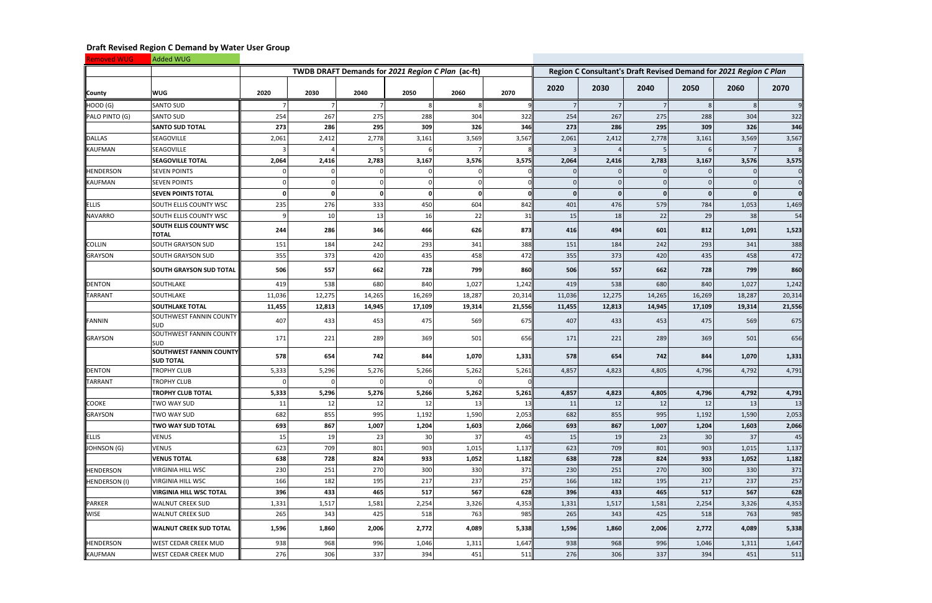| <b>Removed WUG</b>   | Added WUG                                          |          |             |          |                                                   |              |        |                                                                   |                |              |        |        |        |  |  |
|----------------------|----------------------------------------------------|----------|-------------|----------|---------------------------------------------------|--------------|--------|-------------------------------------------------------------------|----------------|--------------|--------|--------|--------|--|--|
|                      |                                                    |          |             |          | TWDB DRAFT Demands for 2021 Region C Plan (ac-ft) |              |        | Region C Consultant's Draft Revised Demand for 2021 Region C Plan |                |              |        |        |        |  |  |
| County               | <b>WUG</b>                                         | 2020     | 2030        | 2040     | 2050                                              | 2060         | 2070   | 2020                                                              | 2030           | 2040         | 2050   | 2060   | 2070   |  |  |
| HOOD (G)             | <b>SANTO SUD</b>                                   |          |             |          |                                                   | 8            |        |                                                                   | $\overline{7}$ |              |        | 8      |        |  |  |
| PALO PINTO (G)       | <b>SANTO SUD</b>                                   | 254      | 267         | 275      | 288                                               | 304          | 322    | 254                                                               | 267            | 275          | 288    | 304    | 322    |  |  |
|                      | <b>SANTO SUD TOTAL</b>                             | 273      | 286         | 295      | 309                                               | 326          | 346    | 273                                                               | 286            | 295          | 309    | 326    | 346    |  |  |
| <b>DALLAS</b>        | <b>SEAGOVILLE</b>                                  | 2,061    | 2,412       | 2,778    | 3,161                                             | 3,569        | 3,567  | 2,061                                                             | 2,412          | 2,778        | 3,161  | 3,569  | 3,567  |  |  |
| <b>KAUFMAN</b>       | <b>SEAGOVILLE</b>                                  |          |             |          |                                                   |              |        |                                                                   | 4              | 5            |        |        |        |  |  |
|                      | <b>SEAGOVILLE TOTAL</b>                            | 2,064    | 2,416       | 2,783    | 3,167                                             | 3,576        | 3,575  | 2,064                                                             | 2,416          | 2,783        | 3,167  | 3,576  | 3,575  |  |  |
| <b>HENDERSON</b>     | <b>SEVEN POINTS</b>                                |          |             |          |                                                   |              |        |                                                                   |                |              |        |        |        |  |  |
| <b>KAUFMAN</b>       | <b>SEVEN POINTS</b>                                |          |             |          |                                                   |              |        |                                                                   |                | $\Omega$     |        |        |        |  |  |
|                      | <b>SEVEN POINTS TOTAL</b>                          | $\Omega$ | $\mathbf 0$ | $\Omega$ | $\Omega$                                          | $\mathbf{0}$ |        |                                                                   | $\Omega$       | $\mathbf{0}$ | U      |        |        |  |  |
| <b>ELLIS</b>         | SOUTH ELLIS COUNTY WSC                             | 235      | 276         | 333      | 450                                               | 604          | 842    | 401                                                               | 476            | 579          | 784    | 1,053  | 1,469  |  |  |
| <b>NAVARRO</b>       | SOUTH ELLIS COUNTY WSC                             |          | 10          | 13       | <b>16</b>                                         | 22           | 31     | 15                                                                | 18             | 22           | 29     | 38     | 54     |  |  |
|                      | <b>SOUTH ELLIS COUNTY WSC</b><br><b>TOTAL</b>      | 244      | 286         | 346      | 466                                               | 626          | 873    | 416                                                               | 494            | 601          | 812    | 1,091  | 1,523  |  |  |
| <b>COLLIN</b>        | SOUTH GRAYSON SUD                                  | 151      | 184         | 242      | 293                                               | 341          | 388    | 151                                                               | 184            | 242          | 293    | 341    | 388    |  |  |
| <b>GRAYSON</b>       | SOUTH GRAYSON SUD                                  | 355      | 373         | 420      | 435                                               | 458          | 472    | 355                                                               | 373            | 420          | 435    | 458    | 472    |  |  |
|                      | <b>SOUTH GRAYSON SUD TOTAL</b>                     | 506      | 557         | 662      | 728                                               | 799          | 860    | 506                                                               | 557            | 662          | 728    | 799    | 860    |  |  |
| <b>DENTON</b>        | SOUTHLAKE                                          | 419      | 538         | 680      | 840                                               | 1,027        | 1,242  | 419                                                               | 538            | 680          | 840    | 1,027  | 1,242  |  |  |
| <b>TARRANT</b>       | SOUTHLAKE                                          | 11,036   | 12,275      | 14,265   | 16,269                                            | 18,287       | 20,314 | 11,036                                                            | 12,275         | 14,265       | 16,269 | 18,287 | 20,314 |  |  |
|                      | <b>SOUTHLAKE TOTAL</b>                             | 11,455   | 12,813      | 14,945   | 17,109                                            | 19,314       | 21,556 | 11,455                                                            | 12,813         | 14,945       | 17,109 | 19,314 | 21,556 |  |  |
| <b>FANNIN</b>        | <b>SOUTHWEST FANNIN COUNTY</b><br><b>SUD</b>       | 407      | 433         | 453      | 475                                               | 569          | 675    | 407                                                               | 433            | 453          | 475    | 569    | 675    |  |  |
| <b>GRAYSON</b>       | SOUTHWEST FANNIN COUNTY<br><b>SUD</b>              | 171      | 221         | 289      | 369                                               | 501          | 656    | 171                                                               | 221            | 289          | 369    | 501    | 656    |  |  |
|                      | <b>SOUTHWEST FANNIN COUNTY</b><br><b>SUD TOTAL</b> | 578      | 654         | 742      | 844                                               | 1,070        | 1,331  | 578                                                               | 654            | 742          | 844    | 1,070  | 1,331  |  |  |
| <b>DENTON</b>        | <b>TROPHY CLUB</b>                                 | 5,333    | 5,296       | 5,276    | 5,266                                             | 5,262        | 5,261  | 4,857                                                             | 4,823          | 4,805        | 4,796  | 4,792  | 4,791  |  |  |
| <b>TARRANT</b>       | <b>TROPHY CLUB</b>                                 |          |             |          |                                                   |              |        |                                                                   |                |              |        |        |        |  |  |
|                      | <b>TROPHY CLUB TOTAL</b>                           | 5,333    | 5,296       | 5,276    | 5,266                                             | 5,262        | 5,261  | 4,857                                                             | 4,823          | 4,805        | 4,796  | 4,792  | 4,791  |  |  |
| COOKE                | TWO WAY SUD                                        | 11       | 12          | 12       | 12                                                | 13           | 13     | 11                                                                | 12             | 12           | 12     | 13     | 13     |  |  |
| <b>GRAYSON</b>       | TWO WAY SUD                                        | 682      | 855         | 995      | 1,192                                             | 1,590        | 2,053  | 682                                                               | 855            | 995          | 1,192  | 1,590  | 2,053  |  |  |
|                      | TWO WAY SUD TOTAL                                  | 693      | 867         | 1,007    | 1,204                                             | 1,603        | 2,066  | 693                                                               | 867            | 1,007        | 1,204  | 1,603  | 2,066  |  |  |
| <b>ELLIS</b>         | <b>VENUS</b>                                       | 15       | 19          | 23       | 30 <sup>1</sup>                                   | 37           | 45     | 15                                                                | 19             | 23           | 30     | 37     | 45     |  |  |
| <b>JOHNSON (G)</b>   | <b>VENUS</b>                                       | 623      | 709         | 801      | 903                                               | 1,015        | 1,137  | 623                                                               | 709            | 801          | 903    | 1,015  | 1,137  |  |  |
|                      | <b>VENUS TOTAL</b>                                 | 638      | 728         | 824      | 933                                               | 1,052        | 1,182  | 638                                                               | 728            | 824          | 933    | 1,052  | 1,182  |  |  |
| <b>HENDERSON</b>     | VIRGINIA HILL WSC                                  | 230      | 251         | 270      | 300                                               | 330          | 371    | 230                                                               | 251            | 270          | 300    | 330    | 371    |  |  |
| <b>HENDERSON (I)</b> | <b>VIRGINIA HILL WSC</b>                           | 166      | 182         | 195      | 217                                               | 237          | 257    | 166                                                               | 182            | 195          | 217    | 237    | 257    |  |  |
|                      | <b>VIRGINIA HILL WSC TOTAL</b>                     | 396      | 433         | 465      | 517                                               | 567          | 628    | 396                                                               | 433            | 465          | 517    | 567    | 628    |  |  |
| PARKER               | <b>WALNUT CREEK SUD</b>                            | 1,331    | 1,517       | 1,581    | 2,254                                             | 3,326        | 4,353  | 1,331                                                             | 1,517          | 1,581        | 2,254  | 3,326  | 4,353  |  |  |
| <b>WISE</b>          | <b>WALNUT CREEK SUD</b>                            | 265      | 343         | 425      | 518                                               | 763          | 985    | 265                                                               | 343            | 425          | 518    | 763    | 985    |  |  |
|                      | <b>WALNUT CREEK SUD TOTAL</b>                      | 1,596    | 1,860       | 2,006    | 2,772                                             | 4,089        | 5,338  | 1,596                                                             | 1,860          | 2,006        | 2,772  | 4,089  | 5,338  |  |  |
| <b>HENDERSON</b>     | <b>WEST CEDAR CREEK MUD</b>                        | 938      | 968         | 996      | 1,046                                             | 1,311        | 1,647  | 938                                                               | 968            | 996          | 1,046  | 1,311  | 1,647  |  |  |
| KAUFMAN              | <b>WEST CEDAR CREEK MUD</b>                        | 276      | 306         | 337      | 394                                               | 451          | 511    | 276                                                               | 306            | 337          | 394    | 451    | 511    |  |  |